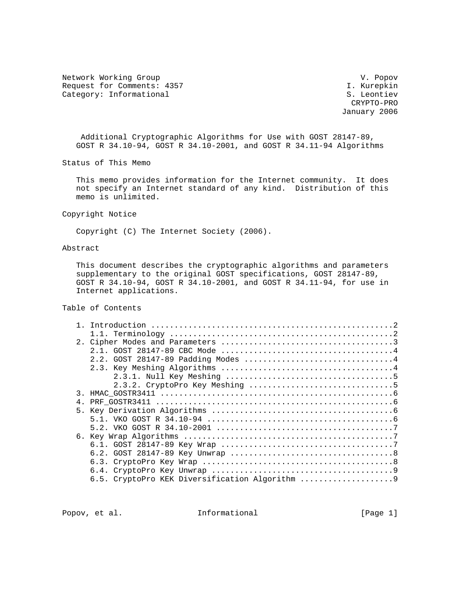Network Working Group variation of the U.S. of the U.S. of the U.S. of the U.S. of the U.S. of the U.S. of the U Request for Comments: 4357 I. Kurepkin Category: Informational S. Leontiev

 CRYPTO-PRO January 2006

 Additional Cryptographic Algorithms for Use with GOST 28147-89, GOST R 34.10-94, GOST R 34.10-2001, and GOST R 34.11-94 Algorithms

Status of This Memo

 This memo provides information for the Internet community. It does not specify an Internet standard of any kind. Distribution of this memo is unlimited.

Copyright Notice

Copyright (C) The Internet Society (2006).

# Abstract

 This document describes the cryptographic algorithms and parameters supplementary to the original GOST specifications, GOST 28147-89, GOST R 34.10-94, GOST R 34.10-2001, and GOST R 34.11-94, for use in Internet applications.

Table of Contents

| 3. |  |
|----|--|
| 4. |  |
|    |  |
|    |  |
|    |  |
|    |  |
|    |  |
|    |  |
|    |  |
|    |  |
|    |  |

Popov, et al. 111 Informational 1999 [Page 1]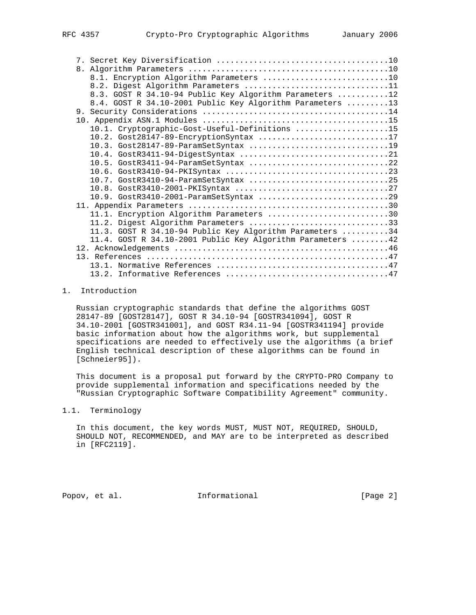| 8.1. Encryption Algorithm Parameters 10                     |
|-------------------------------------------------------------|
| 8.2. Digest Algorithm Parameters 11                         |
| 8.3. GOST R 34.10-94 Public Key Algorithm Parameters 12     |
| 8.4. GOST R 34.10-2001 Public Key Algorithm Parameters 13   |
|                                                             |
|                                                             |
| 10.1. Cryptographic-Gost-Useful-Definitions 15              |
| 10.2. Gost28147-89-EncryptionSyntax 17                      |
| 10.3. Gost28147-89-ParamSetSyntax 19                        |
|                                                             |
| 10.5. GostR3411-94-ParamSetSyntax 22                        |
|                                                             |
| 10.7. GostR3410-94-ParamSetSyntax 25                        |
|                                                             |
| 10.9. GostR3410-2001-ParamSetSyntax 29                      |
|                                                             |
| 11.1. Encryption Algorithm Parameters 30                    |
| 11.2. Digest Algorithm Parameters 33                        |
| 11.3. GOST R 34.10-94 Public Key Algorithm Parameters 34    |
| 11.4. GOST R 34.10-2001 Public Key Algorithm Parameters  42 |
|                                                             |
|                                                             |
|                                                             |
|                                                             |

### 1. Introduction

 Russian cryptographic standards that define the algorithms GOST 28147-89 [GOST28147], GOST R 34.10-94 [GOSTR341094], GOST R 34.10-2001 [GOSTR341001], and GOST R34.11-94 [GOSTR341194] provide basic information about how the algorithms work, but supplemental specifications are needed to effectively use the algorithms (a brief English technical description of these algorithms can be found in [Schneier95]).

 This document is a proposal put forward by the CRYPTO-PRO Company to provide supplemental information and specifications needed by the "Russian Cryptographic Software Compatibility Agreement" community.

### 1.1. Terminology

 In this document, the key words MUST, MUST NOT, REQUIRED, SHOULD, SHOULD NOT, RECOMMENDED, and MAY are to be interpreted as described in [RFC2119].

Popov, et al. 100 Informational 100 Popov, et al.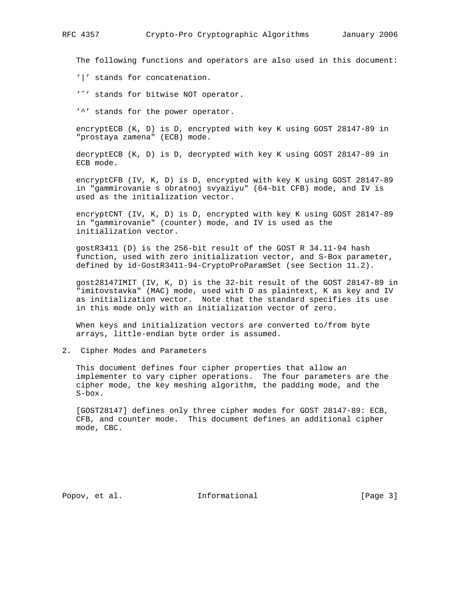The following functions and operators are also used in this document:

'|' stands for concatenation.

'˜' stands for bitwise NOT operator.

'^' stands for the power operator.

 encryptECB (K, D) is D, encrypted with key K using GOST 28147-89 in "prostaya zamena" (ECB) mode.

 decryptECB (K, D) is D, decrypted with key K using GOST 28147-89 in ECB mode.

 encryptCFB (IV, K, D) is D, encrypted with key K using GOST 28147-89 in "gammirovanie s obratnoj svyaziyu" (64-bit CFB) mode, and IV is used as the initialization vector.

 encryptCNT (IV, K, D) is D, encrypted with key K using GOST 28147-89 in "gammirovanie" (counter) mode, and IV is used as the initialization vector.

 gostR3411 (D) is the 256-bit result of the GOST R 34.11-94 hash function, used with zero initialization vector, and S-Box parameter, defined by id-GostR3411-94-CryptoProParamSet (see Section 11.2).

 gost28147IMIT (IV, K, D) is the 32-bit result of the GOST 28147-89 in "imitovstavka" (MAC) mode, used with D as plaintext, K as key and IV as initialization vector. Note that the standard specifies its use in this mode only with an initialization vector of zero.

 When keys and initialization vectors are converted to/from byte arrays, little-endian byte order is assumed.

2. Cipher Modes and Parameters

 This document defines four cipher properties that allow an implementer to vary cipher operations. The four parameters are the cipher mode, the key meshing algorithm, the padding mode, and the S-box.

 [GOST28147] defines only three cipher modes for GOST 28147-89: ECB, CFB, and counter mode. This document defines an additional cipher mode, CBC.

Popov, et al. 10. Informational 1. [Page 3]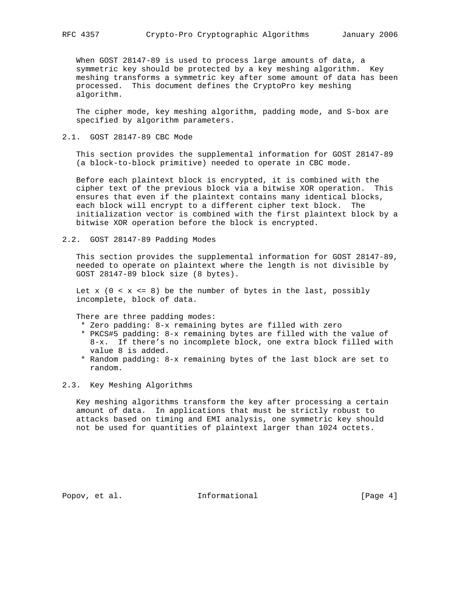When GOST 28147-89 is used to process large amounts of data, a symmetric key should be protected by a key meshing algorithm. Key meshing transforms a symmetric key after some amount of data has been processed. This document defines the CryptoPro key meshing algorithm.

 The cipher mode, key meshing algorithm, padding mode, and S-box are specified by algorithm parameters.

2.1. GOST 28147-89 CBC Mode

 This section provides the supplemental information for GOST 28147-89 (a block-to-block primitive) needed to operate in CBC mode.

 Before each plaintext block is encrypted, it is combined with the cipher text of the previous block via a bitwise XOR operation. This ensures that even if the plaintext contains many identical blocks, each block will encrypt to a different cipher text block. The initialization vector is combined with the first plaintext block by a bitwise XOR operation before the block is encrypted.

2.2. GOST 28147-89 Padding Modes

 This section provides the supplemental information for GOST 28147-89, needed to operate on plaintext where the length is not divisible by GOST 28147-89 block size (8 bytes).

Let  $x$  (0 <  $x$  <= 8) be the number of bytes in the last, possibly incomplete, block of data.

There are three padding modes:

- \* Zero padding: 8-x remaining bytes are filled with zero
- \* PKCS#5 padding: 8-x remaining bytes are filled with the value of 8-x. If there's no incomplete block, one extra block filled with value 8 is added.
- \* Random padding: 8-x remaining bytes of the last block are set to random.
- 2.3. Key Meshing Algorithms

 Key meshing algorithms transform the key after processing a certain amount of data. In applications that must be strictly robust to attacks based on timing and EMI analysis, one symmetric key should not be used for quantities of plaintext larger than 1024 octets.

Popov, et al. 10. Informational 1. [Page 4]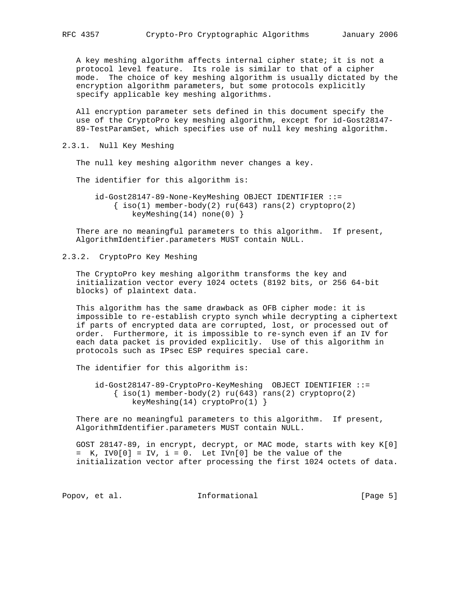A key meshing algorithm affects internal cipher state; it is not a protocol level feature. Its role is similar to that of a cipher mode. The choice of key meshing algorithm is usually dictated by the encryption algorithm parameters, but some protocols explicitly specify applicable key meshing algorithms.

 All encryption parameter sets defined in this document specify the use of the CryptoPro key meshing algorithm, except for id-Gost28147- 89-TestParamSet, which specifies use of null key meshing algorithm.

2.3.1. Null Key Meshing

The null key meshing algorithm never changes a key.

The identifier for this algorithm is:

 id-Gost28147-89-None-KeyMeshing OBJECT IDENTIFIER ::=  $\{ iso(1) member-body(2) ru(643) rans(2) cryptopro(2)$ keyMeshing(14) none(0) }

 There are no meaningful parameters to this algorithm. If present, AlgorithmIdentifier.parameters MUST contain NULL.

2.3.2. CryptoPro Key Meshing

 The CryptoPro key meshing algorithm transforms the key and initialization vector every 1024 octets (8192 bits, or 256 64-bit blocks) of plaintext data.

 This algorithm has the same drawback as OFB cipher mode: it is impossible to re-establish crypto synch while decrypting a ciphertext if parts of encrypted data are corrupted, lost, or processed out of order. Furthermore, it is impossible to re-synch even if an IV for each data packet is provided explicitly. Use of this algorithm in protocols such as IPsec ESP requires special care.

The identifier for this algorithm is:

 id-Gost28147-89-CryptoPro-KeyMeshing OBJECT IDENTIFIER ::=  $\{ iso(1) member-body(2) ru(643) rans(2) cryptopro(2)$ keyMeshing(14) cryptoPro(1) }

 There are no meaningful parameters to this algorithm. If present, AlgorithmIdentifier.parameters MUST contain NULL.

 GOST 28147-89, in encrypt, decrypt, or MAC mode, starts with key K[0]  $=$  K, IV0[0] = IV, i = 0. Let IVn[0] be the value of the initialization vector after processing the first 1024 octets of data.

Popov, et al. 10. Informational 1. [Page 5]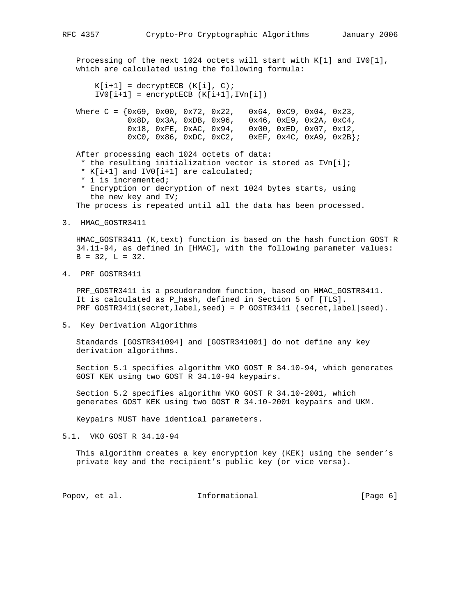Processing of the next 1024 octets will start with K[1] and IV0[1], which are calculated using the following formula:  $K[i+1] = decryptECB (K[i], C);$  $IV0[i+1] = encryptECB (K[i+1],IVn[i])$ Where C =  $\{0x69, 0x00, 0x72, 0x22, 0x64, 0xC9, 0x04, 0x23,$  0x8D, 0x3A, 0xDB, 0x96, 0x46, 0xE9, 0x2A, 0xC4, 0x18, 0xFE, 0xAC, 0x94, 0x00, 0xED, 0x07, 0x12, 0xC0, 0x86, 0xDC, 0xC2, 0xEF, 0x4C, 0xA9, 0x2B}; After processing each 1024 octets of data: \* the resulting initialization vector is stored as IVn[i]; \* K[i+1] and IV0[i+1] are calculated; \* i is incremented; \* Encryption or decryption of next 1024 bytes starts, using the new key and IV; The process is repeated until all the data has been processed. 3. HMAC\_GOSTR3411 HMAC\_GOSTR3411 (K,text) function is based on the hash function GOST R 34.11-94, as defined in [HMAC], with the following parameter values:  $B = 32$ ,  $L = 32$ . 4. PRF\_GOSTR3411 PRF GOSTR3411 is a pseudorandom function, based on HMAC GOSTR3411. It is calculated as P\_hash, defined in Section 5 of [TLS]. PRF\_GOSTR3411(secret,label,seed) = P\_GOSTR3411 (secret,label|seed). 5. Key Derivation Algorithms Standards [GOSTR341094] and [GOSTR341001] do not define any key derivation algorithms. Section 5.1 specifies algorithm VKO GOST R 34.10-94, which generates GOST KEK using two GOST R 34.10-94 keypairs. Section 5.2 specifies algorithm VKO GOST R 34.10-2001, which generates GOST KEK using two GOST R 34.10-2001 keypairs and UKM. Keypairs MUST have identical parameters. 5.1. VKO GOST R 34.10-94 This algorithm creates a key encryption key (KEK) using the sender's private key and the recipient's public key (or vice versa). Popov, et al. 10. Informational 1. [Page 6]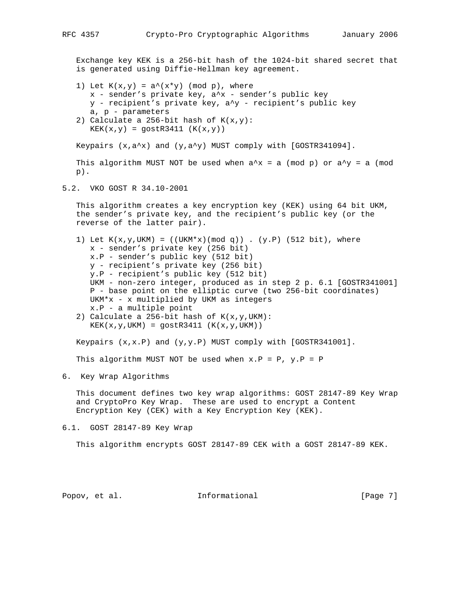Exchange key KEK is a 256-bit hash of the 1024-bit shared secret that is generated using Diffie-Hellman key agreement.

- 1) Let  $K(x,y) = a^*(x*y) \pmod{p}$ , where x - sender's private key, a^x - sender's public key y - recipient's private key, a^y - recipient's public key a, p - parameters
- 2) Calculate a 256-bit hash of  $K(x,y)$ :  $KEK(x,y) = gostR3411 (K(x,y))$

Keypairs  $(x, a^x)$  and  $(y, a^y)$  MUST comply with [GOSTR341094].

This algorithm MUST NOT be used when  $a^x = a \pmod{p}$  or  $a^x = a \pmod{p}$ p).

5.2. VKO GOST R 34.10-2001

 This algorithm creates a key encryption key (KEK) using 64 bit UKM, the sender's private key, and the recipient's public key (or the reverse of the latter pair).

- 1) Let  $K(x,y,UKM) = ((UKM*x)(mod q))$ . (y.P) (512 bit), where x - sender's private key (256 bit) x.P - sender's public key (512 bit) y - recipient's private key (256 bit) y.P - recipient's public key (512 bit) UKM - non-zero integer, produced as in step 2 p. 6.1 [GOSTR341001] P - base point on the elliptic curve (two 256-bit coordinates) UKM\*x - x multiplied by UKM as integers x.P - a multiple point
- 2) Calculate a 256-bit hash of  $K(x,y,UKM)$ :  $KEK(x,y,UKM) = gostR3411 (K(x,y,UKM))$

Keypairs  $(x,x,P)$  and  $(y,y,P)$  MUST comply with  $[GOSTR341001]$ .

This algorithm MUST NOT be used when  $x.P = P$ ,  $y.P = P$ 

6. Key Wrap Algorithms

 This document defines two key wrap algorithms: GOST 28147-89 Key Wrap and CryptoPro Key Wrap. These are used to encrypt a Content Encryption Key (CEK) with a Key Encryption Key (KEK).

6.1. GOST 28147-89 Key Wrap

This algorithm encrypts GOST 28147-89 CEK with a GOST 28147-89 KEK.

Popov, et al. **Informational** [Page 7]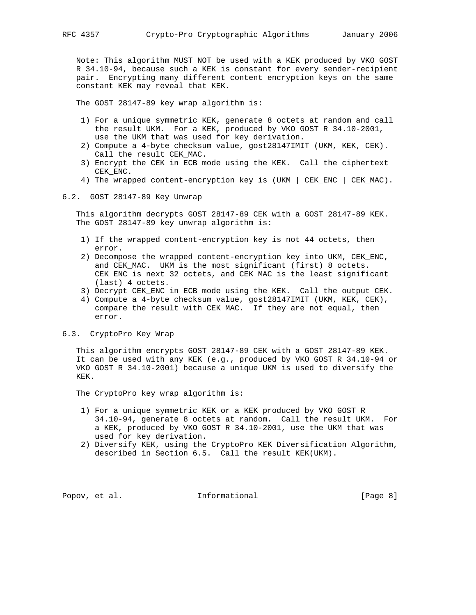Note: This algorithm MUST NOT be used with a KEK produced by VKO GOST R 34.10-94, because such a KEK is constant for every sender-recipient pair. Encrypting many different content encryption keys on the same constant KEK may reveal that KEK.

The GOST 28147-89 key wrap algorithm is:

- 1) For a unique symmetric KEK, generate 8 octets at random and call the result UKM. For a KEK, produced by VKO GOST R 34.10-2001, use the UKM that was used for key derivation.
- 2) Compute a 4-byte checksum value, gost28147IMIT (UKM, KEK, CEK). Call the result CEK\_MAC.
- 3) Encrypt the CEK in ECB mode using the KEK. Call the ciphertext CEK\_ENC.
- 4) The wrapped content-encryption key is (UKM | CEK\_ENC | CEK\_MAC).
- 6.2. GOST 28147-89 Key Unwrap

 This algorithm decrypts GOST 28147-89 CEK with a GOST 28147-89 KEK. The GOST 28147-89 key unwrap algorithm is:

- 1) If the wrapped content-encryption key is not 44 octets, then error.
- 2) Decompose the wrapped content-encryption key into UKM, CEK\_ENC, and CEK\_MAC. UKM is the most significant (first) 8 octets. CEK\_ENC is next 32 octets, and CEK\_MAC is the least significant (last) 4 octets.
- 3) Decrypt CEK\_ENC in ECB mode using the KEK. Call the output CEK.
- 4) Compute a 4-byte checksum value, gost28147IMIT (UKM, KEK, CEK), compare the result with CEK\_MAC. If they are not equal, then error.
- 6.3. CryptoPro Key Wrap

 This algorithm encrypts GOST 28147-89 CEK with a GOST 28147-89 KEK. It can be used with any KEK (e.g., produced by VKO GOST R 34.10-94 or VKO GOST R 34.10-2001) because a unique UKM is used to diversify the KEK.

The CryptoPro key wrap algorithm is:

- 1) For a unique symmetric KEK or a KEK produced by VKO GOST R 34.10-94, generate 8 octets at random. Call the result UKM. For a KEK, produced by VKO GOST R 34.10-2001, use the UKM that was used for key derivation.
- 2) Diversify KEK, using the CryptoPro KEK Diversification Algorithm, described in Section 6.5. Call the result KEK(UKM).

Popov, et al.  $I_n$  Informational  $[Page 8]$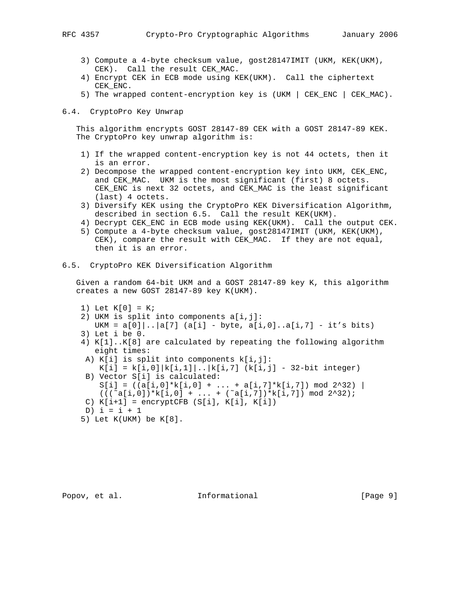- 3) Compute a 4-byte checksum value, gost28147IMIT (UKM, KEK(UKM), CEK). Call the result CEK\_MAC.
- 4) Encrypt CEK in ECB mode using KEK(UKM). Call the ciphertext CEK\_ENC.
- 5) The wrapped content-encryption key is (UKM | CEK\_ENC | CEK\_MAC).

#### 6.4. CryptoPro Key Unwrap

 This algorithm encrypts GOST 28147-89 CEK with a GOST 28147-89 KEK. The CryptoPro key unwrap algorithm is:

- 1) If the wrapped content-encryption key is not 44 octets, then it is an error.
- 2) Decompose the wrapped content-encryption key into UKM, CEK\_ENC, and CEK\_MAC. UKM is the most significant (first) 8 octets. CEK\_ENC is next 32 octets, and CEK\_MAC is the least significant (last) 4 octets.
- 3) Diversify KEK using the CryptoPro KEK Diversification Algorithm, described in section 6.5. Call the result KEK(UKM).
- 4) Decrypt CEK\_ENC in ECB mode using KEK(UKM). Call the output CEK.
- 5) Compute a 4-byte checksum value, gost28147IMIT (UKM, KEK(UKM), CEK), compare the result with CEK\_MAC. If they are not equal, then it is an error.

## 6.5. CryptoPro KEK Diversification Algorithm

 Given a random 64-bit UKM and a GOST 28147-89 key K, this algorithm creates a new GOST 28147-89 key K(UKM).

- 1) Let  $K[0] = K$ ;
- 2) UKM is split into components a[i,j]:
	- UKM =  $a[0] \ldots |a[7]$  ( $a[i]$  byte,  $a[i,0] \ldots a[i,7]$  it's bits)
- 3) Let i be 0.
- 4) K[1]..K[8] are calculated by repeating the following algorithm eight times:
- A) K[i] is split into components k[i,j]:
- $K[i] = k[i,0] |k[i,1]|$ .. $|k[i,7]$  ( $k[i,j]$  32-bit integer) B) Vector S[i] is calculated:
- $S[i] = ((a[i,0]*k[i,0] + ... + a[i,7]*k[i,7]) \mod 2^232)$  $(((\text{``a[i,0])**k[i,0] + ... + (\text{``a[i,7])**k[i,7]}) \mod 2^232);$
- C)  $K[i+1]$  = encryptCFB (S[i],  $K[i]$ ,  $K[i]$ )
- D)  $i = i + 1$
- 5) Let K(UKM) be K[8].

Popov, et al.  $I_n$  Informational [Page 9]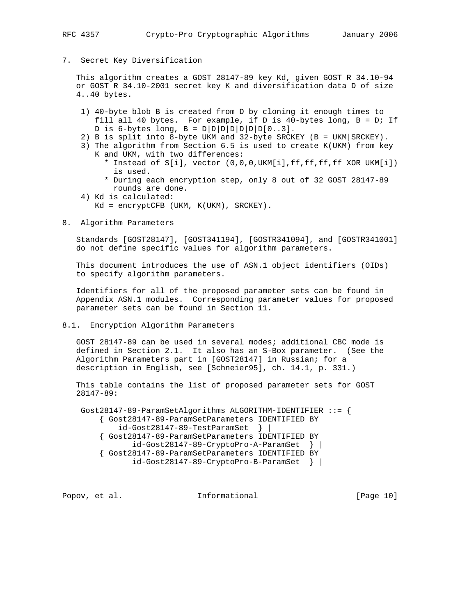7. Secret Key Diversification

 This algorithm creates a GOST 28147-89 key Kd, given GOST R 34.10-94 or GOST R 34.10-2001 secret key K and diversification data D of size 4..40 bytes.

- 1) 40-byte blob B is created from D by cloning it enough times to fill all 40 bytes. For example, if D is 40-bytes long, B = D; If D is 6-bytes long,  $B = D|D|D|D|D|D|D(0..3]$ .
- 2) B is split into 8-byte UKM and 32-byte SRCKEY (B = UKM|SRCKEY).
- 3) The algorithm from Section 6.5 is used to create K(UKM) from key K and UKM, with two differences:
	- \* Instead of S[i], vector (0,0,0,UKM[i],ff,ff,ff,ff XOR UKM[i]) is used.
	- \* During each encryption step, only 8 out of 32 GOST 28147-89 rounds are done.
- 4) Kd is calculated:
	- Kd = encryptCFB (UKM, K(UKM), SRCKEY).
- 8. Algorithm Parameters

 Standards [GOST28147], [GOST341194], [GOSTR341094], and [GOSTR341001] do not define specific values for algorithm parameters.

 This document introduces the use of ASN.1 object identifiers (OIDs) to specify algorithm parameters.

 Identifiers for all of the proposed parameter sets can be found in Appendix ASN.1 modules. Corresponding parameter values for proposed parameter sets can be found in Section 11.

8.1. Encryption Algorithm Parameters

 GOST 28147-89 can be used in several modes; additional CBC mode is defined in Section 2.1. It also has an S-Box parameter. (See the Algorithm Parameters part in [GOST28147] in Russian; for a description in English, see [Schneier95], ch. 14.1, p. 331.)

 This table contains the list of proposed parameter sets for GOST 28147-89:

 Gost28147-89-ParamSetAlgorithms ALGORITHM-IDENTIFIER ::= { { Gost28147-89-ParamSetParameters IDENTIFIED BY id-Gost28147-89-TestParamSet } | { Gost28147-89-ParamSetParameters IDENTIFIED BY id-Gost28147-89-CryptoPro-A-ParamSet } | { Gost28147-89-ParamSetParameters IDENTIFIED BY id-Gost28147-89-CryptoPro-B-ParamSet } |

Popov, et al. **Informational** [Page 10]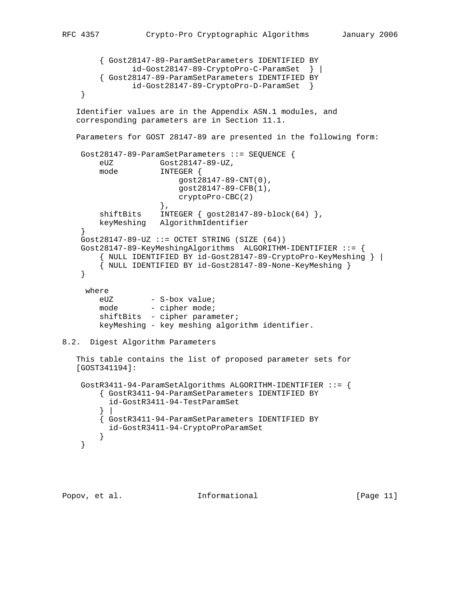```
 { Gost28147-89-ParamSetParameters IDENTIFIED BY
               id-Gost28147-89-CryptoPro-C-ParamSet } |
        { Gost28147-89-ParamSetParameters IDENTIFIED BY
               id-Gost28147-89-CryptoPro-D-ParamSet }
     }
   Identifier values are in the Appendix ASN.1 modules, and
   corresponding parameters are in Section 11.1.
   Parameters for GOST 28147-89 are presented in the following form:
    Gost28147-89-ParamSetParameters ::= SEQUENCE {
        eUZ Gost28147-89-UZ,
        mode INTEGER {
                         gost28147-89-CNT(0),
                         gost28147-89-CFB(1),
                    cryptoPro-CBC(2)<br>},
\},
        shiftBits INTEGER { gost28147-89-block(64) },
        keyMeshing AlgorithmIdentifier
     }
    Gost28147-89-UZ ::= OCTET STRING (SIZE (64))
    Gost28147-89-KeyMeshingAlgorithms ALGORITHM-IDENTIFIER ::= {
        { NULL IDENTIFIED BY id-Gost28147-89-CryptoPro-KeyMeshing } |
        { NULL IDENTIFIED BY id-Gost28147-89-None-KeyMeshing }
     }
     where
eUZ - S-box value;
mode - cipher mode;
       shiftBits - cipher parameter;
        keyMeshing - key meshing algorithm identifier.
8.2. Digest Algorithm Parameters
   This table contains the list of proposed parameter sets for
   [GOST341194]:
    GostR3411-94-ParamSetAlgorithms ALGORITHM-IDENTIFIER ::= {
        { GostR3411-94-ParamSetParameters IDENTIFIED BY
          id-GostR3411-94-TestParamSet
 } |
        { GostR3411-94-ParamSetParameters IDENTIFIED BY
          id-GostR3411-94-CryptoProParamSet
        }
     }
```

```
Popov, et al. Informational [Page 11]
```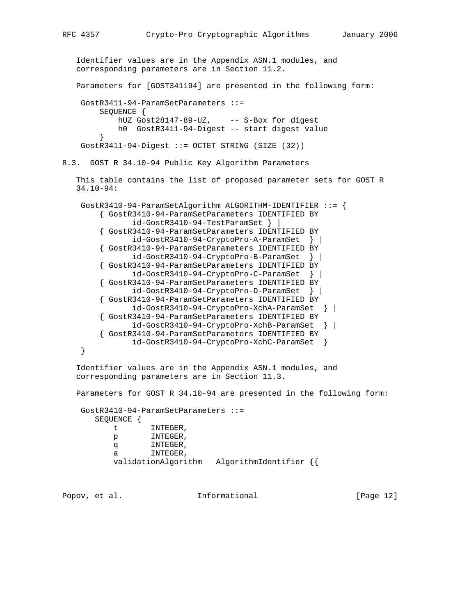```
 Identifier values are in the Appendix ASN.1 modules, and
   corresponding parameters are in Section 11.2.
   Parameters for [GOST341194] are presented in the following form:
    GostR3411-94-ParamSetParameters ::=
        SEQUENCE {
           hUZ Gost28147-89-UZ, -- S-Box for digest
            h0 GostR3411-94-Digest -- start digest value
 }
    GostR3411-94-Digest ::= OCTET STRING (SIZE (32))
8.3. GOST R 34.10-94 Public Key Algorithm Parameters
   This table contains the list of proposed parameter sets for GOST R
   34.10-94:
    GostR3410-94-ParamSetAlgorithm ALGORITHM-IDENTIFIER ::= {
         { GostR3410-94-ParamSetParameters IDENTIFIED BY
               id-GostR3410-94-TestParamSet } |
         { GostR3410-94-ParamSetParameters IDENTIFIED BY
               id-GostR3410-94-CryptoPro-A-ParamSet } |
         { GostR3410-94-ParamSetParameters IDENTIFIED BY
               id-GostR3410-94-CryptoPro-B-ParamSet } |
         { GostR3410-94-ParamSetParameters IDENTIFIED BY
               id-GostR3410-94-CryptoPro-C-ParamSet } |
         { GostR3410-94-ParamSetParameters IDENTIFIED BY
               id-GostR3410-94-CryptoPro-D-ParamSet } |
         { GostR3410-94-ParamSetParameters IDENTIFIED BY
               id-GostR3410-94-CryptoPro-XchA-ParamSet } |
         { GostR3410-94-ParamSetParameters IDENTIFIED BY
               id-GostR3410-94-CryptoPro-XchB-ParamSet } |
         { GostR3410-94-ParamSetParameters IDENTIFIED BY
               id-GostR3410-94-CryptoPro-XchC-ParamSet }
    }
   Identifier values are in the Appendix ASN.1 modules, and
   corresponding parameters are in Section 11.3.
   Parameters for GOST R 34.10-94 are presented in the following form:
    GostR3410-94-ParamSetParameters ::=
       SEQUENCE {
          t INTEGER,
           p INTEGER,
           q INTEGER,
           a INTEGER,
           validationAlgorithm AlgorithmIdentifier {{
Popov, et al. Informational [Page 12]
```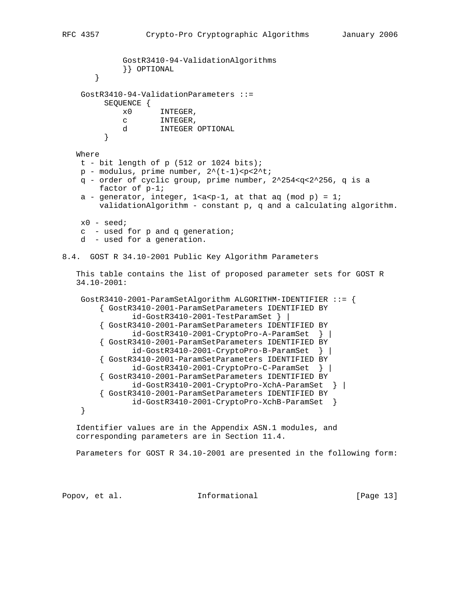```
 GostR3410-94-ValidationAlgorithms
              }} OPTIONAL
        }
     GostR3410-94-ValidationParameters ::=
         SEQUENCE {
              x0 INTEGER,
              c INTEGER,
         d INTEGER OPTIONAL
 }
    Where
   t - bit length of p (512 or 1024 bits);p - modulus, prime number, 2^{\wedge}(t-1) <p<2^t;
    q - order of cyclic group, prime number, 2^254<q<2^256, q is a
        factor of p-1;
    a - generator, integer, 1 < a < p-1, at that aq (mod p) = 1;
        validationAlgorithm - constant p, q and a calculating algorithm.
    x0 - seed;
    c - used for p and q generation;
     d - used for a generation.
8.4. GOST R 34.10-2001 Public Key Algorithm Parameters
    This table contains the list of proposed parameter sets for GOST R
    34.10-2001:
    GostR3410-2001-ParamSetAlgorithm ALGORITHM-IDENTIFIER ::= {
         { GostR3410-2001-ParamSetParameters IDENTIFIED BY
                id-GostR3410-2001-TestParamSet } |
         { GostR3410-2001-ParamSetParameters IDENTIFIED BY
                id-GostR3410-2001-CryptoPro-A-ParamSet } |
         { GostR3410-2001-ParamSetParameters IDENTIFIED BY
                id-GostR3410-2001-CryptoPro-B-ParamSet } |
         { GostR3410-2001-ParamSetParameters IDENTIFIED BY
                id-GostR3410-2001-CryptoPro-C-ParamSet } |
         { GostR3410-2001-ParamSetParameters IDENTIFIED BY
                id-GostR3410-2001-CryptoPro-XchA-ParamSet } |
         { GostR3410-2001-ParamSetParameters IDENTIFIED BY
               id-GostR3410-2001-CryptoPro-XchB-ParamSet }
     }
    Identifier values are in the Appendix ASN.1 modules, and
    corresponding parameters are in Section 11.4.
   Parameters for GOST R 34.10-2001 are presented in the following form:
```
Popov, et al. **Informational** [Page 13]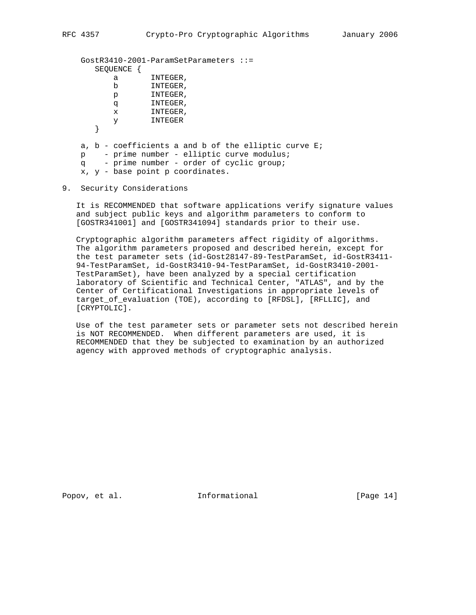```
 GostR3410-2001-ParamSetParameters ::=
      SEQUENCE {
          a INTEGER,
          b INTEGER,
          p INTEGER,
          q INTEGER,
          x INTEGER,
          y INTEGER
       }
    a, b - coefficients a and b of the elliptic curve E;
 p - prime number - elliptic curve modulus;
 q - prime number - order of cyclic group;
    x, y - base point p coordinates.
```
### 9. Security Considerations

 It is RECOMMENDED that software applications verify signature values and subject public keys and algorithm parameters to conform to [GOSTR341001] and [GOSTR341094] standards prior to their use.

 Cryptographic algorithm parameters affect rigidity of algorithms. The algorithm parameters proposed and described herein, except for the test parameter sets (id-Gost28147-89-TestParamSet, id-GostR3411- 94-TestParamSet, id-GostR3410-94-TestParamSet, id-GostR3410-2001- TestParamSet), have been analyzed by a special certification laboratory of Scientific and Technical Center, "ATLAS", and by the Center of Certificational Investigations in appropriate levels of target\_of\_evaluation (TOE), according to [RFDSL], [RFLLIC], and [CRYPTOLIC].

 Use of the test parameter sets or parameter sets not described herein is NOT RECOMMENDED. When different parameters are used, it is RECOMMENDED that they be subjected to examination by an authorized agency with approved methods of cryptographic analysis.

Popov, et al. 10. Informational 1. [Page 14]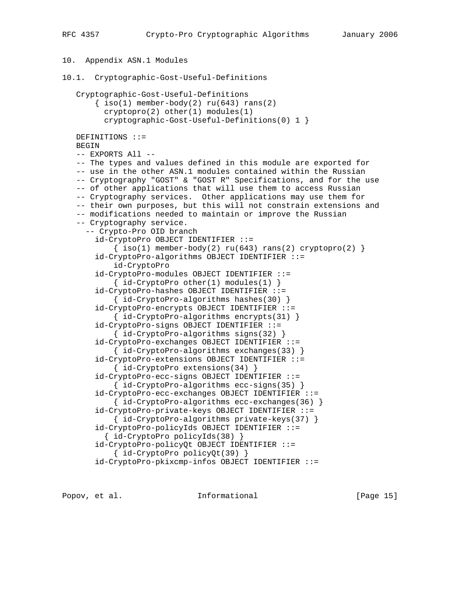10. Appendix ASN.1 Modules

```
10.1. Cryptographic-Gost-Useful-Definitions
    Cryptographic-Gost-Useful-Definitions
       \{\text{iso}(1) \text{ member-body}(2) \text{ ru}(643) \text{ rans}(2)\} cryptopro(2) other(1) modules(1)
          cryptographic-Gost-Useful-Definitions(0) 1 }
   DEFINITIONS ::=
    BEGIN
    -- EXPORTS All --
    -- The types and values defined in this module are exported for
    -- use in the other ASN.1 modules contained within the Russian
    -- Cryptography "GOST" & "GOST R" Specifications, and for the use
    -- of other applications that will use them to access Russian
    -- Cryptography services. Other applications may use them for
    -- their own purposes, but this will not constrain extensions and
    -- modifications needed to maintain or improve the Russian
    -- Cryptography service.
      -- Crypto-Pro OID branch
        id-CryptoPro OBJECT IDENTIFIER ::=
           \{ iso(1) member-body(2) ru(643) rans(2) cryptopro(2) \} id-CryptoPro-algorithms OBJECT IDENTIFIER ::=
            id-CryptoPro
        id-CryptoPro-modules OBJECT IDENTIFIER ::=
           \{ id-CryptoPro other(1) modules(1) \} id-CryptoPro-hashes OBJECT IDENTIFIER ::=
            { id-CryptoPro-algorithms hashes(30) }
        id-CryptoPro-encrypts OBJECT IDENTIFIER ::=
            { id-CryptoPro-algorithms encrypts(31) }
        id-CryptoPro-signs OBJECT IDENTIFIER ::=
            { id-CryptoPro-algorithms signs(32) }
        id-CryptoPro-exchanges OBJECT IDENTIFIER ::=
            { id-CryptoPro-algorithms exchanges(33) }
        id-CryptoPro-extensions OBJECT IDENTIFIER ::=
            { id-CryptoPro extensions(34) }
        id-CryptoPro-ecc-signs OBJECT IDENTIFIER ::=
            { id-CryptoPro-algorithms ecc-signs(35) }
        id-CryptoPro-ecc-exchanges OBJECT IDENTIFIER ::=
            { id-CryptoPro-algorithms ecc-exchanges(36) }
        id-CryptoPro-private-keys OBJECT IDENTIFIER ::=
            { id-CryptoPro-algorithms private-keys(37) }
        id-CryptoPro-policyIds OBJECT IDENTIFIER ::=
          { id-CryptoPro policyIds(38) }
        id-CryptoPro-policyQt OBJECT IDENTIFIER ::=
            { id-CryptoPro policyQt(39) }
        id-CryptoPro-pkixcmp-infos OBJECT IDENTIFIER ::=
```
Popov, et al.  $I_n$  Informational (Page 15)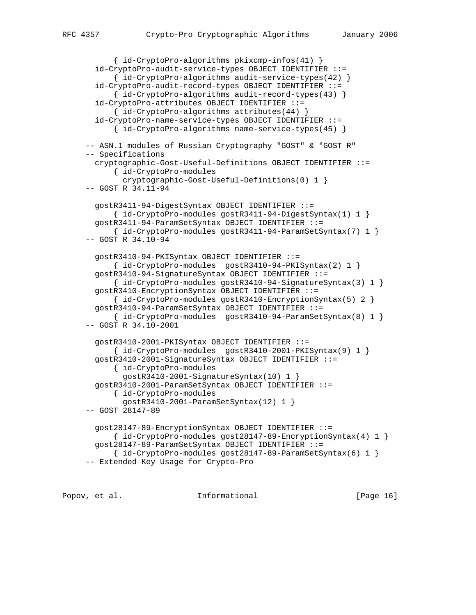```
 { id-CryptoPro-algorithms pkixcmp-infos(41) }
   id-CryptoPro-audit-service-types OBJECT IDENTIFIER ::=
       { id-CryptoPro-algorithms audit-service-types(42) }
   id-CryptoPro-audit-record-types OBJECT IDENTIFIER ::=
       { id-CryptoPro-algorithms audit-record-types(43) }
  id-CryptoPro-attributes OBJECT IDENTIFIER ::=
       { id-CryptoPro-algorithms attributes(44) }
   id-CryptoPro-name-service-types OBJECT IDENTIFIER ::=
       { id-CryptoPro-algorithms name-service-types(45) }
 -- ASN.1 modules of Russian Cryptography "GOST" & "GOST R"
 -- Specifications
  cryptographic-Gost-Useful-Definitions OBJECT IDENTIFIER ::=
       { id-CryptoPro-modules
         cryptographic-Gost-Useful-Definitions(0) 1 }
 -- GOST R 34.11-94
  gostR3411-94-DigestSyntax OBJECT IDENTIFIER ::=
       { id-CryptoPro-modules gostR3411-94-DigestSyntax(1) 1 }
  gostR3411-94-ParamSetSyntax OBJECT IDENTIFIER ::=
       { id-CryptoPro-modules gostR3411-94-ParamSetSyntax(7) 1 }
 -- GOST R 34.10-94
  gostR3410-94-PKISyntax OBJECT IDENTIFIER ::=
       { id-CryptoPro-modules gostR3410-94-PKISyntax(2) 1 }
  gostR3410-94-SignatureSyntax OBJECT IDENTIFIER ::=
       { id-CryptoPro-modules gostR3410-94-SignatureSyntax(3) 1 }
  gostR3410-EncryptionSyntax OBJECT IDENTIFIER ::=
       { id-CryptoPro-modules gostR3410-EncryptionSyntax(5) 2 }
  gostR3410-94-ParamSetSyntax OBJECT IDENTIFIER ::=
       { id-CryptoPro-modules gostR3410-94-ParamSetSyntax(8) 1 }
 -- GOST R 34.10-2001
  gostR3410-2001-PKISyntax OBJECT IDENTIFIER ::=
      \{ id-CryptoPro-modules gostR3410-2001-PKISyntax(9) 1 \} gostR3410-2001-SignatureSyntax OBJECT IDENTIFIER ::=
       { id-CryptoPro-modules
         gostR3410-2001-SignatureSyntax(10) 1 }
  gostR3410-2001-ParamSetSyntax OBJECT IDENTIFIER ::=
       { id-CryptoPro-modules
         gostR3410-2001-ParamSetSyntax(12) 1 }
 -- GOST 28147-89
  gost28147-89-EncryptionSyntax OBJECT IDENTIFIER ::=
      \{ id-CryptographyA-Molules gost28147-89-EncryptionSyntax(4) 1 \} gost28147-89-ParamSetSyntax OBJECT IDENTIFIER ::=
      \{ id-CryptographyIo-modules gost28147-89-ParamSetsyntax(6) 1 \} -- Extended Key Usage for Crypto-Pro
```
Popov, et al. **Informational** [Page 16]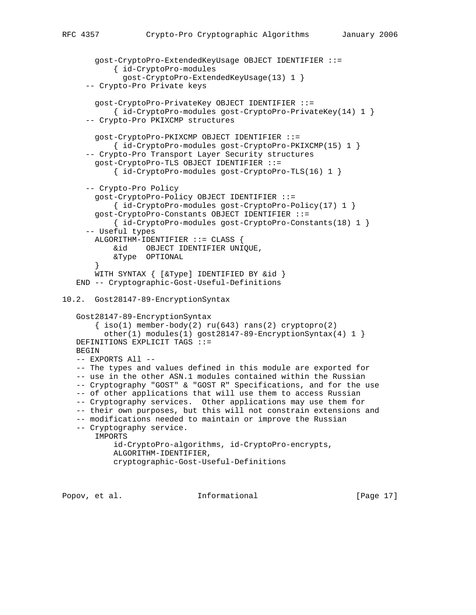```
 gost-CryptoPro-ExtendedKeyUsage OBJECT IDENTIFIER ::=
            { id-CryptoPro-modules
              gost-CryptoPro-ExtendedKeyUsage(13) 1 }
      -- Crypto-Pro Private keys
        gost-CryptoPro-PrivateKey OBJECT IDENTIFIER ::=
            { id-CryptoPro-modules gost-CryptoPro-PrivateKey(14) 1 }
      -- Crypto-Pro PKIXCMP structures
        gost-CryptoPro-PKIXCMP OBJECT IDENTIFIER ::=
            { id-CryptoPro-modules gost-CryptoPro-PKIXCMP(15) 1 }
      -- Crypto-Pro Transport Layer Security structures
        gost-CryptoPro-TLS OBJECT IDENTIFIER ::=
            { id-CryptoPro-modules gost-CryptoPro-TLS(16) 1 }
      -- Crypto-Pro Policy
        gost-CryptoPro-Policy OBJECT IDENTIFIER ::=
            { id-CryptoPro-modules gost-CryptoPro-Policy(17) 1 }
        gost-CryptoPro-Constants OBJECT IDENTIFIER ::=
            { id-CryptoPro-modules gost-CryptoPro-Constants(18) 1 }
      -- Useful types
       ALGORITHM-IDENTIFIER ::= CLASS {
            &id OBJECT IDENTIFIER UNIQUE,
            &Type OPTIONAL
        }
        WITH SYNTAX { [&Type] IDENTIFIED BY &id }
    END -- Cryptographic-Gost-Useful-Definitions
10.2. Gost28147-89-EncryptionSyntax
    Gost28147-89-EncryptionSyntax
       \{ iso(1) member-body(2) ru(643) rans(2) cryptopro(2)other(1) modules(1) gost28147-89-EncryptionSyntax(4) 1 }
   DEFINITIONS EXPLICIT TAGS ::=
   BEGIN
    -- EXPORTS All --
    -- The types and values defined in this module are exported for
    -- use in the other ASN.1 modules contained within the Russian
    -- Cryptography "GOST" & "GOST R" Specifications, and for the use
    -- of other applications that will use them to access Russian
    -- Cryptography services. Other applications may use them for
    -- their own purposes, but this will not constrain extensions and
    -- modifications needed to maintain or improve the Russian
    -- Cryptography service.
       IMPORTS
            id-CryptoPro-algorithms, id-CryptoPro-encrypts,
            ALGORITHM-IDENTIFIER,
            cryptographic-Gost-Useful-Definitions
```
Popov, et al. **Informational** [Page 17]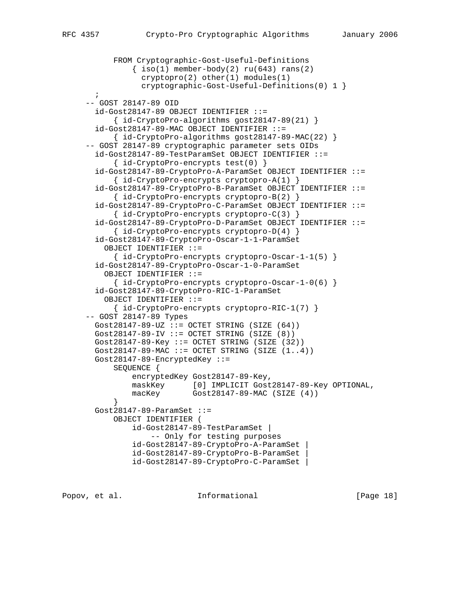```
 FROM Cryptographic-Gost-Useful-Definitions
               \{ iso(1) member-body(2) ru(643) rans(2) cryptopro(2) other(1) modules(1)
                 cryptographic-Gost-Useful-Definitions(0) 1 }
       ;
      -- GOST 28147-89 OID
       id-Gost28147-89 OBJECT IDENTIFIER ::=
            { id-CryptoPro-algorithms gost28147-89(21) }
       id-Gost28147-89-MAC OBJECT IDENTIFIER ::=
            { id-CryptoPro-algorithms gost28147-89-MAC(22) }
      -- GOST 28147-89 cryptographic parameter sets OIDs
       id-Gost28147-89-TestParamSet OBJECT IDENTIFIER ::=
            { id-CryptoPro-encrypts test(0) }
       id-Gost28147-89-CryptoPro-A-ParamSet OBJECT IDENTIFIER ::=
            { id-CryptoPro-encrypts cryptopro-A(1) }
       id-Gost28147-89-CryptoPro-B-ParamSet OBJECT IDENTIFIER ::=
            { id-CryptoPro-encrypts cryptopro-B(2) }
       id-Gost28147-89-CryptoPro-C-ParamSet OBJECT IDENTIFIER ::=
            { id-CryptoPro-encrypts cryptopro-C(3) }
        id-Gost28147-89-CryptoPro-D-ParamSet OBJECT IDENTIFIER ::=
            { id-CryptoPro-encrypts cryptopro-D(4) }
        id-Gost28147-89-CryptoPro-Oscar-1-1-ParamSet
         OBJECT IDENTIFIER ::=
            { id-CryptoPro-encrypts cryptopro-Oscar-1-1(5) }
        id-Gost28147-89-CryptoPro-Oscar-1-0-ParamSet
         OBJECT IDENTIFIER ::=
            { id-CryptoPro-encrypts cryptopro-Oscar-1-0(6) }
        id-Gost28147-89-CryptoPro-RIC-1-ParamSet
         OBJECT IDENTIFIER ::=
            { id-CryptoPro-encrypts cryptopro-RIC-1(7) }
      -- GOST 28147-89 Types
      Gost28147-89-UZ ::= OCTET STRING (SIZE (64))
      Gost28147-89-IV ::= OCTET STRING (SIZE (8))
      Gost28147-89-Key ::= OCTET STRING (SIZE (32))
       Gost28147-89-MAC ::= OCTET STRING (SIZE (1..4))
       Gost28147-89-EncryptedKey ::=
           SEQUENCE {
               encryptedKey Gost28147-89-Key,
 maskKey [0] IMPLICIT Gost28147-89-Key OPTIONAL,
 macKey Gost28147-89-MAC (SIZE (4))
 }
       Gost28147-89-ParamSet ::=
           OBJECT IDENTIFIER (
                id-Gost28147-89-TestParamSet |
                    -- Only for testing purposes
                id-Gost28147-89-CryptoPro-A-ParamSet |
                id-Gost28147-89-CryptoPro-B-ParamSet |
                id-Gost28147-89-CryptoPro-C-ParamSet |
```
Popov, et al. **Informational** [Page 18]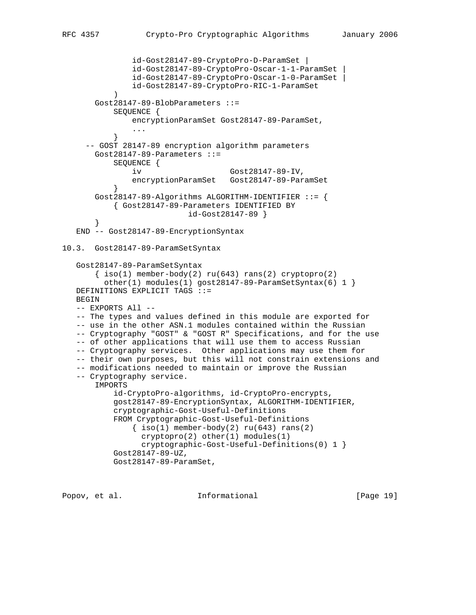```
 id-Gost28147-89-CryptoPro-D-ParamSet |
                id-Gost28147-89-CryptoPro-Oscar-1-1-ParamSet |
                id-Gost28147-89-CryptoPro-Oscar-1-0-ParamSet |
                id-Gost28147-89-CryptoPro-RIC-1-ParamSet
 )
        Gost28147-89-BlobParameters ::=
            SEQUENCE {
                encryptionParamSet Gost28147-89-ParamSet,
 ...
 }
      -- GOST 28147-89 encryption algorithm parameters
        Gost28147-89-Parameters ::=
            SEQUENCE {
                iv Gost28147-89-IV,
                encryptionParamSet Gost28147-89-ParamSet
 }
        Gost28147-89-Algorithms ALGORITHM-IDENTIFIER ::= {
           { Gost28147-89-Parameters IDENTIFIED BY
                            id-Gost28147-89 }
 }
    END -- Gost28147-89-EncryptionSyntax
10.3. Gost28147-89-ParamSetSyntax
    Gost28147-89-ParamSetSyntax
       \{\text{iso}(1) \text{ member-body}(2) \text{ ru}(643) \text{rans}(2) \text{ cryptographic}(2)other(1) modules(1) gost28147-89-ParamSetSyntax(6) 1 }
   DEFINITIONS EXPLICIT TAGS ::=
   BEGIN
    -- EXPORTS All --
    -- The types and values defined in this module are exported for
    -- use in the other ASN.1 modules contained within the Russian
    -- Cryptography "GOST" & "GOST R" Specifications, and for the use
    -- of other applications that will use them to access Russian
    -- Cryptography services. Other applications may use them for
    -- their own purposes, but this will not constrain extensions and
    -- modifications needed to maintain or improve the Russian
    -- Cryptography service.
        IMPORTS
            id-CryptoPro-algorithms, id-CryptoPro-encrypts,
            gost28147-89-EncryptionSyntax, ALGORITHM-IDENTIFIER,
            cryptographic-Gost-Useful-Definitions
            FROM Cryptographic-Gost-Useful-Definitions
               \{ iso(1) member-body(2) ru(643) rans(2)cryptopro(2) other(1) modules(1) cryptographic-Gost-Useful-Definitions(0) 1 }
            Gost28147-89-UZ,
            Gost28147-89-ParamSet,
```
Popov, et al.  $I_n$  Informational [Page 19]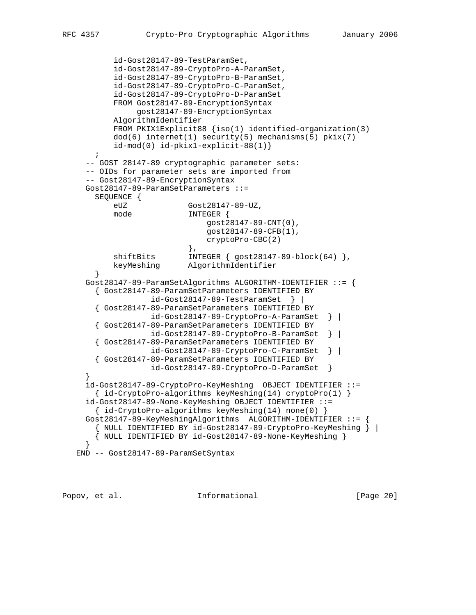```
 id-Gost28147-89-TestParamSet,
           id-Gost28147-89-CryptoPro-A-ParamSet,
           id-Gost28147-89-CryptoPro-B-ParamSet,
           id-Gost28147-89-CryptoPro-C-ParamSet,
           id-Gost28147-89-CryptoPro-D-ParamSet
           FROM Gost28147-89-EncryptionSyntax
                gost28147-89-EncryptionSyntax
           AlgorithmIdentifier
           FROM PKIX1Explicit88 {iso(1) identified-organization(3)
           dod(6) internet(1) security(5) mechanisms(5) pkix(7)
           id-mod(0) id-pkix1-explicit-88(1)}
       ;
     -- GOST 28147-89 cryptographic parameter sets:
     -- OIDs for parameter sets are imported from
     -- Gost28147-89-EncryptionSyntax
     Gost28147-89-ParamSetParameters ::=
       SEQUENCE {
           eUZ Gost28147-89-UZ,
           mode INTEGER {
                               gost28147-89-CNT(0),
                               gost28147-89-CFB(1),
                               cryptoPro-CBC(2)
, and the contract of \{ \} , \{ \}shiftBits INTEGER { gost28147-89-block(64) },
          keyMeshing AlgorithmIdentifier
        }
     Gost28147-89-ParamSetAlgorithms ALGORITHM-IDENTIFIER ::= {
       { Gost28147-89-ParamSetParameters IDENTIFIED BY
                    id-Gost28147-89-TestParamSet } |
        { Gost28147-89-ParamSetParameters IDENTIFIED BY
                    id-Gost28147-89-CryptoPro-A-ParamSet } |
        { Gost28147-89-ParamSetParameters IDENTIFIED BY
                    id-Gost28147-89-CryptoPro-B-ParamSet } |
        { Gost28147-89-ParamSetParameters IDENTIFIED BY
                    id-Gost28147-89-CryptoPro-C-ParamSet } |
       { Gost28147-89-ParamSetParameters IDENTIFIED BY
                   id-Gost28147-89-CryptoPro-D-ParamSet }
 }
     id-Gost28147-89-CryptoPro-KeyMeshing OBJECT IDENTIFIER ::=
       { id-CryptoPro-algorithms keyMeshing(14) cryptoPro(1) }
     id-Gost28147-89-None-KeyMeshing OBJECT IDENTIFIER ::=
       { id-CryptoPro-algorithms keyMeshing(14) none(0) }
     Gost28147-89-KeyMeshingAlgorithms ALGORITHM-IDENTIFIER ::= {
       { NULL IDENTIFIED BY id-Gost28147-89-CryptoPro-KeyMeshing } |
       { NULL IDENTIFIED BY id-Gost28147-89-None-KeyMeshing }
     }
   END -- Gost28147-89-ParamSetSyntax
```
Popov, et al. **Informational** [Page 20]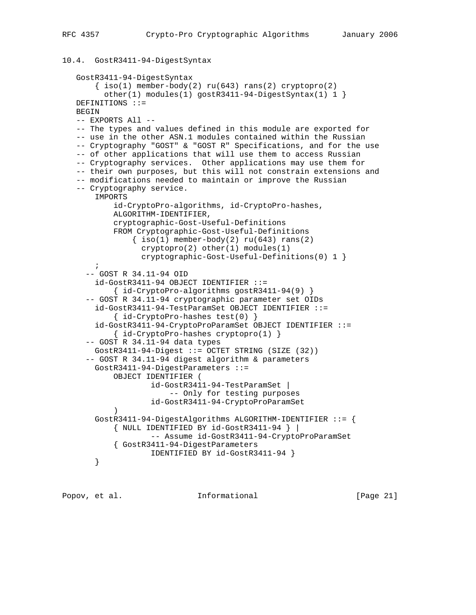# 10.4. GostR3411-94-DigestSyntax

```
 GostR3411-94-DigestSyntax
       \{ iso(1) member-body(2) ru(643) rans(2) cryptopro(2)other(1) modules(1) gostR3411-94-DigestSyntax(1) 1 }
   DEFINITIONS ::=
   BEGIN
   -- EXPORTS All --
   -- The types and values defined in this module are exported for
   -- use in the other ASN.1 modules contained within the Russian
   -- Cryptography "GOST" & "GOST R" Specifications, and for the use
   -- of other applications that will use them to access Russian
   -- Cryptography services. Other applications may use them for
   -- their own purposes, but this will not constrain extensions and
    -- modifications needed to maintain or improve the Russian
   -- Cryptography service.
       IMPORTS
            id-CryptoPro-algorithms, id-CryptoPro-hashes,
            ALGORITHM-IDENTIFIER,
            cryptographic-Gost-Useful-Definitions
            FROM Cryptographic-Gost-Useful-Definitions
               \{ iso(1) member-body(2) ru(643) rans(2)cryptopro(2) other(1) modules(1) cryptographic-Gost-Useful-Definitions(0) 1 }
       ;
      -- GOST R 34.11-94 OID
        id-GostR3411-94 OBJECT IDENTIFIER ::=
            { id-CryptoPro-algorithms gostR3411-94(9) }
      -- GOST R 34.11-94 cryptographic parameter set OIDs
        id-GostR3411-94-TestParamSet OBJECT IDENTIFIER ::=
            { id-CryptoPro-hashes test(0) }
        id-GostR3411-94-CryptoProParamSet OBJECT IDENTIFIER ::=
            { id-CryptoPro-hashes cryptopro(1) }
      -- GOST R 34.11-94 data types
       GostR3411-94-Digest ::= OCTET STRING (SIZE (32))
      -- GOST R 34.11-94 digest algorithm & parameters
       GostR3411-94-DigestParameters ::=
           OBJECT IDENTIFIER (
                    id-GostR3411-94-TestParamSet |
                        -- Only for testing purposes
                    id-GostR3411-94-CryptoProParamSet
\overline{\phantom{a}} GostR3411-94-DigestAlgorithms ALGORITHM-IDENTIFIER ::= {
            { NULL IDENTIFIED BY id-GostR3411-94 } |
                    -- Assume id-GostR3411-94-CryptoProParamSet
            { GostR3411-94-DigestParameters
                    IDENTIFIED BY id-GostR3411-94 }
        }
```
Popov, et al. **Informational** [Page 21]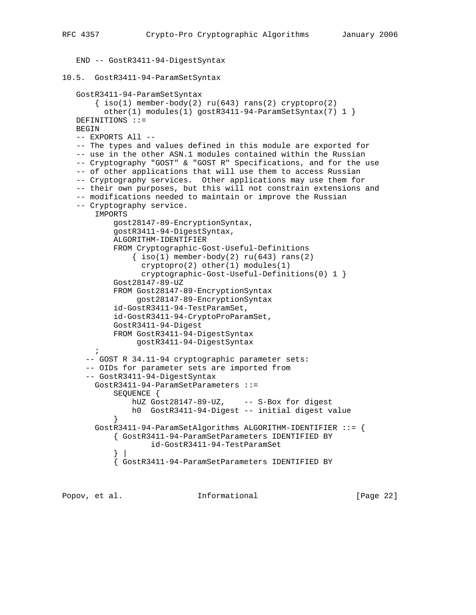```
 END -- GostR3411-94-DigestSyntax
```

```
10.5. GostR3411-94-ParamSetSyntax
```

```
 GostR3411-94-ParamSetSyntax
       \{\text{iso}(1) \text{ member-body}(2) \text{ ru}(643) \text{rans}(2) \text{ cryptopro}(2) other(1) modules(1) gostR3411-94-ParamSetSyntax(7) 1 }
   DEFINITIONS ::=
   BEGIN
   -- EXPORTS All --
   -- The types and values defined in this module are exported for
   -- use in the other ASN.1 modules contained within the Russian
   -- Cryptography "GOST" & "GOST R" Specifications, and for the use
   -- of other applications that will use them to access Russian
   -- Cryptography services. Other applications may use them for
   -- their own purposes, but this will not constrain extensions and
   -- modifications needed to maintain or improve the Russian
   -- Cryptography service.
        IMPORTS
            gost28147-89-EncryptionSyntax,
            gostR3411-94-DigestSyntax,
            ALGORITHM-IDENTIFIER
            FROM Cryptographic-Gost-Useful-Definitions
               \{\text{iso}(1) \text{ member-body}(2) \text{ ru}(643) \text{ rans}(2)\} cryptopro(2) other(1) modules(1)
                  cryptographic-Gost-Useful-Definitions(0) 1 }
            Gost28147-89-UZ
            FROM Gost28147-89-EncryptionSyntax
                 gost28147-89-EncryptionSyntax
            id-GostR3411-94-TestParamSet,
            id-GostR3411-94-CryptoProParamSet,
            GostR3411-94-Digest
            FROM GostR3411-94-DigestSyntax
                 gostR3411-94-DigestSyntax
      \ddot{i} -- GOST R 34.11-94 cryptographic parameter sets:
      -- OIDs for parameter sets are imported from
      -- GostR3411-94-DigestSyntax
        GostR3411-94-ParamSetParameters ::=
            SEQUENCE {
               hUZ Gost28147-89-UZ, -- S-Box for digest
                h0 GostR3411-94-Digest -- initial digest value
 }
        GostR3411-94-ParamSetAlgorithms ALGORITHM-IDENTIFIER ::= {
            { GostR3411-94-ParamSetParameters IDENTIFIED BY
                     id-GostR3411-94-TestParamSet
 } |
            { GostR3411-94-ParamSetParameters IDENTIFIED BY
```
Popov, et al. **Informational** [Page 22]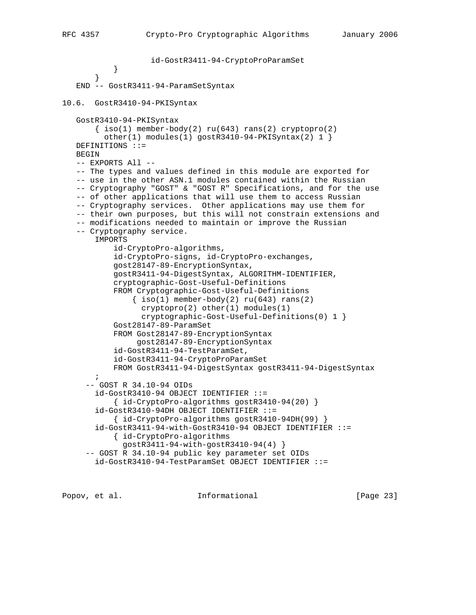```
 id-GostR3411-94-CryptoProParamSet
 }
 }
    END -- GostR3411-94-ParamSetSyntax
10.6. GostR3410-94-PKISyntax
    GostR3410-94-PKISyntax
       \{\text{iso}(1) \text{ member-body}(2) \text{ ru}(643) \text{rans}(2) \text{ cryptopro}(2)other(1) modules(1) gostR3410-94-PKISyntax(2) 1 }
    DEFINITIONS ::=
    BEGIN
    -- EXPORTS All --
    -- The types and values defined in this module are exported for
    -- use in the other ASN.1 modules contained within the Russian
    -- Cryptography "GOST" & "GOST R" Specifications, and for the use
    -- of other applications that will use them to access Russian
    -- Cryptography services. Other applications may use them for
    -- their own purposes, but this will not constrain extensions and
    -- modifications needed to maintain or improve the Russian
    -- Cryptography service.
        IMPORTS
            id-CryptoPro-algorithms,
            id-CryptoPro-signs, id-CryptoPro-exchanges,
            gost28147-89-EncryptionSyntax,
            gostR3411-94-DigestSyntax, ALGORITHM-IDENTIFIER,
            cryptographic-Gost-Useful-Definitions
            FROM Cryptographic-Gost-Useful-Definitions
               \{ iso(1) member-body(2) ru(643) rans(2) cryptopro(2) other(1) modules(1)
                  cryptographic-Gost-Useful-Definitions(0) 1 }
            Gost28147-89-ParamSet
            FROM Gost28147-89-EncryptionSyntax
                 gost28147-89-EncryptionSyntax
            id-GostR3411-94-TestParamSet,
            id-GostR3411-94-CryptoProParamSet
            FROM GostR3411-94-DigestSyntax gostR3411-94-DigestSyntax
\mathcal{L}^{\text{max}} -- GOST R 34.10-94 OIDs
        id-GostR3410-94 OBJECT IDENTIFIER ::=
            { id-CryptoPro-algorithms gostR3410-94(20) }
        id-GostR3410-94DH OBJECT IDENTIFIER ::=
            { id-CryptoPro-algorithms gostR3410-94DH(99) }
        id-GostR3411-94-with-GostR3410-94 OBJECT IDENTIFIER ::=
            { id-CryptoPro-algorithms
              gostR3411-94-with-gostR3410-94(4) }
      -- GOST R 34.10-94 public key parameter set OIDs
        id-GostR3410-94-TestParamSet OBJECT IDENTIFIER ::=
```
Popov, et al. **Informational** [Page 23]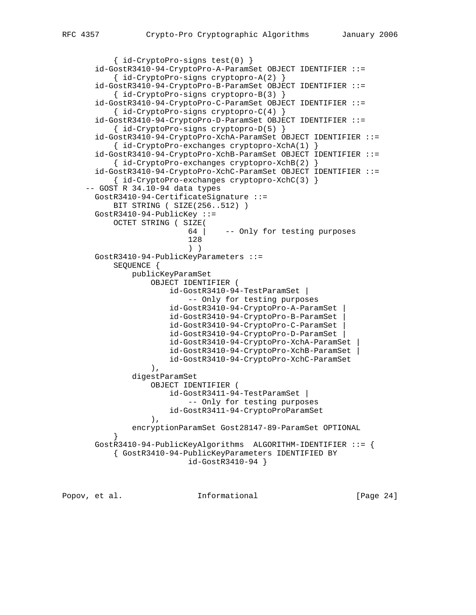```
 { id-CryptoPro-signs test(0) }
       id-GostR3410-94-CryptoPro-A-ParamSet OBJECT IDENTIFIER ::=
           { id-CryptoPro-signs cryptopro-A(2) }
       id-GostR3410-94-CryptoPro-B-ParamSet OBJECT IDENTIFIER ::=
           { id-CryptoPro-signs cryptopro-B(3) }
       id-GostR3410-94-CryptoPro-C-ParamSet OBJECT IDENTIFIER ::=
           { id-CryptoPro-signs cryptopro-C(4) }
       id-GostR3410-94-CryptoPro-D-ParamSet OBJECT IDENTIFIER ::=
           { id-CryptoPro-signs cryptopro-D(5) }
       id-GostR3410-94-CryptoPro-XchA-ParamSet OBJECT IDENTIFIER ::=
           { id-CryptoPro-exchanges cryptopro-XchA(1) }
       id-GostR3410-94-CryptoPro-XchB-ParamSet OBJECT IDENTIFIER ::=
           { id-CryptoPro-exchanges cryptopro-XchB(2) }
       id-GostR3410-94-CryptoPro-XchC-ParamSet OBJECT IDENTIFIER ::=
           { id-CryptoPro-exchanges cryptopro-XchC(3) }
     -- GOST R 34.10-94 data types
       GostR3410-94-CertificateSignature ::=
           BIT STRING ( SIZE(256..512) )
       GostR3410-94-PublicKey ::=
           OCTET STRING ( SIZE(
                           64 | -- Only for testing purposes
 128
 ) )
       GostR3410-94-PublicKeyParameters ::=
           SEQUENCE {
               publicKeyParamSet
                   OBJECT IDENTIFIER (
                       id-GostR3410-94-TestParamSet |
                           -- Only for testing purposes
                       id-GostR3410-94-CryptoPro-A-ParamSet |
                       id-GostR3410-94-CryptoPro-B-ParamSet |
                       id-GostR3410-94-CryptoPro-C-ParamSet |
                       id-GostR3410-94-CryptoPro-D-ParamSet |
                       id-GostR3410-94-CryptoPro-XchA-ParamSet |
                       id-GostR3410-94-CryptoPro-XchB-ParamSet |
                       id-GostR3410-94-CryptoPro-XchC-ParamSet
 ),
               digestParamSet
                   OBJECT IDENTIFIER (
                       id-GostR3411-94-TestParamSet |
                           -- Only for testing purposes
                       id-GostR3411-94-CryptoProParamSet
 ),
               encryptionParamSet Gost28147-89-ParamSet OPTIONAL
 }
       GostR3410-94-PublicKeyAlgorithms ALGORITHM-IDENTIFIER ::= {
           { GostR3410-94-PublicKeyParameters IDENTIFIED BY
                           id-GostR3410-94 }
```
Popov, et al.  $I_n$  Informational [Page 24]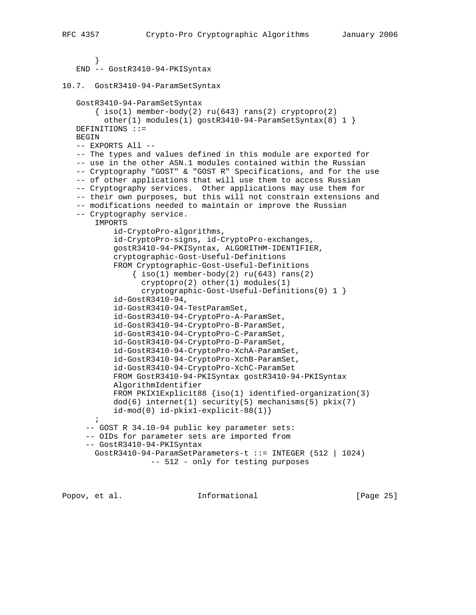```
 }
    END -- GostR3410-94-PKISyntax
10.7. GostR3410-94-ParamSetSyntax
    GostR3410-94-ParamSetSyntax
       \{ iso(1) member-body(2) ru(643) rans(2) cryptopro(2)other(1) modules(1) gostR3410-94-ParamSetSyntax(8) 1 }
   DEFINITIONS ::=
   BEGIN
    -- EXPORTS All --
    -- The types and values defined in this module are exported for
    -- use in the other ASN.1 modules contained within the Russian
    -- Cryptography "GOST" & "GOST R" Specifications, and for the use
    -- of other applications that will use them to access Russian
    -- Cryptography services. Other applications may use them for
    -- their own purposes, but this will not constrain extensions and
    -- modifications needed to maintain or improve the Russian
    -- Cryptography service.
       IMPORTS
            id-CryptoPro-algorithms,
            id-CryptoPro-signs, id-CryptoPro-exchanges,
            gostR3410-94-PKISyntax, ALGORITHM-IDENTIFIER,
            cryptographic-Gost-Useful-Definitions
            FROM Cryptographic-Gost-Useful-Definitions
               \{ iso(1) member-body(2) ru(643) rans(2)cryptopro(2) other(1) modules(1) cryptographic-Gost-Useful-Definitions(0) 1 }
            id-GostR3410-94,
            id-GostR3410-94-TestParamSet,
            id-GostR3410-94-CryptoPro-A-ParamSet,
            id-GostR3410-94-CryptoPro-B-ParamSet,
            id-GostR3410-94-CryptoPro-C-ParamSet,
            id-GostR3410-94-CryptoPro-D-ParamSet,
            id-GostR3410-94-CryptoPro-XchA-ParamSet,
            id-GostR3410-94-CryptoPro-XchB-ParamSet,
            id-GostR3410-94-CryptoPro-XchC-ParamSet
            FROM GostR3410-94-PKISyntax gostR3410-94-PKISyntax
            AlgorithmIdentifier
            FROM PKIX1Explicit88 {iso(1) identified-organization(3)
            dod(6) internet(1) security(5) mechanisms(5) pkix(7)
            id-mod(0) id-pkix1-explicit-88(1)}
       ;
      -- GOST R 34.10-94 public key parameter sets:
      -- OIDs for parameter sets are imported from
      -- GostR3410-94-PKISyntax
       GostR3410-94-ParamSetParameters-t ::= INTEGER (512 | 1024)
                    -- 512 - only for testing purposes
```
Popov, et al. **Informational** [Page 25]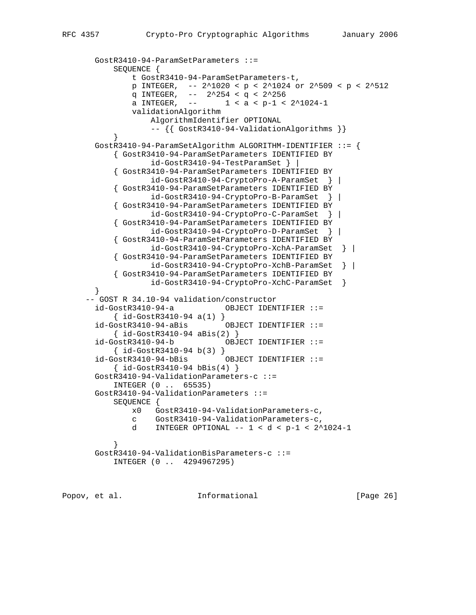```
 GostR3410-94-ParamSetParameters ::=
           SEQUENCE {
               t GostR3410-94-ParamSetParameters-t,
               p INTEGER, -- 2^1020 < p < 2^1024 or 2^509 < p < 2^512
               q INTEGER, -- 2^254 < q < 2^256
              a INTEGER, -- 1 < a < p-1 < 2^1024-1 validationAlgorithm
                   AlgorithmIdentifier OPTIONAL
                   -- {{ GostR3410-94-ValidationAlgorithms }}
 }
       GostR3410-94-ParamSetAlgorithm ALGORITHM-IDENTIFIER ::= {
           { GostR3410-94-ParamSetParameters IDENTIFIED BY
                   id-GostR3410-94-TestParamSet } |
           { GostR3410-94-ParamSetParameters IDENTIFIED BY
                   id-GostR3410-94-CryptoPro-A-ParamSet } |
            { GostR3410-94-ParamSetParameters IDENTIFIED BY
                   id-GostR3410-94-CryptoPro-B-ParamSet } |
            { GostR3410-94-ParamSetParameters IDENTIFIED BY
                   id-GostR3410-94-CryptoPro-C-ParamSet } |
            { GostR3410-94-ParamSetParameters IDENTIFIED BY
                   id-GostR3410-94-CryptoPro-D-ParamSet } |
            { GostR3410-94-ParamSetParameters IDENTIFIED BY
                   id-GostR3410-94-CryptoPro-XchA-ParamSet } |
            { GostR3410-94-ParamSetParameters IDENTIFIED BY
                   id-GostR3410-94-CryptoPro-XchB-ParamSet } |
            { GostR3410-94-ParamSetParameters IDENTIFIED BY
                  id-GostR3410-94-CryptoPro-XchC-ParamSet }
       }
     -- GOST R 34.10-94 validation/constructor
       id-GostR3410-94-a OBJECT IDENTIFIER ::=
           { id-GostR3410-94 a(1) }
       id-GostR3410-94-aBis OBJECT IDENTIFIER ::=
          \{ id-GostR3410-94 \text{ aBis}(2) \} id-GostR3410-94-b OBJECT IDENTIFIER ::=
            { id-GostR3410-94 b(3) }
       id-GostR3410-94-bBis OBJECT IDENTIFIER ::=
           \{ id-GostR3410-94 bBis(4) \} GostR3410-94-ValidationParameters-c ::=
           INTEGER (0 .. 65535)
       GostR3410-94-ValidationParameters ::=
           SEQUENCE {
               x0 GostR3410-94-ValidationParameters-c,
               c GostR3410-94-ValidationParameters-c,
               d INTEGER OPTIONAL -- 1 < d < p-1 < 2^1024-1
 }
       GostR3410-94-ValidationBisParameters-c ::=
           INTEGER (0 .. 4294967295)
```
Popov, et al. **Informational** [Page 26]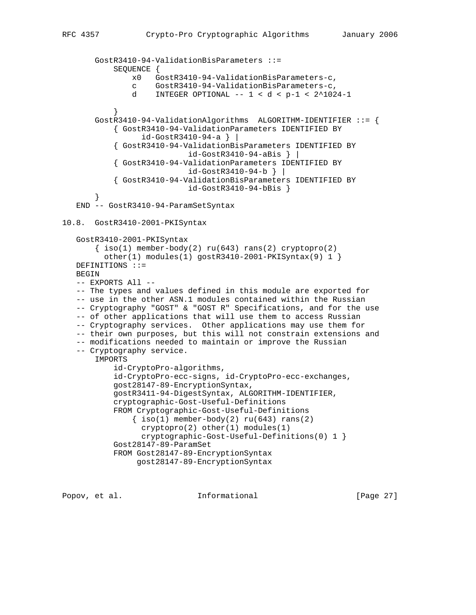```
 GostR3410-94-ValidationBisParameters ::=
            SEQUENCE {
                x0 GostR3410-94-ValidationBisParameters-c,
                c GostR3410-94-ValidationBisParameters-c,
                d INTEGER OPTIONAL -- 1 < d < p-1 < 2^1024-1
 }
        GostR3410-94-ValidationAlgorithms ALGORITHM-IDENTIFIER ::= {
            { GostR3410-94-ValidationParameters IDENTIFIED BY
                  id-GostR3410-94-a } |
            { GostR3410-94-ValidationBisParameters IDENTIFIED BY
                            id-GostR3410-94-aBis } |
            { GostR3410-94-ValidationParameters IDENTIFIED BY
                            id-GostR3410-94-b } |
            { GostR3410-94-ValidationBisParameters IDENTIFIED BY
                            id-GostR3410-94-bBis }
 }
    END -- GostR3410-94-ParamSetSyntax
10.8. GostR3410-2001-PKISyntax
    GostR3410-2001-PKISyntax
       \{ iso(1) member-body(2) ru(643) rans(2) cryptopro(2)other(1) modules(1) gostR3410-2001-PKISyntax(9) 1 }
   DEFINITIONS ::=
    BEGIN
    -- EXPORTS All --
    -- The types and values defined in this module are exported for
    -- use in the other ASN.1 modules contained within the Russian
    -- Cryptography "GOST" & "GOST R" Specifications, and for the use
    -- of other applications that will use them to access Russian
    -- Cryptography services. Other applications may use them for
    -- their own purposes, but this will not constrain extensions and
    -- modifications needed to maintain or improve the Russian
    -- Cryptography service.
        IMPORTS
            id-CryptoPro-algorithms,
            id-CryptoPro-ecc-signs, id-CryptoPro-ecc-exchanges,
            gost28147-89-EncryptionSyntax,
            gostR3411-94-DigestSyntax, ALGORITHM-IDENTIFIER,
            cryptographic-Gost-Useful-Definitions
            FROM Cryptographic-Gost-Useful-Definitions
               \{ iso(1) member-body(2) ru(643) rans(2)cryptopro(2) other(1) modules(1) cryptographic-Gost-Useful-Definitions(0) 1 }
            Gost28147-89-ParamSet
            FROM Gost28147-89-EncryptionSyntax
                 gost28147-89-EncryptionSyntax
```
Popov, et al.  $I_n$  Informational [Page 27]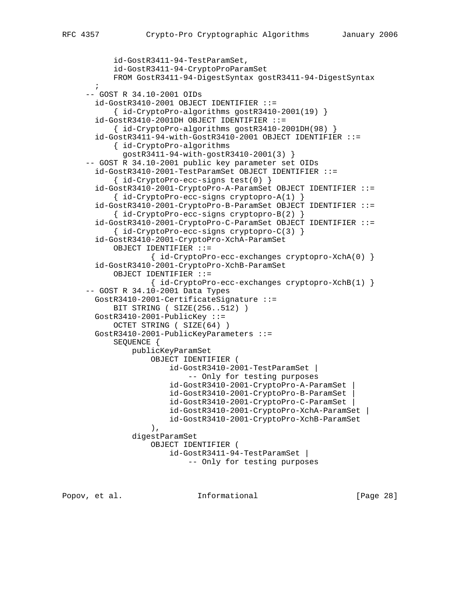```
 id-GostR3411-94-TestParamSet,
            id-GostR3411-94-CryptoProParamSet
            FROM GostR3411-94-DigestSyntax gostR3411-94-DigestSyntax
\mathcal{L}^{\text{max}} -- GOST R 34.10-2001 OIDs
        id-GostR3410-2001 OBJECT IDENTIFIER ::=
            { id-CryptoPro-algorithms gostR3410-2001(19) }
        id-GostR3410-2001DH OBJECT IDENTIFIER ::=
            { id-CryptoPro-algorithms gostR3410-2001DH(98) }
        id-GostR3411-94-with-GostR3410-2001 OBJECT IDENTIFIER ::=
            { id-CryptoPro-algorithms
              gostR3411-94-with-gostR3410-2001(3) }
      -- GOST R 34.10-2001 public key parameter set OIDs
        id-GostR3410-2001-TestParamSet OBJECT IDENTIFIER ::=
            { id-CryptoPro-ecc-signs test(0) }
        id-GostR3410-2001-CryptoPro-A-ParamSet OBJECT IDENTIFIER ::=
            { id-CryptoPro-ecc-signs cryptopro-A(1) }
        id-GostR3410-2001-CryptoPro-B-ParamSet OBJECT IDENTIFIER ::=
            { id-CryptoPro-ecc-signs cryptopro-B(2) }
        id-GostR3410-2001-CryptoPro-C-ParamSet OBJECT IDENTIFIER ::=
            { id-CryptoPro-ecc-signs cryptopro-C(3) }
        id-GostR3410-2001-CryptoPro-XchA-ParamSet
            OBJECT IDENTIFIER ::=
                    { id-CryptoPro-ecc-exchanges cryptopro-XchA(0) }
        id-GostR3410-2001-CryptoPro-XchB-ParamSet
            OBJECT IDENTIFIER ::=
                    { id-CryptoPro-ecc-exchanges cryptopro-XchB(1) }
      -- GOST R 34.10-2001 Data Types
       GostR3410-2001-CertificateSignature ::=
            BIT STRING ( SIZE(256..512) )
        GostR3410-2001-PublicKey ::=
            OCTET STRING ( SIZE(64) )
        GostR3410-2001-PublicKeyParameters ::=
            SEQUENCE {
                publicKeyParamSet
                    OBJECT IDENTIFIER (
                        id-GostR3410-2001-TestParamSet |
                            -- Only for testing purposes
                        id-GostR3410-2001-CryptoPro-A-ParamSet |
                        id-GostR3410-2001-CryptoPro-B-ParamSet |
                        id-GostR3410-2001-CryptoPro-C-ParamSet |
                        id-GostR3410-2001-CryptoPro-XchA-ParamSet |
                        id-GostR3410-2001-CryptoPro-XchB-ParamSet
 ),
                digestParamSet
                    OBJECT IDENTIFIER (
                        id-GostR3411-94-TestParamSet |
                             -- Only for testing purposes
```
Popov, et al. **Informational** [Page 28]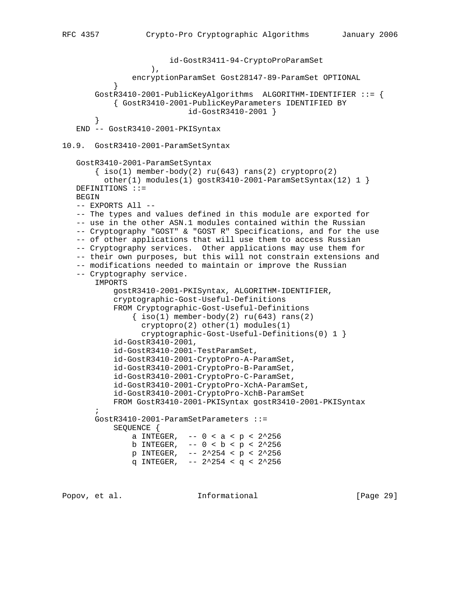```
 id-GostR3411-94-CryptoProParamSet
 ),
                 encryptionParamSet Gost28147-89-ParamSet OPTIONAL
 }
        GostR3410-2001-PublicKeyAlgorithms ALGORITHM-IDENTIFIER ::= {
            { GostR3410-2001-PublicKeyParameters IDENTIFIED BY
                             id-GostR3410-2001 }
        }
    END -- GostR3410-2001-PKISyntax
10.9. GostR3410-2001-ParamSetSyntax
    GostR3410-2001-ParamSetSyntax
       \{\text{iso}(1) \text{ member-body}(2) \text{ ru}(643) \text{rans}(2) \text{ cryptographic}(2)other(1) modules(1) gostR3410-2001-ParamSetSyntax(12) 1 }
    DEFINITIONS ::=
   BEGIN
    -- EXPORTS All --
    -- The types and values defined in this module are exported for
    -- use in the other ASN.1 modules contained within the Russian
    -- Cryptography "GOST" & "GOST R" Specifications, and for the use
    -- of other applications that will use them to access Russian
    -- Cryptography services. Other applications may use them for
    -- their own purposes, but this will not constrain extensions and
    -- modifications needed to maintain or improve the Russian
    -- Cryptography service.
        IMPORTS
            gostR3410-2001-PKISyntax, ALGORITHM-IDENTIFIER,
            cryptographic-Gost-Useful-Definitions
            FROM Cryptographic-Gost-Useful-Definitions
                \{\text{iso}(1) \text{ member-body}(2) \text{ ru}(643) \text{ rans}(2)\}cryptopro(2) other(1) modules(1) cryptographic-Gost-Useful-Definitions(0) 1 }
            id-GostR3410-2001,
            id-GostR3410-2001-TestParamSet,
            id-GostR3410-2001-CryptoPro-A-ParamSet,
            id-GostR3410-2001-CryptoPro-B-ParamSet,
            id-GostR3410-2001-CryptoPro-C-ParamSet,
            id-GostR3410-2001-CryptoPro-XchA-ParamSet,
            id-GostR3410-2001-CryptoPro-XchB-ParamSet
            FROM GostR3410-2001-PKISyntax gostR3410-2001-PKISyntax
\mathcal{L}^{\text{max}} GostR3410-2001-ParamSetParameters ::=
            SEQUENCE {
                a INTEGER, - - 0 < a < p < 2^2 256b INTEGER, - - 0 < b < p < 2^2 256 p INTEGER, -- 2^254 < p < 2^256
               q INTEGER, - - 2^2 254 < q < 2^2 256
```
Popov, et al. **Informational** [Page 29]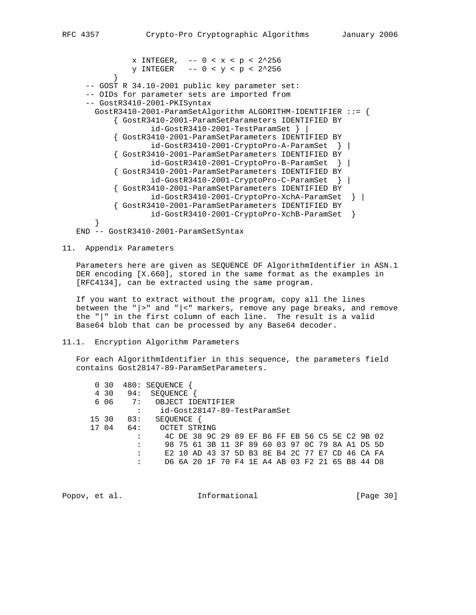x INTEGER,  $- - 0 < x < p < 2^2256$ y INTEGER  $- - 0 < y < p < 2^2256$  } -- GOST R 34.10-2001 public key parameter set: -- OIDs for parameter sets are imported from -- GostR3410-2001-PKISyntax GostR3410-2001-ParamSetAlgorithm ALGORITHM-IDENTIFIER ::= { { GostR3410-2001-ParamSetParameters IDENTIFIED BY id-GostR3410-2001-TestParamSet } | { GostR3410-2001-ParamSetParameters IDENTIFIED BY id-GostR3410-2001-CryptoPro-A-ParamSet } | { GostR3410-2001-ParamSetParameters IDENTIFIED BY id-GostR3410-2001-CryptoPro-B-ParamSet } | { GostR3410-2001-ParamSetParameters IDENTIFIED BY id-GostR3410-2001-CryptoPro-C-ParamSet } | { GostR3410-2001-ParamSetParameters IDENTIFIED BY id-GostR3410-2001-CryptoPro-XchA-ParamSet } | { GostR3410-2001-ParamSetParameters IDENTIFIED BY id-GostR3410-2001-CryptoPro-XchB-ParamSet } }

END -- GostR3410-2001-ParamSetSyntax

## 11. Appendix Parameters

 Parameters here are given as SEQUENCE OF AlgorithmIdentifier in ASN.1 DER encoding [X.660], stored in the same format as the examples in [RFC4134], can be extracted using the same program.

 If you want to extract without the program, copy all the lines between the "|>" and "|<" markers, remove any page breaks, and remove the "|" in the first column of each line. The result is a valid Base64 blob that can be processed by any Base64 decoder.

## 11.1. Encryption Algorithm Parameters

 For each AlgorithmIdentifier in this sequence, the parameters field contains Gost28147-89-ParamSetParameters.

|       | 0 30  |     | 480: SEOUENCE                |       |            |     |  |  |  |  |                                                 |  |
|-------|-------|-----|------------------------------|-------|------------|-----|--|--|--|--|-------------------------------------------------|--|
|       | 4 30  | 94: | SEOUENCE                     |       |            |     |  |  |  |  |                                                 |  |
|       | 606   | 7:  | OBJECT                       |       | IDENTIFIER |     |  |  |  |  |                                                 |  |
|       |       | :   | id-Gost28147-89-TestParamSet |       |            |     |  |  |  |  |                                                 |  |
| 15 30 |       | 83: | SEOUENCE                     |       |            |     |  |  |  |  |                                                 |  |
|       | 17 04 | 64: | OCTET STRING                 |       |            |     |  |  |  |  |                                                 |  |
|       |       | :   |                              |       |            |     |  |  |  |  | 4C DE 38 9C 29 89 EF B6 FF EB 56 C5 5E C2 9B 02 |  |
|       |       | :   |                              |       |            |     |  |  |  |  | 98 75 61 3B 11 3F 89 60 03 97 0C 79 8A A1 D5 5D |  |
|       |       | :   |                              |       |            |     |  |  |  |  | E2 10 AD 43 37 5D B3 8E B4 2C 77 E7 CD 46 CA FA |  |
|       |       | :   |                              | 6A 20 | - 1 F      | 70. |  |  |  |  | F4 1E A4 AB 03 F2 21 65 B8 44 D8                |  |

Popov, et al. **Informational** [Page 30]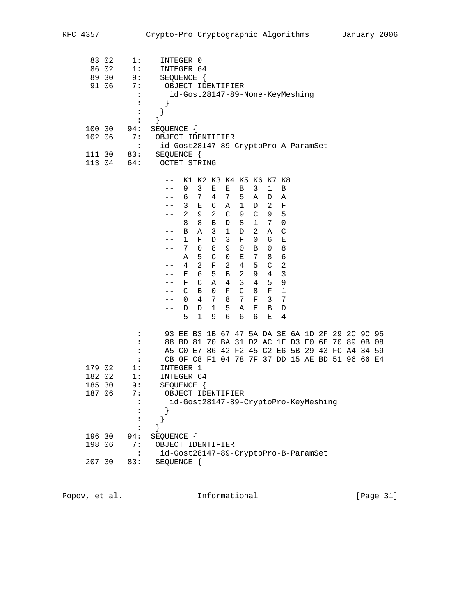| 83 02<br>86 02   | 89 30<br>91 06 | 1:<br>1:<br>9:<br>7:<br>$\ddot{\phantom{a}}$<br>:<br>:<br>: | INTEGER 0<br>INTEGER 64<br>SEQUENCE {<br>OBJECT IDENTIFIER<br>id-Gost28147-89-None-KeyMeshing<br>}<br>}                                                                                                                                                                                                                                                                                                                                                                                                                                                                                                                                                                                                                                                                                                                                                                                                                                                                                                                                                                                                                                                                                                                                                                      |
|------------------|----------------|-------------------------------------------------------------|------------------------------------------------------------------------------------------------------------------------------------------------------------------------------------------------------------------------------------------------------------------------------------------------------------------------------------------------------------------------------------------------------------------------------------------------------------------------------------------------------------------------------------------------------------------------------------------------------------------------------------------------------------------------------------------------------------------------------------------------------------------------------------------------------------------------------------------------------------------------------------------------------------------------------------------------------------------------------------------------------------------------------------------------------------------------------------------------------------------------------------------------------------------------------------------------------------------------------------------------------------------------------|
| 100 30<br>102 06 |                | 94:<br>7:                                                   | SEQUENCE {<br>OBJECT IDENTIFIER                                                                                                                                                                                                                                                                                                                                                                                                                                                                                                                                                                                                                                                                                                                                                                                                                                                                                                                                                                                                                                                                                                                                                                                                                                              |
|                  | 111 30         | $\ddot{\cdot}$                                              | id-Gost28147-89-CryptoPro-A-ParamSet                                                                                                                                                                                                                                                                                                                                                                                                                                                                                                                                                                                                                                                                                                                                                                                                                                                                                                                                                                                                                                                                                                                                                                                                                                         |
|                  | 113 04         | 83:<br>64:                                                  | SEQUENCE {<br>OCTET STRING                                                                                                                                                                                                                                                                                                                                                                                                                                                                                                                                                                                                                                                                                                                                                                                                                                                                                                                                                                                                                                                                                                                                                                                                                                                   |
|                  |                |                                                             | K1 K2 K3 K4 K5 K6 K7 K8<br>$- -$<br>3<br>9<br>Е<br>Е<br>В<br>3<br>1<br>В<br>6 7<br>$4\overline{ }$<br>$7^{\circ}$<br>5<br>Α<br>Α<br>D<br>$- -$<br>$\mathbf{3}$<br>$\overline{2}$<br>$\mathbf 1$<br>Е<br>6<br>F<br>A<br>D<br>$- -$<br>$\overline{2}$<br>2<br>$\mathsf{C}$<br>5<br>9<br>9<br>C<br>9<br>8<br>8<br>$\mathbf{B}$<br>D 8<br>$\mathbf{1}$<br>7<br>$\mathbf 0$<br>$- -$<br>$\overline{3}$<br>1<br>$\overline{2}$<br>C<br>B<br>Α<br>D<br>Α<br>$- -$<br>$\mathbf{1}$<br>$\mathbf F$<br>Ε<br>F<br>D<br>3<br>6<br>0<br>$- -$<br>9<br>$\,8\,$<br>$7\overline{ }$<br>0<br>8<br>0<br>В<br>0<br>$- -$<br>$\epsilon$<br>A<br>5<br>$\mathsf C$<br>$\mathsf{O}$<br>Е<br>7<br>8<br>$- -$<br>$\overline{a}$<br>$\overline{a}$<br>$\overline{c}$<br>$4\overline{ }$<br>$\mathbf F$<br>$\overline{4}$<br>5<br>$\mathsf C$<br>$- -$<br>$\mathbf{3}$<br>6<br>5<br>$\mathbf{B}$<br>2<br>9<br>$4\overline{ }$<br>Е<br>$- -$<br>9<br>$\mathsf{C}$<br>$\mathbf{3}$<br>$\overline{4}$<br>5 <sub>5</sub><br>F<br>Α<br>4<br>--<br>C<br>$\mathsf C$<br>1<br>В<br>0<br>F<br>8<br>F<br>$- -$<br>$\overline{4}$<br>$7\phantom{.0}$<br>$\mathbf{3}$<br>7<br>$\overline{0}$<br>7<br>8<br>$\mathbf{F}$<br>$- -$<br>5<br>1<br>Α<br>D<br>B<br>D<br>D<br>Е<br>$- -$<br>$\mathbf{1}$<br>6<br>6<br>$- -$ |
|                  |                | $\ddot{\cdot}$                                              | 5<br>9<br>6<br>Е<br>4<br>93 EE B3 1B 67 47 5A DA 3E 6A 1D 2F 29 2C 9C 95                                                                                                                                                                                                                                                                                                                                                                                                                                                                                                                                                                                                                                                                                                                                                                                                                                                                                                                                                                                                                                                                                                                                                                                                     |
|                  |                | :                                                           | 88 BD 81 70 BA 31 D2 AC 1F D3 F0 6E 70 89 0B 08                                                                                                                                                                                                                                                                                                                                                                                                                                                                                                                                                                                                                                                                                                                                                                                                                                                                                                                                                                                                                                                                                                                                                                                                                              |
|                  |                | $\ddot{\cdot}$                                              | A5 C0 E7 86 42 F2 45 C2 E6 5B 29 43 FC A4 34 59                                                                                                                                                                                                                                                                                                                                                                                                                                                                                                                                                                                                                                                                                                                                                                                                                                                                                                                                                                                                                                                                                                                                                                                                                              |
|                  |                | $\ddot{\phantom{a}}$                                        | CB OF C8 F1 04 78 7F 37 DD 15 AE BD 51 96 66 E4                                                                                                                                                                                                                                                                                                                                                                                                                                                                                                                                                                                                                                                                                                                                                                                                                                                                                                                                                                                                                                                                                                                                                                                                                              |
| 179 02           |                | 1:                                                          | INTEGER 1                                                                                                                                                                                                                                                                                                                                                                                                                                                                                                                                                                                                                                                                                                                                                                                                                                                                                                                                                                                                                                                                                                                                                                                                                                                                    |
| 182 02           |                | 1:                                                          | INTEGER 64                                                                                                                                                                                                                                                                                                                                                                                                                                                                                                                                                                                                                                                                                                                                                                                                                                                                                                                                                                                                                                                                                                                                                                                                                                                                   |
| 185 30           |                | 9:                                                          | SEQUENCE {                                                                                                                                                                                                                                                                                                                                                                                                                                                                                                                                                                                                                                                                                                                                                                                                                                                                                                                                                                                                                                                                                                                                                                                                                                                                   |
| 187 06           |                | 7:                                                          | OBJECT IDENTIFIER                                                                                                                                                                                                                                                                                                                                                                                                                                                                                                                                                                                                                                                                                                                                                                                                                                                                                                                                                                                                                                                                                                                                                                                                                                                            |
|                  |                |                                                             | id-Gost28147-89-CryptoPro-KeyMeshing                                                                                                                                                                                                                                                                                                                                                                                                                                                                                                                                                                                                                                                                                                                                                                                                                                                                                                                                                                                                                                                                                                                                                                                                                                         |
| 196 30           |                | 94:                                                         | SEQUENCE {                                                                                                                                                                                                                                                                                                                                                                                                                                                                                                                                                                                                                                                                                                                                                                                                                                                                                                                                                                                                                                                                                                                                                                                                                                                                   |
| 198 06           |                | 7:                                                          | OBJECT IDENTIFIER                                                                                                                                                                                                                                                                                                                                                                                                                                                                                                                                                                                                                                                                                                                                                                                                                                                                                                                                                                                                                                                                                                                                                                                                                                                            |
|                  |                | $\ddot{\cdot}$                                              | id-Gost28147-89-CryptoPro-B-ParamSet                                                                                                                                                                                                                                                                                                                                                                                                                                                                                                                                                                                                                                                                                                                                                                                                                                                                                                                                                                                                                                                                                                                                                                                                                                         |
| 207 30           |                | 83:                                                         | SEQUENCE {                                                                                                                                                                                                                                                                                                                                                                                                                                                                                                                                                                                                                                                                                                                                                                                                                                                                                                                                                                                                                                                                                                                                                                                                                                                                   |

Popov, et al. 10. Informational 1. [Page 31]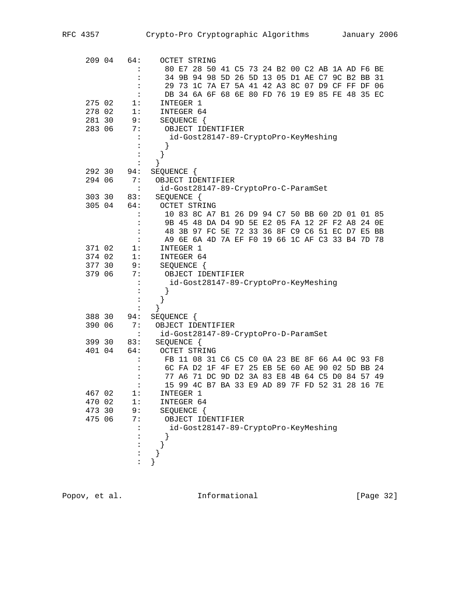| 209 04 | 64:            | <b>OCTET STRING</b>                                |
|--------|----------------|----------------------------------------------------|
|        |                | 80 E7 28 50 41 C5 73 24 B2 00 C2 AB 1A AD F6 BE    |
|        |                | 34 9B 94 98 5D 26 5D 13 05 D1 AE C7 9C B2 BB<br>31 |
|        |                | 29 73 1C 7A E7 5A 41 42 A3 8C 07 D9 CF FF DF 06    |
|        | :              | DB 34 6A 6F 68 6E 80 FD 76 19 E9 85 FE 48 35 EC    |
| 275 02 | 1:             | INTEGER 1                                          |
| 278 02 | 1:             | INTEGER 64                                         |
| 281 30 | 9:             | SEQUENCE {                                         |
| 283 06 | 7:             | OBJECT IDENTIFIER                                  |
|        |                | id-Gost28147-89-CryptoPro-KeyMeshing               |
|        |                |                                                    |
|        | :              | }                                                  |
|        | :              |                                                    |
| 292 30 | 94:            | SEQUENCE {                                         |
| 294 06 | 7:             | OBJECT IDENTIFIER                                  |
|        | $\ddot{\cdot}$ | id-Gost28147-89-CryptoPro-C-ParamSet               |
| 303 30 | 83:            | SEQUENCE {                                         |
| 305 04 | 64:            | <b>OCTET STRING</b>                                |
|        | $\ddot{\cdot}$ | 10 83 8C A7 B1 26 D9 94 C7 50 BB 60 2D 01 01 85    |
|        |                | 9B 45 48 DA D4 9D 5E E2 05 FA 12 2F F2 A8 24<br>0E |
|        | :              | 48 3B 97 FC 5E 72 33 36 8F C9 C6 51 EC D7 E5 BB    |
|        | $\ddot{\cdot}$ | A9 6E 6A 4D 7A EF F0 19 66 1C AF C3 33 B4 7D 78    |
| 371 02 | 1:             | INTEGER 1                                          |
| 374 02 | 1:             | INTEGER 64                                         |
| 377 30 | 9:             | SEQUENCE {                                         |
| 379 06 | 7:             | OBJECT IDENTIFIER                                  |
|        | :              | id-Gost28147-89-CryptoPro-KeyMeshing               |
|        |                | }                                                  |
|        |                |                                                    |
|        | :              | ł                                                  |
| 388 30 | 94:            | SEQUENCE {                                         |
| 390 06 | 7:             | OBJECT IDENTIFIER                                  |
|        | $\cdot$        | id-Gost28147-89-CryptoPro-D-ParamSet               |
| 399 30 | 83:            | SEQUENCE {                                         |
| 401 04 | 64:            | <b>OCTET STRING</b>                                |
|        | :              | FB 11 08 31 C6 C5 C0 0A 23 BE 8F 66 A4 OC 93 F8    |
|        |                | 6C FA D2 1F 4F E7 25 EB 5E 60 AE 90 02 5D BB 24    |
|        |                | 77 A6 71 DC 9D D2 3A 83 E8 4B 64 C5 D0 84 57<br>49 |
|        |                | 15 99 4C B7 BA 33 E9 AD 89 7F FD 52 31 28 16 7E    |
| 467 02 | 1:             | INTEGER 1                                          |
| 470 02 | 1:             | INTEGER 64                                         |
| 473 30 | 9 :            | SEQUENCE {                                         |
| 475 06 | 7:             | OBJECT IDENTIFIER                                  |
|        |                | id-Gost28147-89-CryptoPro-KeyMeshing               |
|        |                |                                                    |
|        |                |                                                    |
|        |                |                                                    |
|        |                |                                                    |
|        |                |                                                    |
|        |                |                                                    |

Popov, et al. 10. Informational 1. [Page 32]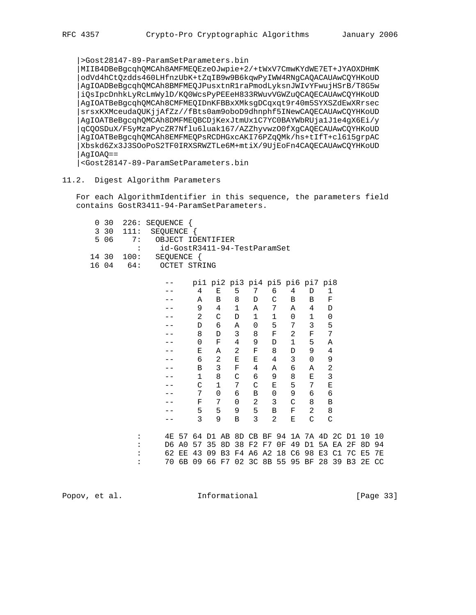|>Gost28147-89-ParamSetParameters.bin |MIIB4DBeBgcqhQMCAh8AMFMEQEzeOJwpie+2/+tWxV7CmwKYdWE7ET+JYAOXDHmK |odVd4hCtQzdds460LHfnzUbK+tZqIB9w9B6kqwPyIWW4RNgCAQACAUAwCQYHKoUD |AgIOADBeBgcqhQMCAh8BMFMEQJPusxtnR1raPmodLyksnJWIvYFwujHSrB/T8G5w |iQsIpcDnhkLyRcLmWylD/KQ0WcsPyPEEeH833RWuvVGWZuQCAQECAUAwCQYHKoUD |AgIOATBeBgcqhQMCAh8CMFMEQIDnKFBBxXMksgDCqxqt9r40m5SYXSZdEwXRrsec |srsxKXMceudaQUKjjAfZz//fBts0am9oboD9dhnphf5INewCAQECAUAwCQYHKoUD |AgIOATBeBgcqhQMCAh8DMFMEQBCDjKexJtmUx1C7YC0BAYWbRUja1J1e4gX6Ei/y |qCQOSDuX/F5yMzaPycZR7Nflu6luak167/AZZhyvwzO0fXgCAQECAUAwCQYHKoUD |AgIOATBeBgcqhQMCAh8EMFMEQPsRCDHGxcAKI76PZqQMk/hs+tIfT+cl615grpAC |Xbskd6Zx3J3SOoPoS2TF0IRXSRWZTLe6M+mtiX/9UjEoFn4CAQECAUAwCQYHKoUD  $AgIOAQ ==$ 

|<Gost28147-89-ParamSetParameters.bin

11.2. Digest Algorithm Parameters

 For each AlgorithmIdentifier in this sequence, the parameters field contains GostR3411-94-ParamSetParameters.

|  |            | 0 30 226: SEQUENCE {         |
|--|------------|------------------------------|
|  |            | 3 30 111: SEQUENCE {         |
|  |            | 5 06 7: OBJECT IDENTIFIER    |
|  |            | id-GostR3411-94-TestParamSet |
|  | 14 30 100: | SEOUENCE {                   |
|  | $160464$ : | OCTET STRING                 |
|  |            |                              |

|          |                | pil pi2 pi3 pi4 pi5 pi6 pi7 pi8 |             |          |             |               |               |              |      |       |     |
|----------|----------------|---------------------------------|-------------|----------|-------------|---------------|---------------|--------------|------|-------|-----|
|          | 4              | Е                               | 5           | 7        | 6           | 4             | D             | 1            |      |       |     |
|          | A              | B                               | 8           | D        | C           | B             | B             | F            |      |       |     |
|          | 9              | 4                               | 1           | Α        | 7           | Α             | 4             | D            |      |       |     |
|          | $\overline{2}$ | C                               | D           | 1        | 1           | 0             | 1             | 0            |      |       |     |
|          | D              | 6                               | Α           | 0        | 5           | 7             | 3             | 5            |      |       |     |
|          | 8              | D                               | 3           | 8        | F           | 2             | F             | 7            |      |       |     |
|          | $\Omega$       | $\mathbf F$                     | 4           | 9        | D           | 1             | 5             | Α            |      |       |     |
|          | Е              | A                               | 2           | F        | 8           | D             | 9             | 4            |      |       |     |
|          | 6              | 2                               | Е           | Е        | 4           | 3             | $\Omega$      | 9            |      |       |     |
|          | B              | 3                               | F           | 4        | Α           | 6             | Α             | 2            |      |       |     |
|          | 1              | 8                               | C           | 6        | 9           | 8             | Ε             | 3            |      |       |     |
|          | $\mathcal{C}$  | 1                               | 7           | C        | Е           | 5             | 7             | E            |      |       |     |
|          | 7              | 0                               | 6           | B        | 0           | 9             | 6             | 6            |      |       |     |
|          | F              | 7                               | $\mathbf 0$ | 2        | 3           | $\mathcal{C}$ | 8             | B            |      |       |     |
|          | 5              | 5                               | 9           | 5        | B           | F             | 2             | 8            |      |       |     |
|          | 3              | 9                               | B           | 3        | 2           | Ε             | $\mathcal{C}$ | $\mathsf{C}$ |      |       |     |
|          |                |                                 |             |          |             |               |               |              |      |       |     |
| 4E<br>57 | 64             | D1<br>AB                        |             | 8D CB BF | 94          |               |               | 1A 7A 4D 2C  | D1.  | 1 N   | 1 O |
| D6<br>A0 | 57             | 35<br>8D                        | 38          | F2 F7    | 0F          | 49            | D1            | 5A EA 2F     |      | 8D    | 94  |
| 62<br>ЕE | 43             | B <sub>3</sub><br>09            | F4          |          | A6 A2 18 C6 |               | 98            | E3<br>C1     | - 7C | E5    | 7E  |
| 70<br>6В | 09             | 66 F7                           |             |          | 02 3C 8B 55 | 95            | ΒF            | 28<br>39     | B3   | 2E CC |     |

Popov, et al. **Informational** [Page 33]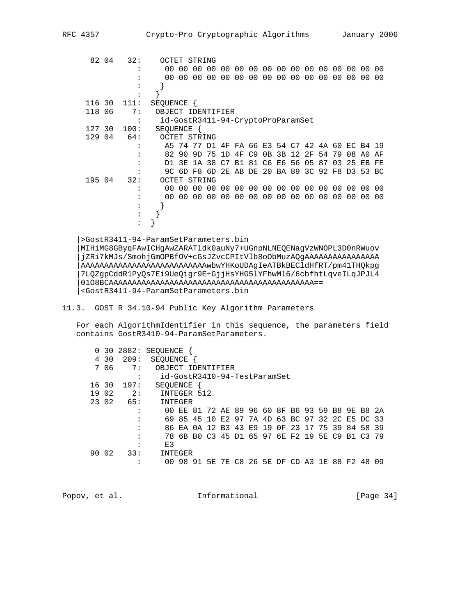| 82 04  |    | 32:  | OCTET STRING                      |       |             |     |    |           |                                     |                |       |       |    |    |       |    |    |     |
|--------|----|------|-----------------------------------|-------|-------------|-----|----|-----------|-------------------------------------|----------------|-------|-------|----|----|-------|----|----|-----|
|        |    |      |                                   | 00 00 | 00          | 00  | 00 |           | 00 00 00 00 00 00 00                |                |       |       |    |    | 00    | 00 | 00 | 00  |
|        |    |      |                                   | 00 00 | 00          | 00  | 00 | 00        | 00 00                               |                | 00 00 |       | 00 | 00 | 00    | 00 | 00 | 00  |
|        |    |      |                                   |       |             |     |    |           |                                     |                |       |       |    |    |       |    |    |     |
|        |    |      |                                   |       |             |     |    |           |                                     |                |       |       |    |    |       |    |    |     |
| 116 30 |    | 111: | SEOUENCE                          |       |             |     |    |           |                                     |                |       |       |    |    |       |    |    |     |
| 118 06 |    | 7:   | OBJECT IDENTIFIER                 |       |             |     |    |           |                                     |                |       |       |    |    |       |    |    |     |
|        |    |      | id-GostR3411-94-CryptoProParamSet |       |             |     |    |           |                                     |                |       |       |    |    |       |    |    |     |
| 127    | 30 | 100: | SEQUENCE {                        |       |             |     |    |           |                                     |                |       |       |    |    |       |    |    |     |
| 129 04 |    | 64:  | OCTET STRING                      |       |             |     |    |           |                                     |                |       |       |    |    |       |    |    |     |
|        |    |      |                                   |       | A5 74 77 D1 |     | 4F |           | FA 66 E3 54 C7 42 4A 60 EC B4       |                |       |       |    |    |       |    |    | 19  |
|        |    |      |                                   | 82 90 | 9D          | -75 | 1D | 4F        | C <sub>9</sub>                      | 0B             | 3B    | 12 2F |    | 54 | 79    | 08 | A0 | ΑF  |
|        |    |      | D1                                | 3E    | 1A          | 38  | C7 | <b>B1</b> | 81                                  | C <sub>6</sub> | E6 56 |       | 05 | 87 | 03    | 25 | ЕB | FE  |
|        |    |      |                                   |       |             |     |    |           | 9C 6D F8 6D 2E AB DE 20 BA 89 3C 92 |                |       |       |    |    | F8 D3 |    | 53 | BC. |
| 195 04 |    | 32:  | OCTET STRING                      |       |             |     |    |           |                                     |                |       |       |    |    |       |    |    |     |
|        |    |      |                                   | 00 00 | 00          | 00  | 00 |           | 00 00 00 00 00 00                   |                |       |       |    | 00 | 00    | 00 | 00 | 00  |
|        |    |      | 00 <sup>o</sup>                   | 00    | 00          | 00  | 00 | 00        | 00                                  | 00             | 00    | 00    | 00 | 00 | 00    | 00 | 00 | 00  |
|        |    |      |                                   |       |             |     |    |           |                                     |                |       |       |    |    |       |    |    |     |
|        |    |      |                                   |       |             |     |    |           |                                     |                |       |       |    |    |       |    |    |     |
|        |    |      |                                   |       |             |     |    |           |                                     |                |       |       |    |    |       |    |    |     |
|        |    |      |                                   |       |             |     |    |           |                                     |                |       |       |    |    |       |    |    |     |

 |>GostR3411-94-ParamSetParameters.bin |MIHiMG8GByqFAwICHgAwZARATldk0auNy7+UGnpNLNEQENagVzWNOPL3D0nRWuov |jZRi7kMJs/SmohjGmOPBfOV+cGsJZvcCPItVlb8oObMuzAQgAAAAAAAAAAAAAAAA |AAAAAAAAAAAAAAAAAAAAAAAAAAAwbwYHKoUDAgIeATBkBECldHfRT/pm41THQkpg |7LQZgpCddR1PyQs7Ei9UeQigr9E+GjjHsYHG5lYFhwMl6/6cbfhtLqveILqJPJL4 |01O8BCAAAAAAAAAAAAAAAAAAAAAAAAAAAAAAAAAAAAAAAAAAAA== |<GostR3411-94-ParamSetParameters.bin

# 11.3. GOST R 34.10-94 Public Key Algorithm Parameters

 For each AlgorithmIdentifier in this sequence, the parameters field contains GostR3410-94-ParamSetParameters.

| 0     |      | 30 2882:  | SEOUENCE                     |    |    |                                  |  |  |  |  |                                                 |       |
|-------|------|-----------|------------------------------|----|----|----------------------------------|--|--|--|--|-------------------------------------------------|-------|
|       | 4 30 | 209:      | <b>SEOUENCE</b>              |    |    |                                  |  |  |  |  |                                                 |       |
|       | 7 06 | 7:        | OBJECT IDENTIFIER            |    |    |                                  |  |  |  |  |                                                 |       |
|       |      | $\bullet$ | id-GostR3410-94-TestParamSet |    |    |                                  |  |  |  |  |                                                 |       |
| 16 30 |      | 197:      | SEOUENCE                     |    |    |                                  |  |  |  |  |                                                 |       |
| 19 02 |      | 2:        | INTEGER 512                  |    |    |                                  |  |  |  |  |                                                 |       |
| 23 02 |      | 65:       | INTEGER                      |    |    |                                  |  |  |  |  |                                                 |       |
|       |      |           |                              |    |    |                                  |  |  |  |  | 00 EE 81 72 AE 89 96 60 8F B6 93 59 B8 9E B8 2A |       |
|       |      |           |                              |    |    |                                  |  |  |  |  | 69 85 45 10 E2 97 7A 4D 63 BC 97 32 2C E5 DC 33 |       |
|       |      |           |                              |    |    | 86 EA 0A 12 B3 43 E9 19 OF 23 17 |  |  |  |  | 75 39 84 58 39                                  |       |
|       |      |           |                              |    |    |                                  |  |  |  |  | 78 6B B0 C3 45 D1 65 97 6E F2 19 5E C9 B1 C3 79 |       |
|       |      | ٠         | E3                           |    |    |                                  |  |  |  |  |                                                 |       |
| 90 02 |      | 33:       | INTEGER                      |    |    |                                  |  |  |  |  |                                                 |       |
|       |      | ٠         | 00                           | 98 | 91 | 5E 7E C8 26 5E DF CD A3          |  |  |  |  | 1E 88 F2 48                                     | . ቦ ዓ |

| Popov, et al. | Informational | [Page $34$ ] |
|---------------|---------------|--------------|
|               |               |              |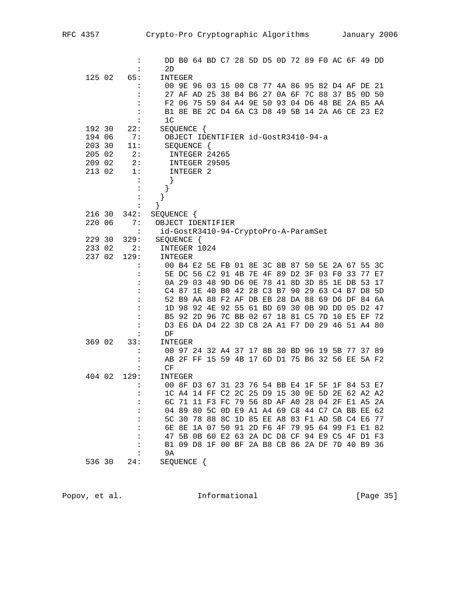|        | $\ddot{\cdot}$            |                                                    |                                     |  |  |  |  | DD B0 64 BD C7 28 5D D5 0D 72 89 F0 AC 6F 49 DD |  |    |
|--------|---------------------------|----------------------------------------------------|-------------------------------------|--|--|--|--|-------------------------------------------------|--|----|
|        | :                         | 2D                                                 |                                     |  |  |  |  |                                                 |  |    |
| 125 02 | 65:                       | INTEGER                                            |                                     |  |  |  |  |                                                 |  |    |
|        | :                         |                                                    |                                     |  |  |  |  | 00 9E 96 03 15 00 C8 77 4A 86 95 82 D4 AF DE 21 |  |    |
|        | :                         |                                                    |                                     |  |  |  |  | 27 AF AD 25 38 B4 B6 27 0A 6F 7C 88 37 B5 0D 50 |  |    |
|        | :                         |                                                    |                                     |  |  |  |  | F2 06 75 59 84 A4 9E 50 93 04 D6 48 BE 2A B5 AA |  |    |
|        | :                         |                                                    |                                     |  |  |  |  | B1 8E BE 2C D4 6A C3 D8 49 5B 14 2A A6 CE 23 E2 |  |    |
|        | :                         | 1 <sup>C</sup>                                     |                                     |  |  |  |  |                                                 |  |    |
| 192 30 | 22:                       | SEQUENCE {                                         |                                     |  |  |  |  |                                                 |  |    |
| 194 06 | 7:                        |                                                    | OBJECT IDENTIFIER id-GostR3410-94-a |  |  |  |  |                                                 |  |    |
| 203 30 | 11:                       |                                                    | SEQUENCE {                          |  |  |  |  |                                                 |  |    |
| 205 02 | 2:                        |                                                    | INTEGER 24265                       |  |  |  |  |                                                 |  |    |
| 209 02 | 2:                        |                                                    | INTEGER 29505                       |  |  |  |  |                                                 |  |    |
| 213 02 | 1:                        |                                                    | INTEGER 2                           |  |  |  |  |                                                 |  |    |
|        | $\cdot$<br>$\ddot{\cdot}$ | $\}$                                               |                                     |  |  |  |  |                                                 |  |    |
|        |                           |                                                    |                                     |  |  |  |  |                                                 |  |    |
|        | $\ddot{\cdot}$            | }                                                  |                                     |  |  |  |  |                                                 |  |    |
| 216 30 | 342:                      |                                                    |                                     |  |  |  |  |                                                 |  |    |
| 220 06 | 7:                        | SEQUENCE {<br>OBJECT IDENTIFIER                    |                                     |  |  |  |  |                                                 |  |    |
|        | $\ddot{\cdot}$            |                                                    |                                     |  |  |  |  |                                                 |  |    |
| 229 30 | 329:                      | id-GostR3410-94-CryptoPro-A-ParamSet<br>SEQUENCE { |                                     |  |  |  |  |                                                 |  |    |
| 233 02 | 2:                        | INTEGER 1024                                       |                                     |  |  |  |  |                                                 |  |    |
| 237 02 | 129:                      | INTEGER                                            |                                     |  |  |  |  |                                                 |  |    |
|        | :                         |                                                    |                                     |  |  |  |  | 00 B4 E2 5E FB 01 8E 3C 8B 87 50 5E 2A 67 55 3C |  |    |
|        | :                         |                                                    |                                     |  |  |  |  | 5E DC 56 C2 91 4B 7E 4F 89 D2 3F 03 F0 33 77    |  | E7 |
|        | :                         |                                                    |                                     |  |  |  |  | 0A 29 03 48 9D D6 0E 78 41 8D 3D 85 1E DB 53    |  | 17 |
|        | :                         |                                                    |                                     |  |  |  |  | C4 87 1E 40 B0 42 28 C3 B7 90 29 63 C4 B7 D8 5D |  |    |
|        | :                         |                                                    |                                     |  |  |  |  | 52 B9 AA 88 F2 AF DB EB 28 DA 88 69 D6 DF 84 6A |  |    |
|        | :                         |                                                    |                                     |  |  |  |  | 1D 98 92 4E 92 55 61 BD 69 30 0B 9D DD 05 D2 47 |  |    |
|        | $\ddot{\phantom{a}}$      |                                                    |                                     |  |  |  |  | B5 92 2D 96 7C BB 02 67 18 81 C5 7D 10 E5 EF 72 |  |    |
|        | :                         |                                                    |                                     |  |  |  |  | D3 E6 DA D4 22 3D C8 2A A1 F7 D0 29 46 51 A4 80 |  |    |
|        |                           | DF                                                 |                                     |  |  |  |  |                                                 |  |    |
| 369 02 | 33:                       | INTEGER                                            |                                     |  |  |  |  |                                                 |  |    |
|        |                           |                                                    |                                     |  |  |  |  | 00 97 24 32 A4 37 17 8B 30 BD 96 19 5B 77 37 89 |  |    |
|        | :                         |                                                    |                                     |  |  |  |  | AB 2F FF 15 59 4B 17 6D D1 75 B6 32 56 EE 5A F2 |  |    |
|        | :                         | CF                                                 |                                     |  |  |  |  |                                                 |  |    |
| 404 02 | 129:                      | INTEGER                                            |                                     |  |  |  |  |                                                 |  |    |
|        |                           |                                                    |                                     |  |  |  |  | 00 8F D3 67 31 23 76 54 BB E4 1F 5F 1F 84 53 E7 |  |    |
|        |                           |                                                    |                                     |  |  |  |  | 1C A4 14 FF C2 2C 25 D9 15 30 9E 5D 2E 62 A2 A2 |  |    |
|        |                           |                                                    |                                     |  |  |  |  | 6C 71 11 F3 FC 79 56 8D AF A0 28 04 2F E1 A5 2A |  |    |
|        | :                         |                                                    |                                     |  |  |  |  | 04 89 80 5C 0D E9 A1 A4 69 C8 44 C7 CA BB EE 62 |  |    |
|        | :                         |                                                    |                                     |  |  |  |  | 5C 30 78 88 8C 1D 85 EE A8 83 F1 AD 5B C4 E6 77 |  |    |
|        | :                         |                                                    |                                     |  |  |  |  | 6E 8E 1A 07 50 91 2D F6 4F 79 95 64 99 F1 E1 82 |  |    |
|        | :                         |                                                    |                                     |  |  |  |  | 47 5B 0B 60 E2 63 2A DC D8 CF 94 E9 C5 4F D1 F3 |  |    |
|        | :                         |                                                    |                                     |  |  |  |  | B1 09 D8 1F 00 BF 2A B8 CB 86 2A DF 7D 40 B9 36 |  |    |
|        |                           | 9A                                                 |                                     |  |  |  |  |                                                 |  |    |
| 536 30 | 24:                       | SEQUENCE {                                         |                                     |  |  |  |  |                                                 |  |    |
|        |                           |                                                    |                                     |  |  |  |  |                                                 |  |    |

Popov, et al. 10. Informational 1. [Page 35]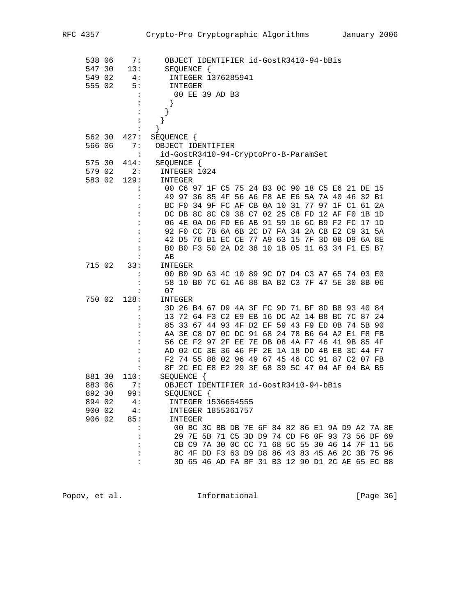| 538 06<br>547 30<br>549 02<br>555 02 |        | 7:<br>13:<br>4:<br>5:<br>$\ddot{\phantom{a}}$<br>$\ddot{\cdot}$<br>$\ddot{\cdot}$ | OBJECT IDENTIFIER id-GostR3410-94-bBis<br>SEQUENCE {<br>INTEGER 1376285941<br>INTEGER<br>00 EE 39 AD B3<br>$\}$<br>$\}$ |  |
|--------------------------------------|--------|-----------------------------------------------------------------------------------|-------------------------------------------------------------------------------------------------------------------------|--|
|                                      |        |                                                                                   | $\}$                                                                                                                    |  |
| 562 30                               |        | 427:                                                                              | SEQUENCE {                                                                                                              |  |
| 566 06                               |        | 7 :                                                                               | OBJECT IDENTIFIER                                                                                                       |  |
| 575 30                               |        | $\sim$ 1.<br>414:                                                                 | id-GostR3410-94-CryptoPro-B-ParamSet<br>SEQUENCE {                                                                      |  |
| 579 02                               |        | 2:                                                                                | INTEGER 1024                                                                                                            |  |
|                                      | 583 02 | 129:                                                                              | INTEGER                                                                                                                 |  |
|                                      |        | :                                                                                 | 00 C6 97 1F C5 75 24 B3 0C 90 18 C5 E6 21 DE 15                                                                         |  |
|                                      |        |                                                                                   | 49 97 36 85 4F 56 A6 F8 AE E6 5A 7A 40 46 32 B1                                                                         |  |
|                                      |        | $\ddot{\cdot}$                                                                    | BC F0 34 9F FC AF CB 0A 10 31 77 97 1F C1 61 2A                                                                         |  |
|                                      |        | :                                                                                 | DC DB 8C 8C C9 38 C7 02 25 C8 FD 12 AF F0<br>1B 1D                                                                      |  |
|                                      |        |                                                                                   | 06 4E 0A D6 FD E6 AB 91 59 16 6C B9 F2 FC 17 1D                                                                         |  |
|                                      |        |                                                                                   | 92 FO CC 7B 6A 6B 2C D7 FA 34 2A CB E2 C9 31 5A                                                                         |  |
|                                      |        | :                                                                                 | 42 D5 76 B1 EC CE 77 A9 63 15 7F 3D 0B D9 6A 8E                                                                         |  |
|                                      |        | :                                                                                 | B0 B0 F3 50 2A D2 38 10 1B 05 11 63 34 F1 E5 B7                                                                         |  |
| 715 02                               |        | 33:                                                                               | AВ<br>INTEGER                                                                                                           |  |
|                                      |        | :                                                                                 | 00 B0 9D 63 4C 10 89 9C D7 D4 C3 A7 65 74 03 E0                                                                         |  |
|                                      |        |                                                                                   | 58 10 B0 7C 61 A6 88 BA B2 C3 7F 47 5E 30 8B 06                                                                         |  |
|                                      |        | :                                                                                 | 07                                                                                                                      |  |
| 750 02                               |        | 128:                                                                              | INTEGER                                                                                                                 |  |
|                                      |        |                                                                                   | 3D 26 B4 67 D9 4A 3F FC 9D 71 BF 8D B8 93 40 84                                                                         |  |
|                                      |        | :                                                                                 | 13 72 64 F3 C2 E9 EB 16 DC A2 14 B8 BC 7C 87 24                                                                         |  |
|                                      |        |                                                                                   | 85 33 67 44 93 4F D2 EF 59 43 F9 ED 0B 74 5B 90                                                                         |  |
|                                      |        |                                                                                   | AA 3E C8 D7 0C DC 91 68 24 78 B6 64 A2 E1 F8 FB                                                                         |  |
|                                      |        | :                                                                                 | 56 CE F2 97 2F EE 7E DB 08 4A F7 46 41 9B 85 4F<br>AD 02 CC 3E 36 46 FF 2E 1A 18 DD 4B EB 3C 44 F7                      |  |
|                                      |        | $\ddot{\cdot}$                                                                    | F2 74 55 88 02 96 49 67 45 46 CC 91 87 C2 07 FB                                                                         |  |
|                                      |        | $\ddot{\phantom{a}}$                                                              | 8F 2C EC E8 E2 29 3F 68 39 5C 47 04 AF 04 BA B5                                                                         |  |
| 881 30                               |        | 110:                                                                              | SEQUENCE {                                                                                                              |  |
| 883 06                               |        | 7:                                                                                | OBJECT IDENTIFIER id-GostR3410-94-bBis                                                                                  |  |
| 892 30                               |        | 99:                                                                               | SEQUENCE {                                                                                                              |  |
| 894 02                               |        | 4:                                                                                | INTEGER 1536654555                                                                                                      |  |
| 900 02                               |        | 4:                                                                                | INTEGER 1855361757                                                                                                      |  |
| 906 02                               |        | 85:                                                                               | INTEGER                                                                                                                 |  |
|                                      |        |                                                                                   | 00 BC 3C BB DB 7E 6F 84 82 86 E1 9A D9 A2 7A 8E<br>29 7E 5B 71 C5 3D D9 74 CD F6 0F 93 73 56 DF 69                      |  |
|                                      |        |                                                                                   | CB C9 7A 30 0C CC 71 68 5C 55 30 46 14 7F 11 56                                                                         |  |
|                                      |        |                                                                                   | 8C 4F DD F3 63 D9 D8 86 43 83 45 A6 2C 3B 75 96                                                                         |  |
|                                      |        |                                                                                   | 3D 65 46 AD FA BF 31 B3 12 90 D1 2C AE 65 EC B8                                                                         |  |
|                                      |        |                                                                                   |                                                                                                                         |  |

Popov, et al. 10. Informational 1. [Page 36]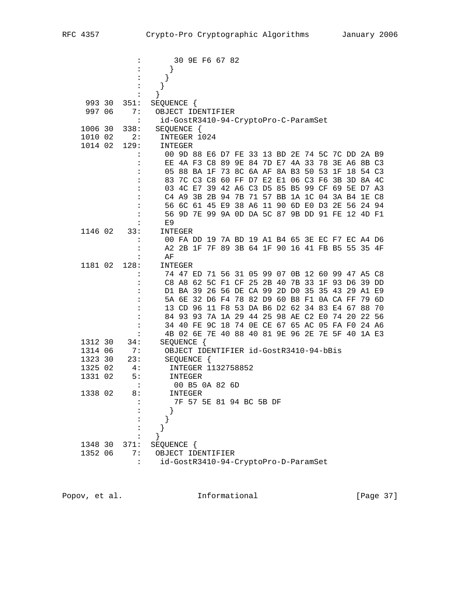|         |                |                                      |         |            | 30 9E F6 67 82     |  |                                           |  |  |  |                                                 |  |
|---------|----------------|--------------------------------------|---------|------------|--------------------|--|-------------------------------------------|--|--|--|-------------------------------------------------|--|
|         |                |                                      |         |            |                    |  |                                           |  |  |  |                                                 |  |
|         |                | $\}$                                 |         |            |                    |  |                                           |  |  |  |                                                 |  |
|         |                | }                                    |         |            |                    |  |                                           |  |  |  |                                                 |  |
|         |                | }                                    |         |            |                    |  |                                           |  |  |  |                                                 |  |
| 993 30  | 351:           | SEQUENCE {                           |         |            |                    |  |                                           |  |  |  |                                                 |  |
| 997 06  | 7 :            | OBJECT IDENTIFIER                    |         |            |                    |  |                                           |  |  |  |                                                 |  |
|         | $\ddot{\cdot}$ | id-GostR3410-94-CryptoPro-C-ParamSet |         |            |                    |  |                                           |  |  |  |                                                 |  |
| 1006 30 | 338:           | SEQUENCE {                           |         |            |                    |  |                                           |  |  |  |                                                 |  |
| 1010 02 | 2:             | INTEGER 1024                         |         |            |                    |  |                                           |  |  |  |                                                 |  |
| 1014 02 | 129:           | INTEGER                              |         |            |                    |  |                                           |  |  |  |                                                 |  |
|         |                |                                      |         |            |                    |  |                                           |  |  |  | 00 9D 88 E6 D7 FE 33 13 BD 2E 74 5C 7C DD 2A B9 |  |
|         |                |                                      |         |            |                    |  |                                           |  |  |  | EE 4A F3 C8 89 9E 84 7D E7 4A 33 78 3E A6 8B C3 |  |
|         |                |                                      |         |            |                    |  |                                           |  |  |  | 05 88 BA 1F 73 8C 6A AF 8A B3 50 53 1F 18 54 C3 |  |
|         |                |                                      |         |            |                    |  |                                           |  |  |  | 83 7C C3 C8 60 FF D7 E2 E1 06 C3 F6 3B 3D 8A 4C |  |
|         |                |                                      |         |            |                    |  |                                           |  |  |  | 03 4C E7 39 42 A6 C3 D5 85 B5 99 CF 69 5E D7 A3 |  |
|         |                |                                      |         |            |                    |  |                                           |  |  |  | C4 A9 3B 2B 94 7B 71 57 BB 1A 1C 04 3A B4 1E C8 |  |
|         |                |                                      |         |            |                    |  |                                           |  |  |  | 56 6C 61 45 E9 38 A6 11 90 6D E0 D3 2E 56 24 94 |  |
|         |                |                                      |         |            |                    |  |                                           |  |  |  | 56 9D 7E 99 9A 0D DA 5C 87 9B DD 91 FE 12 4D F1 |  |
|         |                | E9                                   |         |            |                    |  |                                           |  |  |  |                                                 |  |
| 1146 02 | 33:            | INTEGER                              |         |            |                    |  |                                           |  |  |  |                                                 |  |
|         |                |                                      |         |            |                    |  |                                           |  |  |  | 00 FA DD 19 7A BD 19 A1 B4 65 3E EC F7 EC A4 D6 |  |
|         |                |                                      |         |            |                    |  |                                           |  |  |  | A2 2B 1F 7F 89 3B 64 1F 90 16 41 FB B5 55 35 4F |  |
|         |                | ΑF                                   |         |            |                    |  |                                           |  |  |  |                                                 |  |
| 1181 02 | 128:           | INTEGER                              |         |            |                    |  |                                           |  |  |  |                                                 |  |
|         |                |                                      |         |            |                    |  |                                           |  |  |  | 74 47 ED 71 56 31 05 99 07 0B 12 60 99 47 A5 C8 |  |
|         |                |                                      |         |            |                    |  |                                           |  |  |  | C8 A8 62 5C F1 CF 25 2B 40 7B 33 1F 93 D6 39 DD |  |
|         |                |                                      |         |            |                    |  |                                           |  |  |  | D1 BA 39 26 56 DE CA 99 2D D0 35 35 43 29 A1 E9 |  |
|         |                |                                      |         |            |                    |  | 5A 6E 32 D6 F4 78 82 D9 60 B8 F1 0A CA FF |  |  |  | 79 6D                                           |  |
|         |                |                                      |         |            |                    |  |                                           |  |  |  | 13 CD 96 11 F8 53 DA B6 D2 62 34 83 E4 67 88 70 |  |
|         |                |                                      |         |            |                    |  |                                           |  |  |  | 84 93 93 7A 1A 29 44 25 98 AE C2 E0 74 20 22 56 |  |
|         |                |                                      |         |            |                    |  |                                           |  |  |  | 34 40 FE 9C 18 74 OE CE 67 65 AC 05 FA FO 24 A6 |  |
|         |                |                                      |         |            |                    |  |                                           |  |  |  | 4B 02 6E 7E 40 88 40 81 9E 96 2E 7E 5F 40 1A E3 |  |
| 1312 30 | 34:            | SEQUENCE {                           |         |            |                    |  |                                           |  |  |  |                                                 |  |
| 1314 06 | 7:             |                                      |         |            |                    |  | OBJECT IDENTIFIER id-GostR3410-94-bBis    |  |  |  |                                                 |  |
| 1323 30 | 23:            |                                      |         | SEQUENCE { |                    |  |                                           |  |  |  |                                                 |  |
| 1325 02 | 4:             |                                      |         |            | INTEGER 1132758852 |  |                                           |  |  |  |                                                 |  |
| 1331 02 | 5:             |                                      | INTEGER |            |                    |  |                                           |  |  |  |                                                 |  |
|         | $\mathbf{L}$   |                                      |         |            | 00 B5 0A 82 6D     |  |                                           |  |  |  |                                                 |  |
| 1338 02 | 8:             |                                      | INTEGER |            |                    |  |                                           |  |  |  |                                                 |  |
|         |                |                                      |         |            |                    |  | 7F 57 5E 81 94 BC 5B DF                   |  |  |  |                                                 |  |
|         |                |                                      |         |            |                    |  |                                           |  |  |  |                                                 |  |
|         |                |                                      |         |            |                    |  |                                           |  |  |  |                                                 |  |
|         |                |                                      |         |            |                    |  |                                           |  |  |  |                                                 |  |
|         |                |                                      |         |            |                    |  |                                           |  |  |  |                                                 |  |
| 1348 30 | 371:           | SEQUENCE {                           |         |            |                    |  |                                           |  |  |  |                                                 |  |
| 1352 06 | 7:             | OBJECT IDENTIFIER                    |         |            |                    |  |                                           |  |  |  |                                                 |  |
|         |                | id-GostR3410-94-CryptoPro-D-ParamSet |         |            |                    |  |                                           |  |  |  |                                                 |  |
|         |                |                                      |         |            |                    |  |                                           |  |  |  |                                                 |  |

Popov, et al. 10. Informational 1. [Page 37]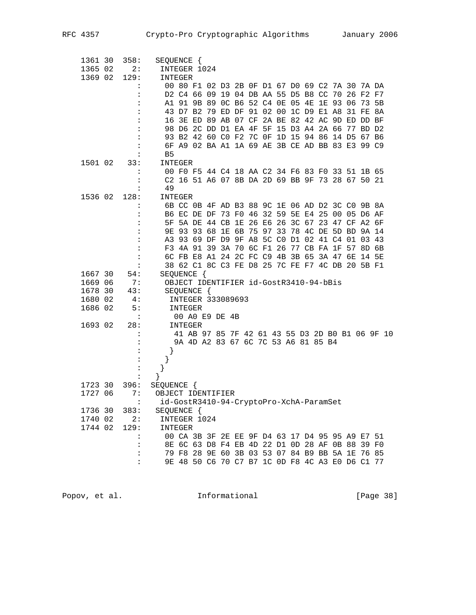| 1361 30 | 358:                       | SEQUENCE {                              |         |            |                                                 |  |  |  |  |  |                                                 |
|---------|----------------------------|-----------------------------------------|---------|------------|-------------------------------------------------|--|--|--|--|--|-------------------------------------------------|
| 1365 02 | 2:                         | INTEGER 1024                            |         |            |                                                 |  |  |  |  |  |                                                 |
| 1369 02 | 129:                       | INTEGER                                 |         |            |                                                 |  |  |  |  |  |                                                 |
|         | $\ddot{\cdot}$             |                                         |         |            | 00 80 F1 02 D3 2B 0F D1 67 D0 69 C2 7A 30 7A DA |  |  |  |  |  |                                                 |
|         | :                          |                                         |         |            | D2 C4 66 09 19 04 DB AA 55 D5 B8 CC 70 26 F2 F7 |  |  |  |  |  |                                                 |
|         | $\ddot{\cdot}$             |                                         |         |            | A1 91 9B 89 0C B6 52 C4 0E 05 4E 1E 93 06 73 5B |  |  |  |  |  |                                                 |
|         | :                          |                                         |         |            | 43 D7 B2 79 ED DF 91 02 00 1C D9 E1 A8 31 FE 8A |  |  |  |  |  |                                                 |
|         |                            |                                         |         |            | 16 3E ED 89 AB 07 CF 2A BE 82 42 AC 9D ED DD BF |  |  |  |  |  |                                                 |
|         |                            |                                         |         |            | 98 D6 2C DD D1 EA 4F 5F 15 D3 A4 2A 66 77 BD D2 |  |  |  |  |  |                                                 |
|         | :                          |                                         |         |            | 93 B2 42 60 C0 F2 7C 0F 1D 15 94 86 14 D5 67 B6 |  |  |  |  |  |                                                 |
|         |                            |                                         |         |            | 6F A9 02 BA A1 1A 69 AE 3B CE AD BB 83 E3 99 C9 |  |  |  |  |  |                                                 |
|         |                            | B <sub>5</sub>                          |         |            |                                                 |  |  |  |  |  |                                                 |
| 1501 02 | 33:                        | INTEGER                                 |         |            |                                                 |  |  |  |  |  |                                                 |
|         |                            |                                         |         |            | 00 F0 F5 44 C4 18 AA C2 34 F6 83 F0 33 51 1B 65 |  |  |  |  |  |                                                 |
|         |                            |                                         |         |            | C2 16 51 A6 07 8B DA 2D 69 BB 9F 73 28 67 50 21 |  |  |  |  |  |                                                 |
|         | $\ddot{\phantom{a}}$       | 49                                      |         |            |                                                 |  |  |  |  |  |                                                 |
| 1536 02 | 128:                       | INTEGER                                 |         |            |                                                 |  |  |  |  |  |                                                 |
|         |                            |                                         |         |            | 6B CC 0B 4F AD B3 88 9C 1E 06 AD D2 3C C0 9B 8A |  |  |  |  |  |                                                 |
|         | :                          |                                         |         |            | B6 EC DE DF 73 F0 46 32 59 5E E4 25 00 05 D6 AF |  |  |  |  |  |                                                 |
|         |                            |                                         |         |            | 5F 5A DE 44 CB 1E 26 E6 26 3C 67 23 47 CF A2 6F |  |  |  |  |  |                                                 |
|         |                            |                                         |         |            | 9E 93 93 68 1E 6B 75 97 33 78 4C DE 5D BD 9A 14 |  |  |  |  |  |                                                 |
|         | :                          |                                         |         |            | A3 93 69 DF D9 9F A8 5C C0 D1 02 41 C4 01 03 43 |  |  |  |  |  |                                                 |
|         | :                          |                                         |         |            | F3 4A 91 39 3A 70 6C F1 26 77 CB FA 1F 57 8D 6B |  |  |  |  |  |                                                 |
|         |                            |                                         |         |            | 6C FB E8 A1 24 2C FC C9 4B 3B 65 3A 47 6E 14 5E |  |  |  |  |  |                                                 |
|         | $\ddot{\cdot}$             |                                         |         |            | 38 62 C1 8C C3 FE D8 25 7C FE F7 4C DB 20 5B F1 |  |  |  |  |  |                                                 |
| 1667 30 | 54:                        | SEQUENCE {                              |         |            |                                                 |  |  |  |  |  |                                                 |
| 1669 06 | 7:                         |                                         |         |            | OBJECT IDENTIFIER id-GostR3410-94-bBis          |  |  |  |  |  |                                                 |
| 1678 30 | 43:                        |                                         |         | SEQUENCE { |                                                 |  |  |  |  |  |                                                 |
| 1680 02 | 4 :                        |                                         |         |            | INTEGER 333089693                               |  |  |  |  |  |                                                 |
| 1686 02 | 5:<br>$\ddot{\phantom{a}}$ |                                         | INTEGER |            |                                                 |  |  |  |  |  |                                                 |
| 1693 02 | 28:                        |                                         | INTEGER |            | 00 A0 E9 DE 4B                                  |  |  |  |  |  |                                                 |
|         |                            |                                         |         |            |                                                 |  |  |  |  |  | 41 AB 97 85 7F 42 61 43 55 D3 2D B0 B1 06 9F 10 |
|         |                            |                                         |         |            | 9A 4D A2 83 67 6C 7C 53 A6 81 85 B4             |  |  |  |  |  |                                                 |
|         | :                          |                                         |         |            |                                                 |  |  |  |  |  |                                                 |
|         |                            |                                         |         |            |                                                 |  |  |  |  |  |                                                 |
|         | :                          |                                         |         |            |                                                 |  |  |  |  |  |                                                 |
|         |                            | $\}$                                    |         |            |                                                 |  |  |  |  |  |                                                 |
| 1723 30 | 396:                       | SEQUENCE {                              |         |            |                                                 |  |  |  |  |  |                                                 |
| 1727 06 | 7:                         | OBJECT IDENTIFIER                       |         |            |                                                 |  |  |  |  |  |                                                 |
|         |                            | id-GostR3410-94-CryptoPro-XchA-ParamSet |         |            |                                                 |  |  |  |  |  |                                                 |
| 1736 30 | 383:                       | SEQUENCE {                              |         |            |                                                 |  |  |  |  |  |                                                 |
| 1740 02 | 2:                         | INTEGER 1024                            |         |            |                                                 |  |  |  |  |  |                                                 |
| 1744 02 | 129:                       | INTEGER                                 |         |            |                                                 |  |  |  |  |  |                                                 |
|         |                            |                                         |         |            | 00 CA 3B 3F 2E EE 9F D4 63 17 D4 95 95 A9 E7 51 |  |  |  |  |  |                                                 |
|         |                            |                                         |         |            | 8E 6C 63 D8 F4 EB 4D 22 D1 0D 28 AF 0B 88 39 F0 |  |  |  |  |  |                                                 |
|         |                            |                                         |         |            | 79 F8 28 9E 60 3B 03 53 07 84 B9 BB 5A 1E 76 85 |  |  |  |  |  |                                                 |
|         | $\ddot{\cdot}$             |                                         |         |            | 9E 48 50 C6 70 C7 B7 1C 0D F8 4C A3 E0 D6 C1 77 |  |  |  |  |  |                                                 |
|         |                            |                                         |         |            |                                                 |  |  |  |  |  |                                                 |

Popov, et al. 10 Informational 11 [Page 38]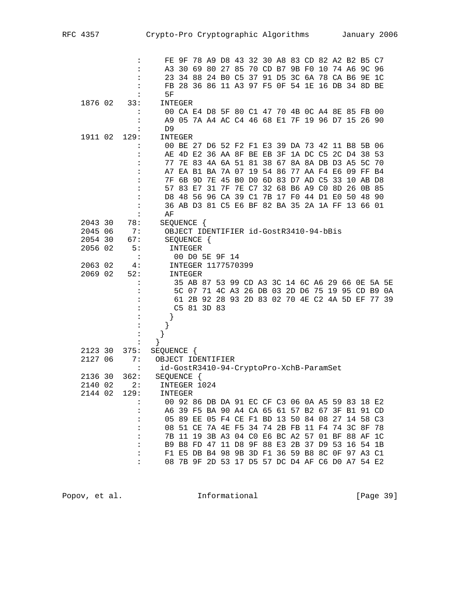|         |                      |                                                 |         |            |                    |  |  |                                        |  |  | FE 9F 78 A9 D8 43 32 30 A8 83 CD 82 A2 B2 B5 C7 |  |
|---------|----------------------|-------------------------------------------------|---------|------------|--------------------|--|--|----------------------------------------|--|--|-------------------------------------------------|--|
|         |                      |                                                 |         |            |                    |  |  |                                        |  |  | A3 30 69 80 27 85 70 CD B7 9B F0 10 74 A6 9C 96 |  |
|         | :                    |                                                 |         |            |                    |  |  |                                        |  |  | 23 34 88 24 B0 C5 37 91 D5 3C 6A 78 CA B6 9E 1C |  |
|         |                      |                                                 |         |            |                    |  |  |                                        |  |  | FB 28 36 86 11 A3 97 F5 OF 54 1E 16 DB 34 8D BE |  |
|         |                      | 5F                                              |         |            |                    |  |  |                                        |  |  |                                                 |  |
| 1876 02 | 33:                  | INTEGER                                         |         |            |                    |  |  |                                        |  |  |                                                 |  |
|         |                      |                                                 |         |            |                    |  |  |                                        |  |  | 00 CA E4 D8 5F 80 C1 47 70 4B 0C A4 8E 85 FB 00 |  |
|         | $\ddot{\cdot}$       |                                                 |         |            |                    |  |  |                                        |  |  | A9 05 7A A4 AC C4 46 68 E1 7F 19 96 D7 15 26 90 |  |
|         | :                    | D <sub>9</sub>                                  |         |            |                    |  |  |                                        |  |  |                                                 |  |
| 1911 02 | 129:                 | INTEGER                                         |         |            |                    |  |  |                                        |  |  |                                                 |  |
|         |                      |                                                 |         |            |                    |  |  |                                        |  |  | 00 BE 27 D6 52 F2 F1 E3 39 DA 73 42 11 B8 5B 06 |  |
|         | :                    |                                                 |         |            |                    |  |  |                                        |  |  | AE 4D E2 36 AA 8F BE EB 3F 1A DC C5 2C D4 38 53 |  |
|         | :                    |                                                 |         |            |                    |  |  |                                        |  |  | 77 7E 83 4A 6A 51 81 38 67 8A 8A DB D3 A5 5C 70 |  |
|         | :                    |                                                 |         |            |                    |  |  |                                        |  |  | A7 EA B1 BA 7A 07 19 54 86 77 AA F4 E6 09 FF B4 |  |
|         | :                    |                                                 |         |            |                    |  |  |                                        |  |  | 7F 6B 9D 7E 45 B0 D0 6D 83 D7 AD C5 33 10 AB D8 |  |
|         |                      |                                                 |         |            |                    |  |  |                                        |  |  | 57 83 E7 31 7F 7E C7 32 68 B6 A9 C0 8D 26 0B 85 |  |
|         |                      |                                                 |         |            |                    |  |  |                                        |  |  | D8 48 56 96 CA 39 C1 7B 17 F0 44 D1 E0 50 48 90 |  |
|         | :                    |                                                 |         |            |                    |  |  |                                        |  |  | 36 AB D3 81 C5 E6 BF 82 BA 35 2A 1A FF 13 66 01 |  |
|         | :                    | ΑF                                              |         |            |                    |  |  |                                        |  |  |                                                 |  |
| 2043 30 | 78:                  | SEQUENCE {                                      |         |            |                    |  |  |                                        |  |  |                                                 |  |
| 2045 06 | 7:                   |                                                 |         |            |                    |  |  | OBJECT IDENTIFIER id-GostR3410-94-bBis |  |  |                                                 |  |
| 2054 30 | 67:                  |                                                 |         | SEQUENCE { |                    |  |  |                                        |  |  |                                                 |  |
| 2056 02 | 5:                   |                                                 | INTEGER |            |                    |  |  |                                        |  |  |                                                 |  |
|         | $\ddot{\phantom{a}}$ |                                                 |         |            | 00 D0 5E 9F 14     |  |  |                                        |  |  |                                                 |  |
| 2063 02 | 4:                   |                                                 |         |            | INTEGER 1177570399 |  |  |                                        |  |  |                                                 |  |
| 2069 02 | 52:                  |                                                 | INTEGER |            |                    |  |  |                                        |  |  |                                                 |  |
|         | :                    |                                                 |         |            |                    |  |  |                                        |  |  | 35 AB 87 53 99 CD A3 3C 14 6C A6 29 66 OE 5A 5E |  |
|         |                      |                                                 |         |            |                    |  |  |                                        |  |  | 5C 07 71 4C A3 26 DB 03 2D D6 75 19 95 CD B9 0A |  |
|         |                      |                                                 |         |            |                    |  |  |                                        |  |  | 61 2B 92 28 93 2D 83 02 70 4E C2 4A 5D EF 77 39 |  |
|         |                      |                                                 |         |            | C5 81 3D 83        |  |  |                                        |  |  |                                                 |  |
|         |                      |                                                 |         |            |                    |  |  |                                        |  |  |                                                 |  |
|         | $\ddot{\cdot}$       |                                                 |         |            |                    |  |  |                                        |  |  |                                                 |  |
|         | $\ddot{\phantom{a}}$ |                                                 |         |            |                    |  |  |                                        |  |  |                                                 |  |
|         | :                    | }                                               |         |            |                    |  |  |                                        |  |  |                                                 |  |
| 2123 30 | 375:                 | SEQUENCE {                                      |         |            |                    |  |  |                                        |  |  |                                                 |  |
| 2127 06 | 7 :                  | OBJECT IDENTIFIER                               |         |            |                    |  |  |                                        |  |  |                                                 |  |
|         | $\ddot{\cdot}$       | id-GostR3410-94-CryptoPro-XchB-ParamSet         |         |            |                    |  |  |                                        |  |  |                                                 |  |
| 2136 30 | 362:                 | SEQUENCE {                                      |         |            |                    |  |  |                                        |  |  |                                                 |  |
| 2140 02 | 2:                   | INTEGER 1024                                    |         |            |                    |  |  |                                        |  |  |                                                 |  |
| 2144 02 | 129:                 | INTEGER                                         |         |            |                    |  |  |                                        |  |  |                                                 |  |
|         |                      | 00 92 86 DB DA 91 EC CF C3 06 0A A5 59 83 18 E2 |         |            |                    |  |  |                                        |  |  |                                                 |  |
|         |                      |                                                 |         |            |                    |  |  |                                        |  |  | A6 39 F5 BA 90 A4 CA 65 61 57 B2 67 3F B1 91 CD |  |
|         |                      |                                                 |         |            |                    |  |  |                                        |  |  | 05 89 EE 05 F4 CE F1 BD 13 50 84 08 27 14 58 C3 |  |
|         | :                    |                                                 |         |            |                    |  |  |                                        |  |  | 08 51 CE 7A 4E F5 34 74 2B FB 11 F4 74 3C 8F 78 |  |
|         |                      |                                                 |         |            |                    |  |  |                                        |  |  | 7B 11 19 3B A3 04 C0 E6 BC A2 57 01 BF 88 AF 1C |  |
|         |                      |                                                 |         |            |                    |  |  |                                        |  |  | B9 B8 FD 47 11 D8 9F 88 E3 2B 37 D9 53 16 54 1B |  |
|         |                      |                                                 |         |            |                    |  |  |                                        |  |  | F1 E5 DB B4 98 9B 3D F1 36 59 B8 8C 0F 97 A3 C1 |  |
|         |                      |                                                 |         |            |                    |  |  |                                        |  |  | 08 7B 9F 2D 53 17 D5 57 DC D4 AF C6 D0 A7 54 E2 |  |
|         |                      |                                                 |         |            |                    |  |  |                                        |  |  |                                                 |  |

Popov, et al. 10. Informational 1. [Page 39]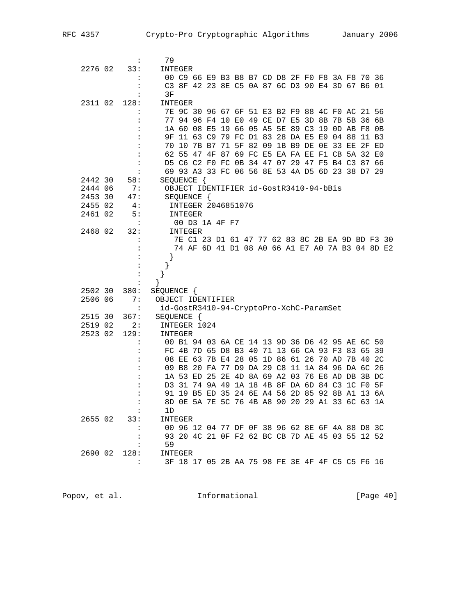|         | $\ddot{\cdot}$       | 79                                              |         |            |                    |  |  |  |                                                 |  |       |                                                 |
|---------|----------------------|-------------------------------------------------|---------|------------|--------------------|--|--|--|-------------------------------------------------|--|-------|-------------------------------------------------|
| 2276 02 | 33:                  | INTEGER                                         |         |            |                    |  |  |  |                                                 |  |       |                                                 |
|         |                      |                                                 |         |            |                    |  |  |  | 00 C9 66 E9 B3 B8 B7 CD D8 2F F0 F8 3A F8 70 36 |  |       |                                                 |
|         |                      |                                                 |         |            |                    |  |  |  | C3 8F 42 23 8E C5 0A 87 6C D3 90 E4 3D 67 B6 01 |  |       |                                                 |
|         |                      | 3F                                              |         |            |                    |  |  |  |                                                 |  |       |                                                 |
| 2311 02 | 128:                 | INTEGER                                         |         |            |                    |  |  |  |                                                 |  |       |                                                 |
|         |                      |                                                 |         |            |                    |  |  |  | 7E 9C 30 96 67 6F 51 E3 B2 F9 88 4C F0 AC 21 56 |  |       |                                                 |
|         |                      |                                                 |         |            |                    |  |  |  | 77 94 96 F4 10 E0 49 CE D7 E5 3D 8B 7B 5B 36 6B |  |       |                                                 |
|         |                      |                                                 |         |            |                    |  |  |  | 1A 60 08 E5 19 66 05 A5 5E 89 C3 19 0D AB F8 0B |  |       |                                                 |
|         |                      |                                                 |         |            |                    |  |  |  | 9F 11 63 C9 79 FC D1 83 28 DA E5 E9 04 88       |  | 11 B3 |                                                 |
|         |                      |                                                 |         |            |                    |  |  |  | 70 10 7B B7 71 5F 82 09 1B B9 DE 0E 33 EE 2F ED |  |       |                                                 |
|         |                      |                                                 |         |            |                    |  |  |  | 62 55 47 4F 87 69 FC E5 EA FA EE F1 CB 5A 32 E0 |  |       |                                                 |
|         |                      |                                                 |         |            |                    |  |  |  | D5 C6 C2 F0 FC 0B 34 47 07 29 47 F5 B4 C3 87 66 |  |       |                                                 |
|         |                      |                                                 |         |            |                    |  |  |  | 69 93 A3 33 FC 06 56 8E 53 4A D5 6D 23 38 D7 29 |  |       |                                                 |
| 2442 30 | 58:                  | SEQUENCE {                                      |         |            |                    |  |  |  |                                                 |  |       |                                                 |
| 2444 06 | 7:                   |                                                 |         |            |                    |  |  |  | OBJECT IDENTIFIER id-GostR3410-94-bBis          |  |       |                                                 |
| 2453 30 | 47:                  |                                                 |         | SEQUENCE { |                    |  |  |  |                                                 |  |       |                                                 |
| 2455 02 | 4 :                  |                                                 |         |            | INTEGER 2046851076 |  |  |  |                                                 |  |       |                                                 |
| 2461 02 | 5:                   |                                                 | INTEGER |            |                    |  |  |  |                                                 |  |       |                                                 |
|         | :                    |                                                 |         |            | 00 D3 1A 4F F7     |  |  |  |                                                 |  |       |                                                 |
| 2468 02 | 32:                  |                                                 | INTEGER |            |                    |  |  |  |                                                 |  |       |                                                 |
|         |                      |                                                 |         |            |                    |  |  |  |                                                 |  |       | 7E C1 23 D1 61 47 77 62 83 8C 2B EA 9D BD F3 30 |
|         |                      |                                                 |         |            |                    |  |  |  |                                                 |  |       | 74 AF 6D 41 D1 08 A0 66 A1 E7 A0 7A B3 04 8D E2 |
|         |                      |                                                 |         |            |                    |  |  |  |                                                 |  |       |                                                 |
|         | :                    | }                                               |         |            |                    |  |  |  |                                                 |  |       |                                                 |
|         |                      |                                                 |         |            |                    |  |  |  |                                                 |  |       |                                                 |
|         |                      | $\}$                                            |         |            |                    |  |  |  |                                                 |  |       |                                                 |
| 2502 30 | 380:                 | SEQUENCE {                                      |         |            |                    |  |  |  |                                                 |  |       |                                                 |
| 2506 06 | 7:                   | OBJECT IDENTIFIER                               |         |            |                    |  |  |  |                                                 |  |       |                                                 |
|         | $\ddot{\cdot}$       | id-GostR3410-94-CryptoPro-XchC-ParamSet         |         |            |                    |  |  |  |                                                 |  |       |                                                 |
| 2515 30 | 367:                 | SEQUENCE {                                      |         |            |                    |  |  |  |                                                 |  |       |                                                 |
| 2519 02 | 2:                   | INTEGER 1024                                    |         |            |                    |  |  |  |                                                 |  |       |                                                 |
| 2523 02 | 129:                 | INTEGER                                         |         |            |                    |  |  |  |                                                 |  |       |                                                 |
|         | $\ddot{\cdot}$       |                                                 |         |            |                    |  |  |  | 00 B1 94 03 6A CE 14 13 9D 36 D6 42 95 AE 6C 50 |  |       |                                                 |
|         |                      |                                                 |         |            |                    |  |  |  | FC 4B 7D 65 D8 B3 40 71 13 66 CA 93 F3 83 65 39 |  |       |                                                 |
|         |                      |                                                 |         |            |                    |  |  |  | 08 EE 63 7B E4 28 05 1D 86 61 26 70 AD 7B 40 2C |  |       |                                                 |
|         |                      |                                                 |         |            |                    |  |  |  | 09 B8 20 FA 77 D9 DA 29 C8 11 1A 84 96 DA 6C 26 |  |       |                                                 |
|         |                      |                                                 |         |            |                    |  |  |  | 1A 53 ED 25 2E 4D 8A 69 A2 03 76 E6 AD DB 3B DC |  |       |                                                 |
|         |                      |                                                 |         |            |                    |  |  |  | D3 31 74 9A 49 1A 18 4B 8F DA 6D 84 C3 1C F0 5F |  |       |                                                 |
|         |                      |                                                 |         |            |                    |  |  |  | 91 19 B5 ED 35 24 6E A4 56 2D 85 92 8B A1 13 6A |  |       |                                                 |
|         |                      |                                                 |         |            |                    |  |  |  | 8D OE 5A 7E 5C 76 4B A8 90 20 29 A1 33 6C 63 1A |  |       |                                                 |
|         | $\sim$ 1.            | 1D                                              |         |            |                    |  |  |  |                                                 |  |       |                                                 |
|         | 26550233:            | INTEGER                                         |         |            |                    |  |  |  |                                                 |  |       |                                                 |
|         |                      | 00 96 12 04 77 DF 0F 38 96 62 8E 6F 4A 88 D8 3C |         |            |                    |  |  |  |                                                 |  |       |                                                 |
|         |                      |                                                 |         |            |                    |  |  |  | 93 20 4C 21 OF F2 62 BC CB 7D AE 45 03 55 12 52 |  |       |                                                 |
|         |                      | 59                                              |         |            |                    |  |  |  |                                                 |  |       |                                                 |
| 2690 02 | 128:                 | INTEGER                                         |         |            |                    |  |  |  |                                                 |  |       |                                                 |
|         | $\ddot{\phantom{0}}$ |                                                 |         |            |                    |  |  |  | 3F 18 17 05 2B AA 75 98 FE 3E 4F 4F C5 C5 F6 16 |  |       |                                                 |
|         |                      |                                                 |         |            |                    |  |  |  |                                                 |  |       |                                                 |

Popov, et al. 10. Informational 1. [Page 40]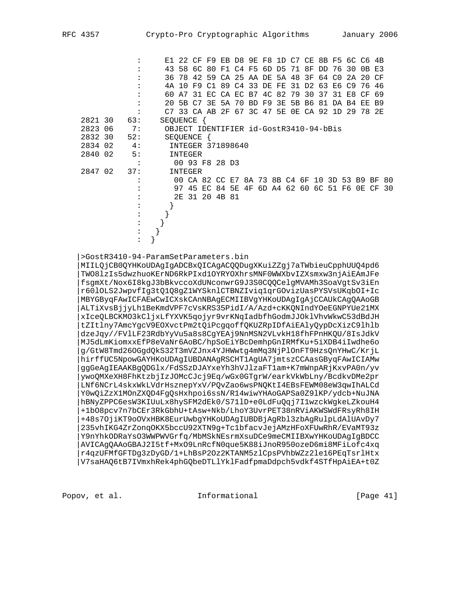|         |     |                                      |                |          |                         |  |                                           |          |             |    |       |          | E1 22 CF F9 EB D8 9E F8 1D C7 CE 8B F5 6C C6 4B |           |      |
|---------|-----|--------------------------------------|----------------|----------|-------------------------|--|-------------------------------------------|----------|-------------|----|-------|----------|-------------------------------------------------|-----------|------|
|         |     |                                      |                |          |                         |  | 43 58 6C 80 F1 C4 F5 6D D5                | 71       | 8F          |    | DD 76 | 30       |                                                 | 0B E3     |      |
|         |     |                                      | 36 78          | 42       |                         |  | 59 CA 25 AA DE 5A 48 3F                   |          |             | 64 | CO    | 2A       |                                                 | 20 CF     |      |
|         |     |                                      |                |          |                         |  | 4A 10 F9 C1 89 C4 33 DE FE                |          | 31 D2 63 E6 |    |       | C.9      |                                                 | 7646      |      |
|         |     |                                      | 60 A7          | 31       |                         |  | EC CA EC B7 4C 82                         |          | 79 30       | 37 |       | 31 E8    | CF                                              | 69        |      |
|         |     |                                      |                |          | 20 5B C7 3E 5A 70 BD F9 |  |                                           | 3E 5B B6 |             |    |       | 81 DA B4 | EE.                                             | <b>B9</b> |      |
|         |     |                                      |                |          |                         |  | C7 33 CA AB 2F 67 3C 47 5E 0E CA 92 1D 29 |          |             |    |       |          |                                                 | 78 2E     |      |
| 2821 30 | 63: | SEOUENCE {                           |                |          |                         |  |                                           |          |             |    |       |          |                                                 |           |      |
| 2823 06 | 7:  |                                      |                |          |                         |  | OBJECT IDENTIFIER id-GostR3410-94-bBis    |          |             |    |       |          |                                                 |           |      |
| 2832 30 | 52: |                                      |                | SEQUENCE |                         |  |                                           |          |             |    |       |          |                                                 |           |      |
| 2834 02 | 4:  |                                      |                |          | INTEGER 371898640       |  |                                           |          |             |    |       |          |                                                 |           |      |
| 2840 02 | 5:  |                                      | <b>INTEGER</b> |          |                         |  |                                           |          |             |    |       |          |                                                 |           |      |
|         |     |                                      |                |          | 00 93 F8 28 D3          |  |                                           |          |             |    |       |          |                                                 |           |      |
| 2847 02 | 37: |                                      | INTEGER        |          |                         |  |                                           |          |             |    |       |          |                                                 |           |      |
|         |     |                                      |                |          |                         |  |                                           |          |             |    |       |          | 00 CA 82 CC E7 8A 73 8B C4 6F 10 3D 53 B9 BF 80 |           |      |
|         |     |                                      |                |          |                         |  |                                           |          |             |    |       |          | 97 45 EC 84 5E 4F 6D A4 62 60 6C 51 F6 0E CF    |           | - 30 |
|         |     |                                      |                |          | 2E 31 20 4B 81          |  |                                           |          |             |    |       |          |                                                 |           |      |
|         |     |                                      |                |          |                         |  |                                           |          |             |    |       |          |                                                 |           |      |
|         |     |                                      |                |          |                         |  |                                           |          |             |    |       |          |                                                 |           |      |
|         |     |                                      |                |          |                         |  |                                           |          |             |    |       |          |                                                 |           |      |
|         |     |                                      |                |          |                         |  |                                           |          |             |    |       |          |                                                 |           |      |
|         |     |                                      |                |          |                         |  |                                           |          |             |    |       |          |                                                 |           |      |
|         |     |                                      |                |          |                         |  |                                           |          |             |    |       |          |                                                 |           |      |
|         |     | >GostR3410-94-ParamSetParameters.bin |                |          |                         |  |                                           |          |             |    |       |          |                                                 |           |      |

 |MIILQjCB0QYHKoUDAgIgADCBxQICAgACQQDugXKuiZZgj7aTWbieuCpphUUQ4pd6 |TWO8lzIs5dwzhuoKErND6RkPIxd1OYRYOXhrsMNF0WWXbvIZXsmxw3njAiEAmJFe |fsgmXt/Nox6I8kgJ3bBkvccoXdUNconwrG9J3S0CQQCelgMVAMh3SoaVgtSv3iEn |r60lOLS2JwpvfIg3tQ1Q8gZ1WYSknlCTBNZIviq1qrGOvizUasPYSVsUKqbOI+Ic |MBYGByqFAwICFAEwCwICXskCAnNBAgECMIIBVgYHKoUDAgIgAjCCAUkCAgQAAoGB |ALTiXvsBjjyLh1BeKmdVPF7cVsKRS35PidI/A/Azd+cKKQNIndYOeEGNPYUe21MX |xIceQLBCKMO3kCljxLfYXVK5qojyr9vrKNqIadbfhGodmJJOklVhvWkwC53dBdJH |tZItlny7AmcYgcV9EOXvctPm2tQiPcgqoffQKUZRpIDfAiEAlyQypDcXizC9lhlb |dzeJqy//FVlLF23RdbYyVu5a8s8CgYEAj9NnMSN2VLvkH18fhFPnHKQU/8IsJdkV |MJ5dLmKiomxxEfP8eVaNr6AoBC/hpSoEiYBcDemhpGnIRMfKu+5iXDB4iIwdhe6o |g/GtW8Tmd26OGgdQkS32T3mVZJnx4YJHWwtg4mMq3NjPlOnFT9HzsQnYHwC/KrjL |hirffUC5NpowGAYHKoUDAgIUBDANAgRSCHT1AgUA7jmtszCCAasGByqFAwICIAMw |ggGeAgIEAAKBgQDGlx/FdSSzDJAYxeYh3hVJlzaFT1am+K7mWnpARjKxvPA0n/yv |ywoQMXeXH8FhKtzbjIzJOMcCJcj9Eq/wGx0GTgrW/earkVkWbLny/BcdkvDMe2pr |LNf6NCrL4skxWkLVdrHsznepYxV/PQvZao6wsPNQKtI4EBsFEWM08eW3qwIhALCd |Y0wQiZzX1MOnZXQD4FgQsHxhpoi6ssN/R14wiwYHAoGAPSa0Z9lKP/ydcb+NuJNA |hBNyZPPC6esW3KIUuLx8hySFM2dEk0/S71lD+e0LdFuQqj7I1wzckWgkeLZkouH4 |+1bO8pcv7n7bCEr3RkGbhU+tAsw+Nkb/LhoY3UvrPET38nRViAKWSWdFRsyRh8IH |+48s7OjiKT9oOVxHBK8EurUwbgYHKoUDAgIUBDBjAgRbl3zbAgRulpLdAlUAvDy7 |235vhIKG4ZrZonqOKX5bccU92XTN9g+Tc1bfacvJejAMzHFoXFUwRhR/EVaMT93z |Y9nYhkODRaYsO3WWPWVGrfq/MbMSkNEsrmXsuDCe9meCMIIBXwYHKoUDAgIgBDCC |AVICAgQAAoGBAJ2I5tf+MxO9LnRcfN0que5K88iJnoR950ozeD6mi8MFiLofc4xq |r4qzUFMfGFTDg3zDyGD/1+LhBsP2Oz2KTANM5zlCpsPVhbWZz2le16PEqTsrlHtx |V7saHAQ6tB7IVmxhRek4phGQbeDTLlYklFadfpmaDdpch5vdkf4STfHpAiEA+t0Z

Popov, et al.  $I_n$  Informational  $[Page 41]$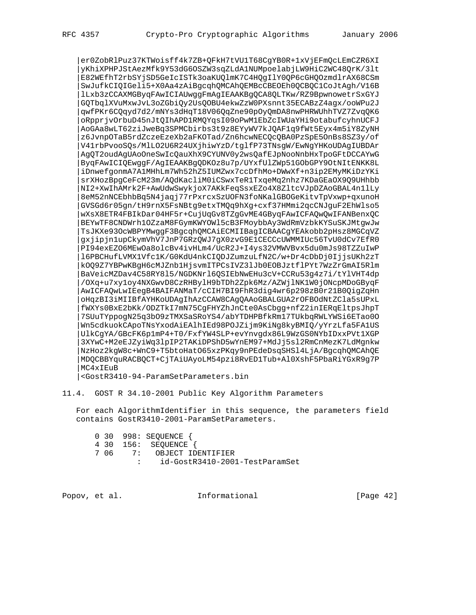|er0ZobRlPuz37KTWoisff4k7ZB+QFkH7tVU1T68CgYB0R+1xVjEFmQcLEmCZR6XI |yKhiXPHPJStAezMfk9Y53dG6OSZW3sqZLdA1NUMpoelabjLW9HiC2WC48QrK/3lt |E82WEfhT2rbSYjSD5GeIcISTk3oaKUQlmK7C4HQgIlY0QP6cGHQOzmdlrAX68CSm |SwJufkCIQIGeli5+X0Aa4zAiBgcqhQMCAhQEMBcCBEOEh0QCBQC1CoJtAgh/V16B |lLxb3zCCAXMGByqFAwICIAUwggFmAgIEAAKBgQCA8QLTKw/RZ9BpwnowetrSxGYJ |GQTbqlXVuMxwJvL3oZGbiQy2UsQOBU4ekwZzW0PXsnnt35ECABzZ4agx/ooWPu2J |qwfPKr6CQqyd7d2/mNYs3dHqT18V06QqZne90pOyQmDA8nwPHRWUhhTVZ7ZvqQK6 |oRpprjvOrbuD45nJtQIhAPD1RMQYqsI09oPwM1EbZcIWUaYHi9otabufcyhnUCFJ |AoGAa8wLT62ziJweBq3SPMCbirbs3t9z8EYyWV7kJQAF1q9fWt5Eyx4m5iY8ZyNH |z6JvnpOTaB5rdZczeEzeXb2aFKOTad/Zn6hcwNECQcQBA0PzSpE5OnBs8SZ3y/of |V41rbPvooSQs/MlLO2U6R24UXjhiwYzD/tglfP73TNsgW/EwNgYHKoUDAgIUBDAr |AgQT2oudAgUAoOneSwIcQauXhX9CYUNV0y2wsQafEJpNooNnbHxTpoGFtDCCAYwG |ByqFAwICIQEwggF/AgIEAAKBgQDKOz8u7p/UYxfUlZWp51GObGPY9OtNItENKK8L |iDnwefgonmA7A1MHhLm7Wh52hZ5IUMZwx7ccDfhMo+DWwXf+n3ip2EMyMKiDzYKi |srXHozBpgCeFcM23m/AQdKacliM0iCSwxTeR1TxqeMq2nhz7KDaGEaOX9Q9UHhbb |NI2+XwIhAMrk2F+AwUdwSwykjoX7AKkFeqSsxEZo4X8ZltcVJpDZAoGBAL4n1lLy |8eM52nNCEbhbBq5N4jaqj77rPxrcxSzUOFN3foNKalGBOGeKitvTpVxwp+qxunoH |GVSGd6r05gn/tH9rnX5FsNBtg9etxTMQq9hXg+cxf37HMmi2qcCNJguF2EhWlso5 |wXsX8ETR4FBIkDar04HF5r+CujUqGv8TZgGvME4GByqFAwICFAQwQwIFANBenxQC |BEYwTF8CNDWrh1OZzaM8FGymKWYOWl5cB3FMoybbAy3WdRmVzbkKYSuSKJMtgwJw |TsJKXe93OcWBPYMwggF3BgcqhQMCAiECMIIBagICBAACgYEAkobb2pHsz8MGCqVZ |gxjipjn1upCkymVhV7JnP7GRzQWJ7gX0zvG9E1CECCcUWMMIUc56TvU0dCv7EfR0 |PI94exEZO6MEwOa8olcBv4ivHLm4/UcR2J+I4ys32VMWVBvx5du0mJs98TZZuIwP |l6PBCHufLVMX1Vfc1K/G0KdU4nkCIQDJZumzuLfN2C/w+Dr4cDbDj0IjjsUKh2zT |kOQ9Z7YBPwKBgH6cMJZnb1HjsvmITPCsIVZ3lJb0EOBJztflPYt7WzZrGmAI5Rlm |BaVeicMZDav4C58RY8l5/NGDKNrl6QSIEbNwEHu3cV+CCRu53g4z7i/tYlVHT4dp |/OXq+u7xy1oy4NXGwvD8CzRHBylH9bTDh2Zpk6Mz/AZWjlNK1W0jONcpMDoGByqF |AwICFAQwLwIEegB4BAIFANMaT/cCIH7BI9FhR3dig4wr6p298zB0r21B0QigZqHn |oHqzBI3iMIIBfAYHKoUDAgIhAzCCAW8CAgQAAoGBALGUA2rOFBOdNtZCla5sUPxL |fWXYs0BxE2bKk/ODZTkI7mN75CgFHYZhJnCte0AsCbgg+nfZ2inIERqEltpsJhpT |7SUuTYppogN25q3bO9zTMXSaSRoYS4/abYTDHPBfkRm17TUkbqRWLYWSi6ETao0O |Wn5cdkuokCApoTNsYxodAiEAlhIEd98POJZijm9KiNg8kyBMIQ/yYrzLfa5FA1US |UlkCgYA/GBcFK6p1mP4+T0/FxfYW4SLP+evYnvgdx86L9WzGS0NYbIDxxPVt1XGP |3XYwC+M2eEJZyiWq3lpIP2TAKiDPShD5wYnEM97+MdJj5sl2RmCnMezK7LdMgnkw |NzHoz2kgW8c+WnC9+T5btoHatO65xzPKqy9nPEdeDsqSHSl4LjA/BgcqhQMCAhQE |MDQCBBYquRACBQCT+CjTAiUAyoLM54pzi8RvED1Tub+Al0XshF5PbaRiYGxR9g7P |MC4xIEuB

|<GostR3410-94-ParamSetParameters.bin

11.4. GOST R 34.10-2001 Public Key Algorithm Parameters

 For each AlgorithmIdentifier in this sequence, the parameters field contains GostR3410-2001-ParamSetParameters.

| 0 30 998: SEQUENCE {             |
|----------------------------------|
| 4 30 156: SEQUENCE {             |
| 7 06 7: OBJECT IDENTIFIER        |
| : id-GostR3410-2001-TestParamSet |

Popov, et al. 10. Informational 1. [Page 42]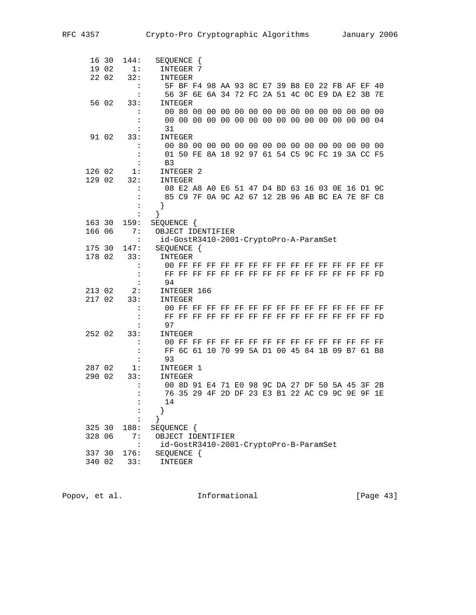|        | 16 30 | 144:                 | SEQUENCE {                                      |
|--------|-------|----------------------|-------------------------------------------------|
|        | 19 02 | 1:                   | INTEGER 7                                       |
|        | 22 02 | 32:                  | INTEGER                                         |
|        |       |                      | 5F BF F4 98 AA 93 8C E7 39 B8 E0 22 FB AF EF 40 |
|        |       |                      | 56 3F 6E 6A 34 72 FC 2A 51 4C 0C E9 DA E2 3B 7E |
|        | 56 02 | 33:                  | INTEGER                                         |
|        |       |                      |                                                 |
|        |       |                      |                                                 |
|        |       | $\ddot{\phantom{a}}$ | 31                                              |
|        | 91 02 | 33:                  | INTEGER                                         |
|        |       |                      |                                                 |
|        |       | :                    | 01 50 FE 8A 18 92 97 61 54 C5 9C FC 19 3A CC F5 |
|        |       | :                    | B <sub>3</sub>                                  |
| 126 02 |       | 1:                   | INTEGER 2                                       |
| 129 02 |       | 32:                  | INTEGER                                         |
|        |       |                      | 08 E2 A8 A0 E6 51 47 D4 BD 63 16 03 0E 16 D1 9C |
|        |       |                      | 85 C9 7F 0A 9C A2 67 12 2B 96 AB BC EA 7E 8F C8 |
|        |       | :                    | }                                               |
|        |       | :                    | ł                                               |
| 163 30 |       | 159:                 | SEQUENCE {                                      |
| 166 06 |       | 7:                   | OBJECT IDENTIFIER                               |
|        |       | $\ddot{\cdot}$       | id-GostR3410-2001-CryptoPro-A-ParamSet          |
| 175 30 |       | 147:                 | SEQUENCE {                                      |
| 178 02 |       | 33:                  | <b>INTEGER</b>                                  |
|        |       | $\ddot{\cdot}$       |                                                 |
|        |       |                      |                                                 |
|        |       |                      | 94                                              |
| 213 02 |       | 2:                   | INTEGER 166                                     |
| 217 02 |       | 33:                  | INTEGER                                         |
|        |       | $\ddot{\phantom{a}}$ |                                                 |
|        |       | :                    |                                                 |
|        |       |                      | 97                                              |
| 252 02 |       | 33:                  | INTEGER                                         |
|        |       |                      |                                                 |
|        |       | :                    | FF 6C 61 10 70 99 5A D1 00 45 84 1B 09 B7 61 B8 |
|        |       | :                    | 93                                              |
| 287 02 |       | 1:                   | INTEGER 1                                       |
| 290 02 |       | 33:                  | INTEGER                                         |
|        |       | $\ddot{\cdot}$       | 00 8D 91 E4 71 E0 98 9C DA 27 DF 50 5A 45 3F 2B |
|        |       |                      | 76 35 29 4F 2D DF 23 E3 B1 22 AC C9 9C 9E 9F 1E |
|        |       | :                    | 14                                              |
|        |       |                      |                                                 |
|        |       |                      |                                                 |
| 325 30 |       | 188:                 | SEQUENCE {                                      |
| 328 06 |       | 7 :                  | OBJECT IDENTIFIER                               |
|        |       | $\ddot{\cdot}$       | id-GostR3410-2001-CryptoPro-B-ParamSet          |
| 337 30 |       | 176:                 | SEQUENCE {                                      |
| 340 02 |       | 33:                  | INTEGER                                         |

Popov, et al. 10. Informational 1. [Page 43]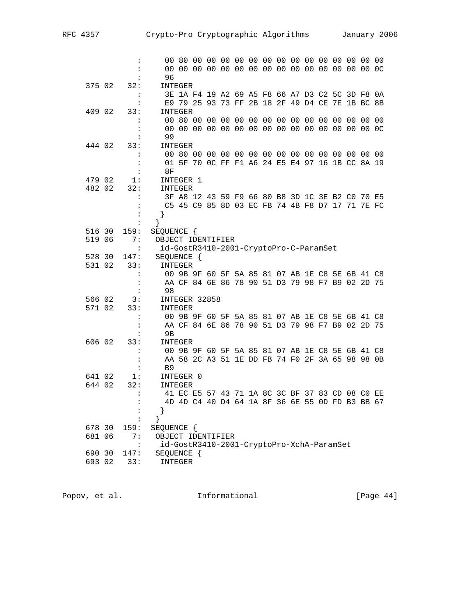|        |        | $\ddot{\cdot}$       |                                           |                                                 |  |  |  |  |  |  |  |
|--------|--------|----------------------|-------------------------------------------|-------------------------------------------------|--|--|--|--|--|--|--|
|        |        |                      |                                           |                                                 |  |  |  |  |  |  |  |
|        |        |                      | 96                                        |                                                 |  |  |  |  |  |  |  |
| 375 02 |        | 32:                  | INTEGER                                   |                                                 |  |  |  |  |  |  |  |
|        |        | $\ddot{\cdot}$       |                                           | 3E 1A F4 19 A2 69 A5 F8 66 A7 D3 C2 5C 3D F8 0A |  |  |  |  |  |  |  |
|        |        | $\ddot{\cdot}$       |                                           | E9 79 25 93 73 FF 2B 18 2F 49 D4 CE 7E 1B BC 8B |  |  |  |  |  |  |  |
| 409 02 |        | 33:                  | INTEGER                                   |                                                 |  |  |  |  |  |  |  |
|        |        | $\ddot{\cdot}$       |                                           |                                                 |  |  |  |  |  |  |  |
|        |        | :                    |                                           |                                                 |  |  |  |  |  |  |  |
|        |        | $\ddot{\cdot}$       | 99                                        |                                                 |  |  |  |  |  |  |  |
| 444 02 |        | 33:                  | INTEGER                                   |                                                 |  |  |  |  |  |  |  |
|        |        | $\ddot{\cdot}$       |                                           |                                                 |  |  |  |  |  |  |  |
|        |        | $\ddot{\phantom{a}}$ |                                           | 01 5F 70 0C FF F1 A6 24 E5 E4 97 16 1B CC 8A 19 |  |  |  |  |  |  |  |
|        |        | :                    | 8F                                        |                                                 |  |  |  |  |  |  |  |
| 479 02 |        | 1:                   | INTEGER 1                                 |                                                 |  |  |  |  |  |  |  |
| 482 02 |        | 32:                  | INTEGER                                   |                                                 |  |  |  |  |  |  |  |
|        |        | :                    |                                           | 3F A8 12 43 59 F9 66 80 B8 3D 1C 3E B2 C0 70 E5 |  |  |  |  |  |  |  |
|        |        | :                    |                                           | C5 45 C9 85 8D 03 EC FB 74 4B F8 D7 17 71 7E FC |  |  |  |  |  |  |  |
|        |        | :                    | }                                         |                                                 |  |  |  |  |  |  |  |
|        |        | $\ddot{\cdot}$       | }                                         |                                                 |  |  |  |  |  |  |  |
| 516 30 |        | 159:                 | SEQUENCE {                                |                                                 |  |  |  |  |  |  |  |
| 519 06 |        | 7:                   | OBJECT IDENTIFIER                         |                                                 |  |  |  |  |  |  |  |
|        |        | $\cdot$ :            | id-GostR3410-2001-CryptoPro-C-ParamSet    |                                                 |  |  |  |  |  |  |  |
| 528 30 |        | 147:                 | SEQUENCE {                                |                                                 |  |  |  |  |  |  |  |
| 531 02 |        | 33:                  | INTEGER                                   |                                                 |  |  |  |  |  |  |  |
|        |        | :                    |                                           | 00 9B 9F 60 5F 5A 85 81 07 AB 1E C8 5E 6B 41 C8 |  |  |  |  |  |  |  |
|        |        | :                    |                                           | AA CF 84 6E 86 78 90 51 D3 79 98 F7 B9 02 2D 75 |  |  |  |  |  |  |  |
|        |        |                      | 98                                        |                                                 |  |  |  |  |  |  |  |
| 566 02 |        | 3:                   | INTEGER 32858                             |                                                 |  |  |  |  |  |  |  |
| 571 02 |        | 33:                  | INTEGER                                   |                                                 |  |  |  |  |  |  |  |
|        |        | $\ddot{\cdot}$       |                                           | 00 9B 9F 60 5F 5A 85 81 07 AB 1E C8 5E 6B 41 C8 |  |  |  |  |  |  |  |
|        |        | :                    |                                           | AA CF 84 6E 86 78 90 51 D3 79 98 F7 B9 02 2D 75 |  |  |  |  |  |  |  |
|        |        | $\ddot{\phantom{a}}$ | 9B                                        |                                                 |  |  |  |  |  |  |  |
| 606 02 |        | 33:                  | INTEGER                                   |                                                 |  |  |  |  |  |  |  |
|        |        | $\ddot{\cdot}$       |                                           | 00 9B 9F 60 5F 5A 85 81 07 AB 1E C8 5E 6B 41 C8 |  |  |  |  |  |  |  |
|        |        | :                    |                                           | AA 58 2C A3 51 1E DD FB 74 F0 2F 3A 65 98 98 0B |  |  |  |  |  |  |  |
|        |        | $\ddot{\cdot}$       | B <sub>9</sub>                            |                                                 |  |  |  |  |  |  |  |
| 641 02 |        | 1:                   | INTEGER 0                                 |                                                 |  |  |  |  |  |  |  |
| 644 02 |        | 32:                  | INTEGER                                   |                                                 |  |  |  |  |  |  |  |
|        |        | $\ddot{\phantom{a}}$ |                                           | 41 EC E5 57 43 71 1A 8C 3C BF 37 83 CD 08 CO EE |  |  |  |  |  |  |  |
|        |        | :                    |                                           | 4D 4D C4 40 D4 64 1A 8F 36 6E 55 0D FD B3 BB 67 |  |  |  |  |  |  |  |
|        |        | :                    |                                           |                                                 |  |  |  |  |  |  |  |
|        |        |                      |                                           |                                                 |  |  |  |  |  |  |  |
|        | 678 30 | 159:                 | SEQUENCE {                                |                                                 |  |  |  |  |  |  |  |
| 681 06 |        | 7:                   | OBJECT IDENTIFIER                         |                                                 |  |  |  |  |  |  |  |
|        |        | $\ddot{\phantom{a}}$ | id-GostR3410-2001-CryptoPro-XchA-ParamSet |                                                 |  |  |  |  |  |  |  |
|        | 690 30 | 147:                 | SEQUENCE {                                |                                                 |  |  |  |  |  |  |  |
|        | 693 02 | 33:                  | INTEGER                                   |                                                 |  |  |  |  |  |  |  |
|        |        |                      |                                           |                                                 |  |  |  |  |  |  |  |

Popov, et al. **Informational** [Page 44]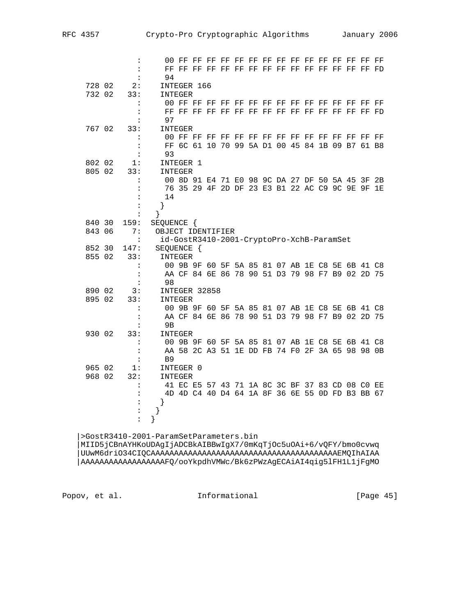|        |        | $\ddot{\cdot}$                         |                                                 |
|--------|--------|----------------------------------------|-------------------------------------------------|
|        |        | $\ddot{\phantom{a}}$                   |                                                 |
|        |        | :                                      | 94                                              |
| 728 02 |        | 2:                                     | INTEGER 166                                     |
|        | 732 02 | 33:                                    | INTEGER                                         |
|        |        | :                                      | FF<br>FF                                        |
|        |        | :                                      |                                                 |
|        |        | $\ddot{\phantom{a}}$                   | 97                                              |
|        | 767 02 | 33:                                    | INTEGER                                         |
|        |        | $\ddot{\phantom{a}}$                   |                                                 |
|        |        | $\ddot{\phantom{a}}$                   | FF 6C 61 10 70 99 5A D1 00 45 84 1B 09 B7 61 B8 |
|        |        | $\ddot{\phantom{a}}$                   | 93                                              |
|        | 802 02 | 1:                                     | INTEGER 1                                       |
|        | 805 02 | 33:                                    | INTEGER                                         |
|        |        | :                                      | 00 8D 91 E4 71 E0 98 9C DA 27 DF 50 5A 45 3F 2B |
|        |        | :                                      | 76 35 29 4F 2D DF 23 E3 B1 22 AC C9 9C 9E 9F 1E |
|        |        | $\ddot{\phantom{a}}$                   | 14                                              |
|        |        | $\ddot{\cdot}$<br>:                    | }<br>}                                          |
|        | 840 30 | 159:                                   | SEQUENCE {                                      |
|        | 843 06 | 7:                                     | OBJECT IDENTIFIER                               |
|        |        | $\ddot{\cdot}$                         | id-GostR3410-2001-CryptoPro-XchB-ParamSet       |
|        | 852 30 | 147:                                   | SEQUENCE {                                      |
|        | 855 02 | 33:                                    | INTEGER                                         |
|        |        | $\ddot{\cdot}$                         | 00 9B 9F 60 5F 5A 85 81 07 AB 1E C8 5E 6B 41 C8 |
|        |        | $\ddot{\phantom{a}}$                   | AA CF 84 6E 86 78 90 51 D3 79 98 F7 B9 02 2D 75 |
|        |        | $\ddot{\cdot}$                         | 98                                              |
|        | 890 02 | 3:                                     | INTEGER 32858                                   |
|        | 895 02 | 33:                                    | INTEGER                                         |
|        |        | $\ddot{\cdot}$                         | 00 9B 9F 60 5F 5A 85 81 07 AB 1E C8 5E 6B 41 C8 |
|        |        | :                                      | AA CF 84 6E 86 78 90 51 D3 79 98 F7 B9 02 2D 75 |
|        |        | $\ddot{\phantom{a}}$                   | 9 <sub>B</sub>                                  |
|        | 930 02 | 33:                                    | INTEGER                                         |
|        |        | $\ddot{\phantom{a}}$                   | 00 9B 9F 60 5F 5A 85 81 07 AB 1E C8 5E 6B 41 C8 |
|        |        | $\ddot{\phantom{a}}$                   | AA 58 2C A3 51 1E DD FB 74 F0 2F 3A 65 98 98 0B |
|        |        |                                        |                                                 |
|        |        | :                                      | B <sub>9</sub>                                  |
|        | 965 02 | 1:                                     | INTEGER 0                                       |
|        | 968 02 | 32:                                    | INTEGER                                         |
|        |        |                                        | 41 EC E5 57 43 71 1A 8C 3C BF 37 83 CD 08 CO EE |
|        |        | :                                      | 4D 4D C4 40 D4 64 1A 8F 36 6E 55 0D FD B3 BB 67 |
|        |        | $\ddot{\phantom{a}}$                   | }                                               |
|        |        | $\ddot{\phantom{a}}$<br>$\ddot{\cdot}$ | $\}$                                            |

 |MIID5jCBnAYHKoUDAgIjADCBkAIBBwIgX7/0mKqTjOc5uOAi+6/vQFY/bmo0cvwq |UUwM6driO34CIQCAAAAAAAAAAAAAAAAAAAAAAAAAAAAAAAAAAAAAAAAEMQIhAIAA |AAAAAAAAAAAAAAAAAAFQ/ooYkpdhVMWc/Bk6zPWzAgECAiAI4qig5lFH1L1jFgMO

Popov, et al. 10. Informational 1. [Page 45]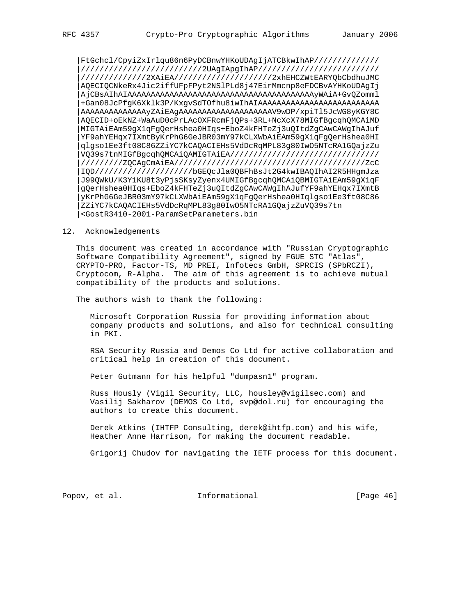|FtGchcl/CpyiZxIrlqu86n6PyDCBnwYHKoUDAgIjATCBkwIhAP////////////// |//////////////////////////2UAgIApgIhAP////////////////////////// |//////////////2XAiEA/////////////////////2xhEHCZWtEARYQbCbdhuJMC |AQECIQCNkeRx4Jic2iffUFpFPyt2NSlPLd8j47EirMmcnp8eFDCBvAYHKoUDAgIj |AjCBsAIhAIAAAAAAAAAAAAAAAAAAAAAAAAAAAAAAAAAAAAAAAAyWAiA+GvQZomml |+Gan08JcPfgK6Xklk3P/KxgvSdTOfhu8iwIhAIAAAAAAAAAAAAAAAAAAAAAAAAAA |AAAAAAAAAAAAAAyZAiEAgAAAAAAAAAAAAAAAAAAAAV9wDP/xpiTl5JcWG8yKGY8C |AQECID+oEkNZ+WaAuD0cPrLAcOXFRcmFjQPs+3RL+NcXcX78MIGfBgcqhQMCAiMD |MIGTAiEAm59gX1qFgQerHshea0HIqs+EboZ4kFHTeZj3uQItdZgCAwCAWgIhAJuf |YF9ahYEHqx7IXmtByKrPhG6GeJBR03mY97kCLXWbAiEAm59gX1qFgQerHshea0HI |qlgso1Ee3ft08C86ZZiYC7kCAQACIEHs5VdDcRqMPL83g80IwO5NTcRA1GQajzZu |VQ39s7tnMIGfBgcqhQMCAiQAMIGTAiEA//////////////////////////////// |/////////ZQCAgCmAiEA/////////////////////////////////////////ZcC |IQD/////////////////////bGEQcJla0QBFhBsJt2G4kwIBAQIhAI2R5HHgmJza |J99QWkU/K3Y1KU8t3yPjsSKsyZyenx4UMIGfBgcqhQMCAiQBMIGTAiEAm59gX1qF |gQerHshea0HIqs+EboZ4kFHTeZj3uQItdZgCAwCAWgIhAJufYF9ahYEHqx7IXmtB |yKrPhG6GeJBR03mY97kCLXWbAiEAm59gX1qFgQerHshea0HIqlgso1Ee3ft08C86 |ZZiYC7kCAQACIEHs5VdDcRqMPL83g80IwO5NTcRA1GQajzZuVQ39s7tn |<GostR3410-2001-ParamSetParameters.bin

#### 12. Acknowledgements

 This document was created in accordance with "Russian Cryptographic Software Compatibility Agreement", signed by FGUE STC "Atlas", CRYPTO-PRO, Factor-TS, MD PREI, Infotecs GmbH, SPRCIS (SPbRCZI), Cryptocom, R-Alpha. The aim of this agreement is to achieve mutual compatibility of the products and solutions.

The authors wish to thank the following:

 Microsoft Corporation Russia for providing information about company products and solutions, and also for technical consulting in PKI.

 RSA Security Russia and Demos Co Ltd for active collaboration and critical help in creation of this document.

Peter Gutmann for his helpful "dumpasn1" program.

 Russ Hously (Vigil Security, LLC, housley@vigilsec.com) and Vasilij Sakharov (DEMOS Co Ltd, svp@dol.ru) for encouraging the authors to create this document.

 Derek Atkins (IHTFP Consulting, derek@ihtfp.com) and his wife, Heather Anne Harrison, for making the document readable.

Grigorij Chudov for navigating the IETF process for this document.

Popov, et al. 100 Informational 100 [Page 46]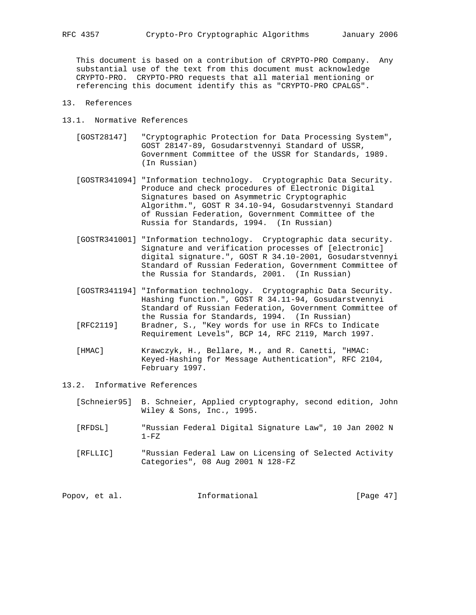This document is based on a contribution of CRYPTO-PRO Company. Any substantial use of the text from this document must acknowledge CRYPTO-PRO. CRYPTO-PRO requests that all material mentioning or referencing this document identify this as "CRYPTO-PRO CPALGS".

- 13. References
- 13.1. Normative References
	- [GOST28147] "Cryptographic Protection for Data Processing System", GOST 28147-89, Gosudarstvennyi Standard of USSR, Government Committee of the USSR for Standards, 1989. (In Russian)
	- [GOSTR341094] "Information technology. Cryptographic Data Security. Produce and check procedures of Electronic Digital Signatures based on Asymmetric Cryptographic Algorithm.", GOST R 34.10-94, Gosudarstvennyi Standard of Russian Federation, Government Committee of the Russia for Standards, 1994. (In Russian)
	- [GOSTR341001] "Information technology. Cryptographic data security. Signature and verification processes of [electronic] digital signature.", GOST R 34.10-2001, Gosudarstvennyi Standard of Russian Federation, Government Committee of the Russia for Standards, 2001. (In Russian)
	- [GOSTR341194] "Information technology. Cryptographic Data Security. Hashing function.", GOST R 34.11-94, Gosudarstvennyi Standard of Russian Federation, Government Committee of the Russia for Standards, 1994. (In Russian)
	- [RFC2119] Bradner, S., "Key words for use in RFCs to Indicate Requirement Levels", BCP 14, RFC 2119, March 1997.
	- [HMAC] Krawczyk, H., Bellare, M., and R. Canetti, "HMAC: Keyed-Hashing for Message Authentication", RFC 2104, February 1997.
- 13.2. Informative References
	- [Schneier95] B. Schneier, Applied cryptography, second edition, John Wiley & Sons, Inc., 1995.
	- [RFDSL] "Russian Federal Digital Signature Law", 10 Jan 2002 N  $1-FZ$
	- [RFLLIC] "Russian Federal Law on Licensing of Selected Activity Categories", 08 Aug 2001 N 128-FZ

| Informational<br>Popov, et al. | [Page $47$ ] |  |  |
|--------------------------------|--------------|--|--|
|--------------------------------|--------------|--|--|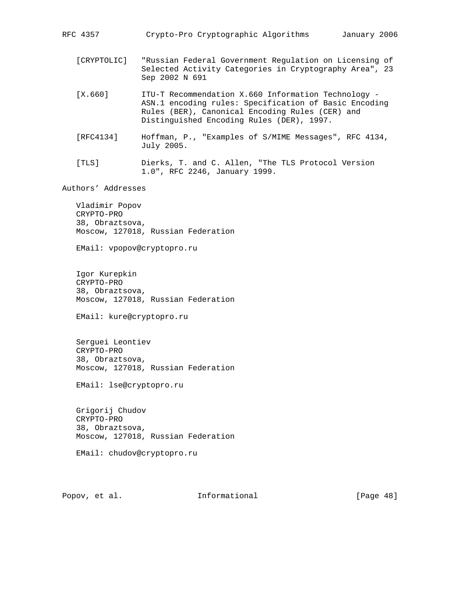RFC 4357 Crypto-Pro Cryptographic Algorithms January 2006

- [CRYPTOLIC] "Russian Federal Government Regulation on Licensing of Selected Activity Categories in Cryptography Area", 23 Sep 2002 N 691
- [X.660] ITU-T Recommendation X.660 Information Technology ASN.1 encoding rules: Specification of Basic Encoding Rules (BER), Canonical Encoding Rules (CER) and Distinguished Encoding Rules (DER), 1997.
- [RFC4134] Hoffman, P., "Examples of S/MIME Messages", RFC 4134, July 2005.
- [TLS] Dierks, T. and C. Allen, "The TLS Protocol Version 1.0", RFC 2246, January 1999.

Authors' Addresses

 Vladimir Popov CRYPTO-PRO 38, Obraztsova, Moscow, 127018, Russian Federation

EMail: vpopov@cryptopro.ru

 Igor Kurepkin CRYPTO-PRO 38, Obraztsova, Moscow, 127018, Russian Federation

EMail: kure@cryptopro.ru

 Serguei Leontiev CRYPTO-PRO 38, Obraztsova, Moscow, 127018, Russian Federation

EMail: lse@cryptopro.ru

 Grigorij Chudov CRYPTO-PRO 38, Obraztsova, Moscow, 127018, Russian Federation

EMail: chudov@cryptopro.ru

Popov, et al. **Informational** [Page 48]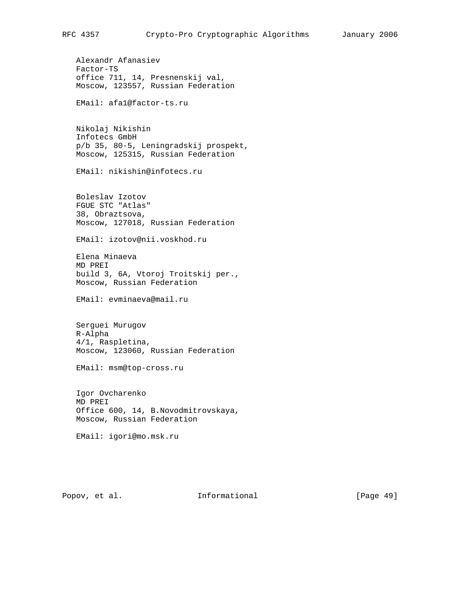Alexandr Afanasiev Factor-TS office 711, 14, Presnenskij val, Moscow, 123557, Russian Federation EMail: afa1@factor-ts.ru Nikolaj Nikishin Infotecs GmbH p/b 35, 80-5, Leningradskij prospekt, Moscow, 125315, Russian Federation EMail: nikishin@infotecs.ru Boleslav Izotov FGUE STC "Atlas" 38, Obraztsova, Moscow, 127018, Russian Federation EMail: izotov@nii.voskhod.ru Elena Minaeva MD PREI build 3, 6A, Vtoroj Troitskij per., Moscow, Russian Federation EMail: evminaeva@mail.ru Serguei Murugov R-Alpha 4/1, Raspletina, Moscow, 123060, Russian Federation EMail: msm@top-cross.ru Igor Ovcharenko MD PREI Office 600, 14, B.Novodmitrovskaya, Moscow, Russian Federation EMail: igori@mo.msk.ru

Popov, et al. 10. Informational 1. [Page 49]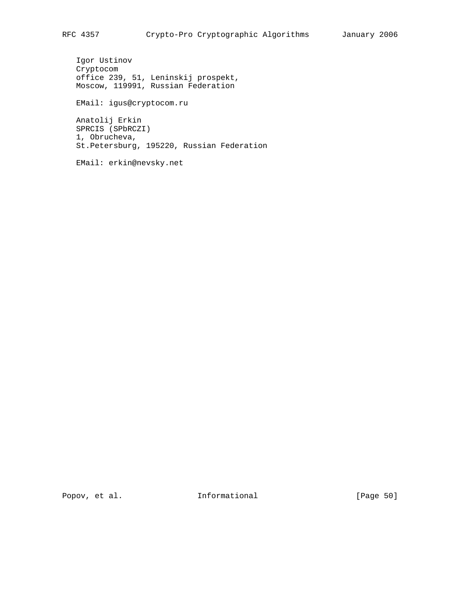Igor Ustinov Cryptocom office 239, 51, Leninskij prospekt, Moscow, 119991, Russian Federation

EMail: igus@cryptocom.ru

 Anatolij Erkin SPRCIS (SPbRCZI) 1, Obrucheva, St.Petersburg, 195220, Russian Federation

EMail: erkin@nevsky.net

Popov, et al. 10. Informational 1. [Page 50]